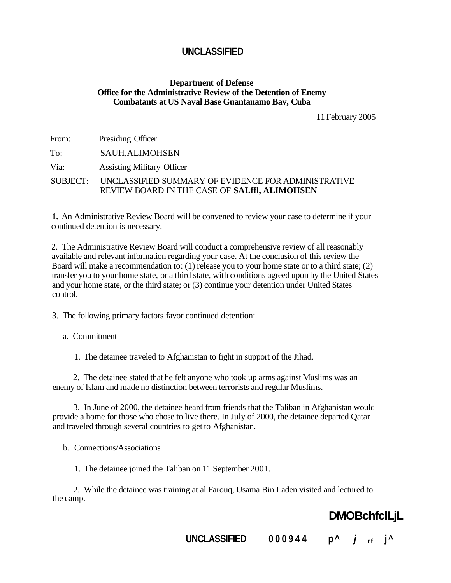### **Department of Defense Office for the Administrative Review of the Detention of Enemy Combatants at US Naval Base Guantanamo Bay, Cuba**

11 February 2005

| From:    | Presiding Officer                                                                                    |
|----------|------------------------------------------------------------------------------------------------------|
| To:      | <b>SAUH, ALIMOHSEN</b>                                                                               |
| Via:     | <b>Assisting Military Officer</b>                                                                    |
| SUBJECT: | UNCLASSIFIED SUMMARY OF EVIDENCE FOR ADMINISTRATIVE<br>REVIEW BOARD IN THE CASE OF SALIII, ALIMOHSEN |

**1.** An Administrative Review Board will be convened to review your case to determine if your continued detention is necessary.

2. The Administrative Review Board will conduct a comprehensive review of all reasonably available and relevant information regarding your case. At the conclusion of this review the Board will make a recommendation to: (1) release you to your home state or to a third state; (2) transfer you to your home state, or a third state, with conditions agreed upon by the United States and your home state, or the third state; or (3) continue your detention under United States control.

3. The following primary factors favor continued detention:

a. Commitment

1. The detainee traveled to Afghanistan to fight in support of the Jihad.

2. The detainee stated that he felt anyone who took up arms against Muslims was an enemy of Islam and made no distinction between terrorists and regular Muslims.

3. In June of 2000, the detainee heard from friends that the Taliban in Afghanistan would provide a home for those who chose to live there. In July of 2000, the detainee departed Qatar and traveled through several countries to get to Afghanistan.

b. Connections/Associations

1. The detainee joined the Taliban on 11 September 2001.

2. While the detainee was training at al Farouq, Usama Bin Laden visited and lectured to the camp.

# **DMOBchfclLjL**

**UNCLASSIFIED 00094 4 p^ j <sup>r</sup> <sup>f</sup> j^**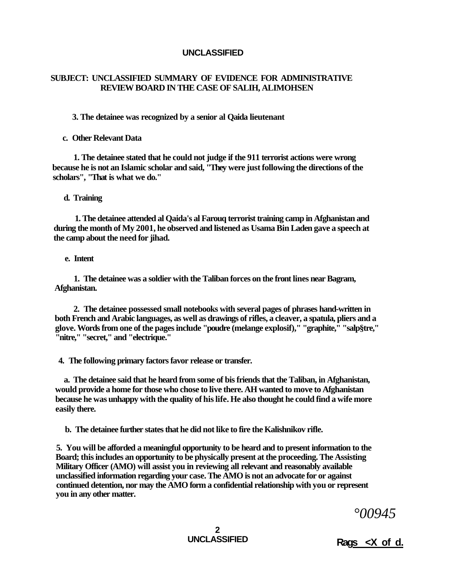### **SUBJECT: UNCLASSIFIED SUMMARY OF EVIDENCE FOR ADMINISTRATIVE REVIEW BOARD IN THE CASE OF SALIH, ALIMOHSEN**

**3. The detainee was recognized by a senior al Qaida lieutenant** 

**c. Other Relevant Data** 

**1. The detainee stated that he could not judge if the 911 terrorist actions were wrong because he is not an Islamic scholar and said, "They were just following the directions of the scholars", "That is what we do."** 

**d. Training** 

**1. The detainee attended al Qaida's al Farouq terrorist training camp in Afghanistan and during the month of My 2001, he observed and listened as Usama Bin Laden gave a speech at the camp about the need for jihad.** 

**e. Intent** 

**1. The detainee was a soldier with the Taliban forces on the front lines near Bagram, Afghanistan.** 

**2. The detainee possessed small notebooks with several pages of phrases hand-written in both French and Arabic languages, as well as drawings of rifles, a cleaver, a spatula, pliers and a glove. Words from one of the pages include "poudre (melange explosif)," "graphite," "salp§tre," "nitre," "secret," and "electrique."** 

**4. The following primary factors favor release or transfer.** 

**a. The detainee said that he heard from some of bis friends that the Taliban, in Afghanistan, would provide a home for those who chose to live there. AH wanted to move to Afghanistan because he was unhappy with the quality of his life. He also thought he could find a wife more easily there.** 

**b. The detainee further states that he did not like to fire the Kalishnikov rifle.** 

**5. You will be afforded a meaningful opportunity to be heard and to present information to the Board; this includes an opportunity to be physically present at the proceeding. The Assisting Military Officer (AMO) will assist you in reviewing all relevant and reasonably available unclassified information regarding your case. The AMO is not an advocate for or against continued detention, nor may the AMO form a confidential relationship with you or represent you in any other matter.** 

*°00945* 

2<br>UNCLASSIFIED

**UNCLASSIFIED Rags <X of d.**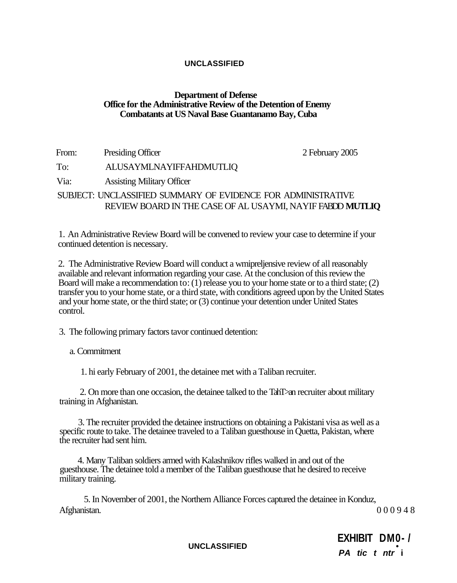### **Department of Defense Office for the Administrative Review of the Detention of Enemy Combatants at US Naval Base Guantanamo Bay, Cuba**

From: Presiding Officer 2 February 2005

Via: Assisting Military Officer

To: ALUSAYMLNAYIFFAHDMUTLIQ

SUBJECT: UNCLASSIFIED SUMMARY OF EVIDENCE FOR ADMINISTRATIVE REVIEW BOARD IN THE CASE OF AL USAYMI, NAYIF FABDD **MUTLIQ** 

1. An Administrative Review Board will be convened to review your case to determine if your continued detention is necessary.

2. The Administrative Review Board will conduct a wmipreljensive review of all reasonably available and relevant information regarding your case. At the conclusion of this review the Board will make a recommendation to: (1) release you to your home state or to a third state; (2) transfer you to your home state, or a third state, with conditions agreed upon by the United States and your home state, or the third state; or (3) continue your detention under United States control.

3. The following primary factors tavor continued detention:

a. Commitment

1. hi early February of 2001, the detainee met with a Taliban recruiter.

2. On more than one occasion, the detainee talked to the TahT>an recruiter about military training in Afghanistan.

3. The recruiter provided the detainee instructions on obtaining a Pakistani visa as well as a specific route to take. The detainee traveled to a Taliban guesthouse in Quetta, Pakistan, where the recruiter had sent him.

4. Many Taliban soldiers armed with Kalashnikov rifles walked in and out of the guesthouse. The detainee told a member of the Taliban guesthouse that he desired to receive military training.

5. In November of 2001, the Northern Alliance Forces captured the detainee in Konduz, Afghanistan. 00094 8

**UNCLASSIFIED •** 

**EXHIBIT DM0- / PA tic t ntr i**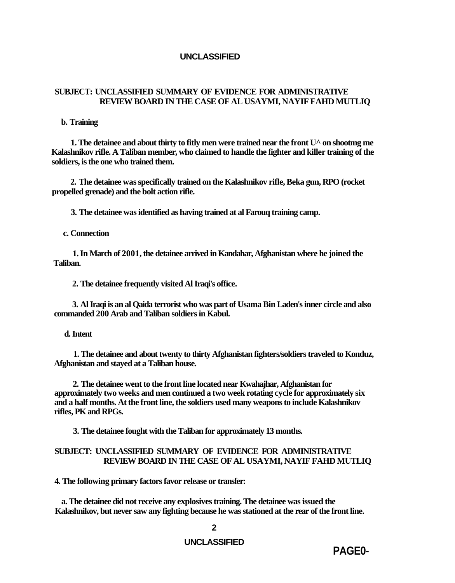### **SUBJECT: UNCLASSIFIED SUMMARY OF EVIDENCE FOR ADMINISTRATIVE REVIEW BOARD IN THE CASE OF AL USAYMI, NAYIF FAHD MUTLIQ**

#### **b. Training**

**1. The detainee and about thirty to fitly men were trained near the front U^ on shootmg me Kalashnikov rifle. A Taliban member, who claimed to handle the fighter and killer training of the soldiers, is the one who trained them.** 

**2. The detainee was specifically trained on the Kalashnikov rifle, Beka gun, RPO (rocket propelled grenade) and the bolt action rifle.** 

**3. The detainee was identified as having trained at al Farouq training camp.** 

**c. Connection** 

**1. In March of 2001, the detainee arrived in Kandahar, Afghanistan where he joined the Taliban.** 

**2. The detainee frequently visited Al Iraqi's office.** 

**3. Al Iraqi is an al Qaida terrorist who was part of Usama Bin Laden's inner circle and also commanded 200 Arab and Taliban soldiers in Kabul.** 

#### **d. Intent**

**1. The detainee and about twenty to thirty Afghanistan fighters/soldiers traveled to Konduz, Afghanistan and stayed at a Taliban house.** 

**2. The detainee went to the front line located near Kwahajhar, Afghanistan for approximately two weeks and men continued a two week rotating cycle for approximately six and a half months. At the front line, the soldiers used many weapons to include Kalashnikov rifles, PK and RPGs.** 

**3. The detainee fought with the Taliban for approximately 13 months.** 

### **SUBJECT: UNCLASSIFIED SUMMARY OF EVIDENCE FOR ADMINISTRATIVE REVIEW BOARD IN THE CASE OF AL USAYMI, NAYIF FAHD MUTLIQ**

**4. The following primary factors favor release or transfer:** 

**a. The detainee did not receive any explosives training. The detainee was issued the Kalashnikov, but never saw any fighting because he was stationed at the rear of the front line.** 

### **UNCLASSIFIED**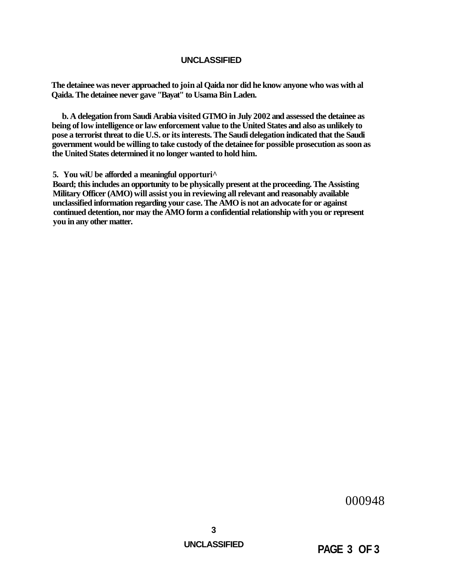**The detainee was never approached to join al Qaida nor did he know anyone who was with al Qaida. The detainee never gave "Bayat" to Usama Bin Laden.** 

**b. A delegation from Saudi Arabia visited GTMO in July 2002 and assessed the detainee as being of low intelligence or law enforcement value to the United States and also as unlikely to pose a terrorist threat to die U.S. or its interests. The Saudi delegation indicated that the Saudi government would be willing to take custody of the detainee for possible prosecution as soon as the United States determined it no longer wanted to hold him.** 

**5. You wiU be afforded a meaningful opporturi^** 

**Board; this includes an opportunity to be physically present at the proceeding. The Assisting Military Officer (AMO) will assist you in reviewing all relevant and reasonably available unclassified information regarding your case. The AMO is not an advocate for or against continued detention, nor may the AMO form a confidential relationship with you or represent you in any other matter.** 

000948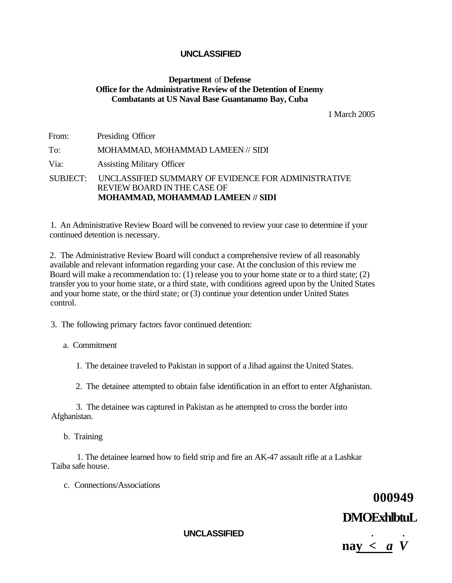### **Department** of **Defense Office for the Administrative Review of the Detention of Enemy Combatants at US Naval Base Guantanamo Bay, Cuba**

1 March 2005

| From:    | Presiding Officer                                                                                                              |
|----------|--------------------------------------------------------------------------------------------------------------------------------|
| To:      | MOHAMMAD, MOHAMMAD LAMEEN // SIDI                                                                                              |
| Via:     | <b>Assisting Military Officer</b>                                                                                              |
| SUBJECT: | UNCLASSIFIED SUMMARY OF EVIDENCE FOR ADMINISTRATIVE<br><b>REVIEW BOARD IN THE CASE OF</b><br>MOHAMMAD, MOHAMMAD LAMEEN // SIDI |

1. An Administrative Review Board will be convened to review your case to determine if your continued detention is necessary.

2. The Administrative Review Board will conduct a comprehensive review of all reasonably available and relevant information regarding your case. At the conclusion of this review me Board will make a recommendation to:  $(1)$  release you to your home state or to a third state;  $(2)$ transfer you to your home state, or a third state, with conditions agreed upon by the United States and your home state, or the third state; or (3) continue your detention under United States control.

3. The following primary factors favor continued detention:

a. Commitment

1. The detainee traveled to Pakistan in support of a Jihad against the United States.

2. The detainee attempted to obtain false identification in an effort to enter Afghanistan.

3. The detainee was captured in Pakistan as he attempted to cross the border into Afghanistan.

b. Training

1. The detainee learned how to field strip and fire an AK-47 assault rifle at a Lashkar Taiba safe house.

c. Connections/Associations

# **000949 DMOExhlbtuL**

**UNCLASSIFIED . .** 

 $\textbf{nav} < a \textbf{V}$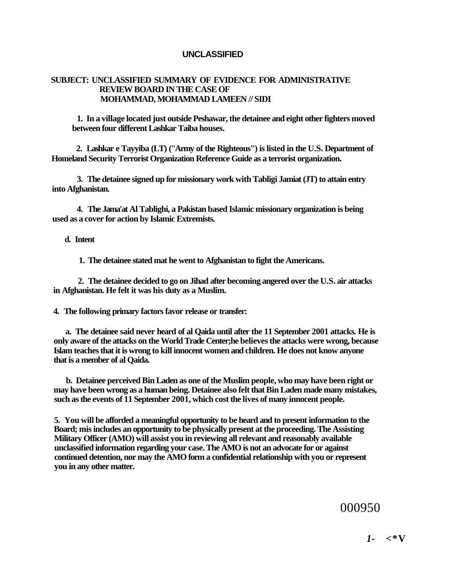### **SUBJECT: UNCLASSIFIED SUMMARY OF EVIDENCE FOR ADMINISTRATIVE REVIEW BOARD IN THE CASE OF MOHAMMAD, MOHAMMAD LAMEEN // SIDI**

**1. In a village located just outside Peshawar, the detainee and eight other fighters moved between four different Lashkar Taiba houses.** 

**2. Lashkar e Tayyiba (LT) ("Army of the Righteous") is listed in the U.S. Department of Homeland Security Terrorist Organization Reference Guide as a terrorist organization.** 

**3. The detainee signed up for missionary work with Tabligi Jamiat (JT) to attain entry into Afghanistan.** 

**4. The Jama'at Al Tablighi, a Pakistan based Islamic missionary organization is being used as a cover for action by Islamic Extremists.** 

**d. Intent** 

**1. The detainee stated mat he went to Afghanistan to fight the Americans.** 

**2. The detainee decided to go on Jihad after becoming angered over the U.S. air attacks in Afghanistan. He felt it was his duty as a Muslim.** 

**4. The following primary factors favor release or transfer:** 

**a. The detainee said never heard of al Qaida until after the 11 September 2001 attacks. He is only aware of the attacks on the World Trade Center;he believes the attacks were wrong, because Islam teaches that it is wrong to kill innocent women and children. He does not know anyone that is a member of al Qaida.** 

**b. Detainee perceived Bin Laden as one of the Muslim people, who may have been right or may have been wrong as a human being. Detainee also felt that Bin Laden made many mistakes, such as the events of 11 September 2001, which cost the lives of many innocent people.** 

**5. You will be afforded a meaningful opportunity to be heard and to present information to the Board; mis includes an opportunity to be physically present at the proceeding. The Assisting Military Officer (AMO) will assist you in reviewing all relevant and reasonably available unclassified information regarding your case. The AMO is not an advocate for or against continued detention, nor may the AMO form a confidential relationship with you or represent you in any other matter.** 

000950

*1-* **<\*V**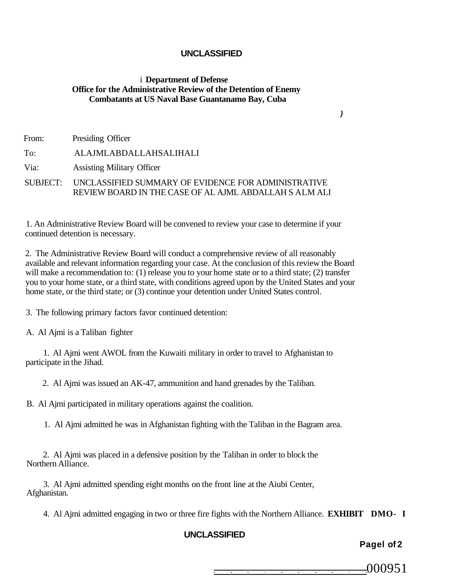### i **Department of Defense Office for the Administrative Review of the Detention of Enemy Combatants at US Naval Base Guantanamo Bay, Cuba**

| From: | Presiding Officer                                                                                                      |
|-------|------------------------------------------------------------------------------------------------------------------------|
| To:   | ALAJMLABDALLAHSALIHALI                                                                                                 |
| Via:  | <b>Assisting Military Officer</b>                                                                                      |
|       | SUBJECT: UNCLASSIFIED SUMMARY OF EVIDENCE FOR ADMINISTRATIVE<br>REVIEW BOARD IN THE CASE OF AL AJML ABDALLAH S ALM ALI |

1. An Administrative Review Board will be convened to review your case to determine if your continued detention is necessary.

2. The Administrative Review Board will conduct a comprehensive review of all reasonably available and relevant information regarding your case. At the conclusion of this review the Board will make a recommendation to: (1) release you to your home state or to a third state; (2) transfer you to your home state, or a third state, with conditions agreed upon by the United States and your home state, or the third state; or (3) continue your detention under United States control.

3. The following primary factors favor continued detention:

A. Al Ajmi is a Taliban fighter

1. Al Ajmi went AWOL from the Kuwaiti military in order to travel to Afghanistan to participate in the Jihad.

2. Al Ajmi was issued an AK-47, ammunition and hand grenades by the Taliban.

B. Al Ajmi participated in military operations against the coalition.

1. Al Ajmi admitted he was in Afghanistan fighting with the Taliban in the Bagram area.

2. Al Ajmi was placed in a defensive position by the Taliban in order to block the Northern Alliance.

3. Al Ajmi admitted spending eight months on the front line at the Aiubi Center, Afghanistan.

4. Al Ajmi admitted engaging in two or three fire fights with the Northern Alliance. **EXHIBIT DMO- I** 

### **UNCLASSIFIED**

**Pagel of 2** 

000951

**)**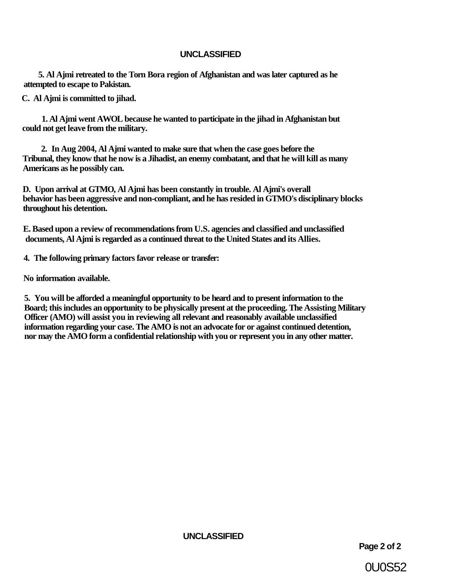**5. Al Ajmi retreated to the Torn Bora region of Afghanistan and was later captured as he attempted to escape to Pakistan.** 

**C. Al Ajmi is committed to jihad.** 

**1. Al Ajmi went AWOL because he wanted to participate in the jihad in Afghanistan but could not get leave from the military.** 

**2. In Aug 2004, Al Ajmi wanted to make sure that when the case goes before the Tribunal, they know that he now is a Jihadist, an enemy combatant, and that he will kill as many Americans as he possibly can.** 

**D. Upon arrival at GTMO, Al Ajmi has been constantly in trouble. Al Ajmi's overall behavior has been aggressive and non-compliant, and he has resided in GTMO's disciplinary blocks throughout his detention.** 

**E. Based upon a review of recommendations from U.S. agencies and classified and unclassified documents, Al Ajmi is regarded as a continued threat to the United States and its Allies.** 

**4. The following primary factors favor release or transfer:** 

**No information available.** 

**5. You will be afforded a meaningful opportunity to be heard and to present information to the Board; this includes an opportunity to be physically present at the proceeding. The Assisting Military Officer (AMO) will assist you in reviewing all relevant and reasonably available unclassified information regarding your case. The AMO is not an advocate for or against continued detention, nor may the AMO form a confidential relationship with you or represent you in any other matter.** 

**UNCLASSIFIED** 

**Page 2 of 2** 

0U0S52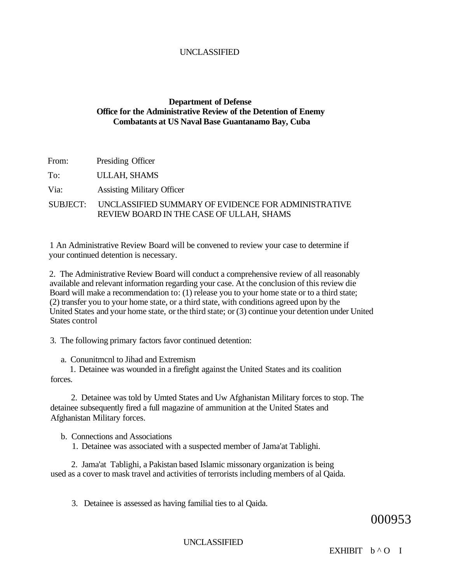### **Department of Defense Office for the Administrative Review of the Detention of Enemy Combatants at US Naval Base Guantanamo Bay, Cuba**

From: Presiding Officer

To: ULLAH, SHAMS

Via: Assisting Military Officer

### SUBJECT: UNCLASSIFIED SUMMARY OF EVIDENCE FOR ADMINISTRATIVE REVIEW BOARD IN THE CASE OF ULLAH, SHAMS

1 An Administrative Review Board will be convened to review your case to determine if your continued detention is necessary.

2. The Administrative Review Board will conduct a comprehensive review of all reasonably available and relevant information regarding your case. At the conclusion of this review die Board will make a recommendation to: (1) release you to your home state or to a third state; (2) transfer you to your home state, or a third state, with conditions agreed upon by the United States and your home state, or the third state; or (3) continue your detention under United States control

3. The following primary factors favor continued detention:

a. Conunitmcnl to Jihad and Extremism

1. Detainee was wounded in a firefight against the United States and its coalition forces.

2. Detainee was told by Umted States and Uw Afghanistan Military forces to stop. The detainee subsequently fired a full magazine of ammunition at the United States and Afghanistan Military forces.

b. Connections and Associations

1. Detainee was associated with a suspected member of Jama'at Tablighi.

2. Jama'at Tablighi, a Pakistan based Islamic missonary organization is being used as a cover to mask travel and activities of terrorists including members of al Qaida.

3. Detainee is assessed as having familial ties to al Qaida.

### 000953

UNCLASSIFIED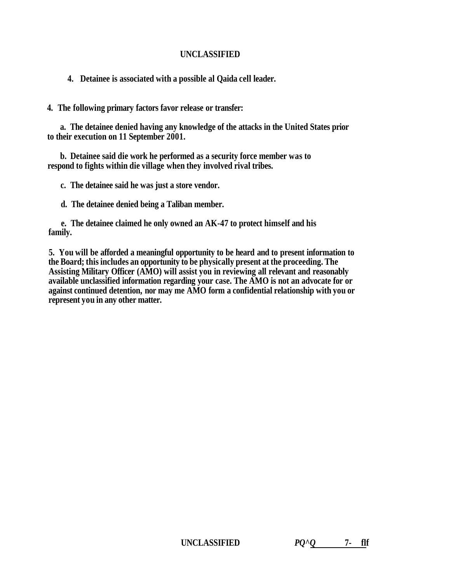**4. Detainee is associated with a possible al Qaida cell leader.** 

**4. The following primary factors favor release or transfer:** 

**a. The detainee denied having any knowledge of the attacks in the United States prior to their execution on 11 September 2001.** 

**b. Detainee said die work he performed as a security force member was to respond to fights within die village when they involved rival tribes.** 

**c. The detainee said he was just a store vendor.** 

**d. The detainee denied being a Taliban member.** 

**e. The detainee claimed he only owned an AK-47 to protect himself and his family.** 

**5. You will be afforded a meaningful opportunity to be heard and to present information to the Board; this includes an opportunity to be physically present at the proceeding. The Assisting Military Officer (AMO) will assist you in reviewing all relevant and reasonably available unclassified information regarding your case. The AMO is not an advocate for or against continued detention, nor may me AMO form a confidential relationship with you or represent you in any other matter.**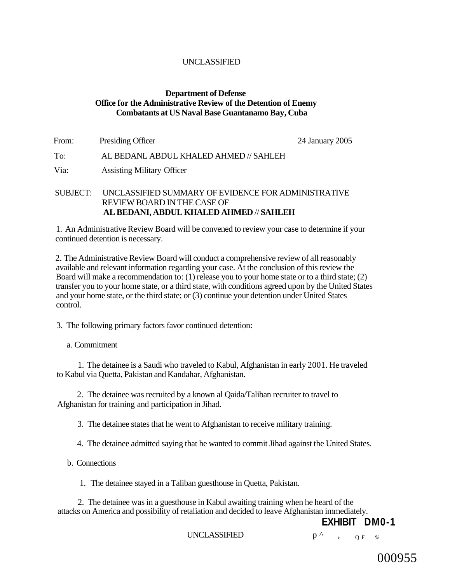### **Department of Defense Office for the Administrative Review of the Detention of Enemy Combatants at US Naval Base Guantanamo Bay, Cuba**

| From: | Presiding Officer                      | 24 January 2005 |
|-------|----------------------------------------|-----------------|
| To:   | AL BEDANL ABDUL KHALED AHMED // SAHLEH |                 |
| Via:  | <b>Assisting Military Officer</b>      |                 |

### SUBJECT: UNCLASSIFIED SUMMARY OF EVIDENCE FOR ADMINISTRATIVE REVIEW BOARD IN THE CASE OF **AL BEDANI, ABDUL KHALED AHMED** // **SAHLEH**

1. An Administrative Review Board will be convened to review your case to determine if your continued detention is necessary.

2. The Administrative Review Board will conduct a comprehensive review of all reasonably available and relevant information regarding your case. At the conclusion of this review the Board will make a recommendation to: (1) release you to your home state or to a third state; (2) transfer you to your home state, or a third state, with conditions agreed upon by the United States and your home state, or the third state; or (3) continue your detention under United States control.

3. The following primary factors favor continued detention:

### a. Commitment

1. The detainee is a Saudi who traveled to Kabul, Afghanistan in early 2001. He traveled to Kabul via Quetta, Pakistan and Kandahar, Afghanistan.

2. The detainee was recruited by a known al Qaida/Taliban recruiter to travel to Afghanistan for training and participation in Jihad.

3. The detainee states that he went to Afghanistan to receive military training.

4. The detainee admitted saying that he wanted to commit Jihad against the United States.

b. Connections

1. The detainee stayed in a Taliban guesthouse in Quetta, Pakistan.

2. The detainee was in a guesthouse in Kabul awaiting training when he heard of the attacks on America and possibility of retaliation and decided to leave Afghanistan immediately.

**EXHIBIT DM0-1** 

UNCLASSIFIED  $p^{\wedge}$ ,  $_{Q F}$  %

000955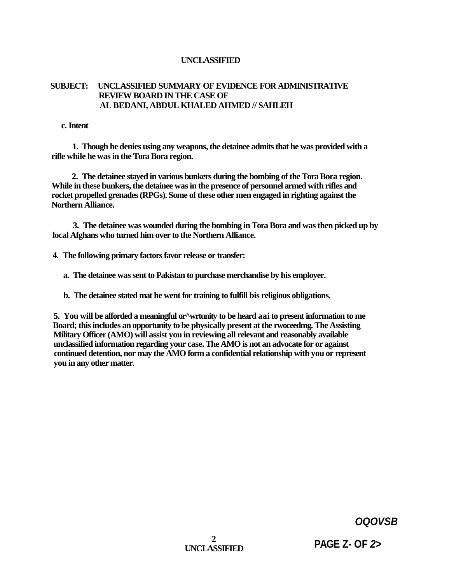### **SUBJECT: UNCLASSIFIED SUMMARY OF EVIDENCE FOR ADMINISTRATIVE REVIEW BOARD IN THE CASE OF AL BEDANI, ABDUL KHALED AHMED // SAHLEH**

**c. Intent** 

**1. Though he denies using any weapons, the detainee admits that he was provided with a rifle while he was in the Tora Bora region.** 

**2. The detainee stayed in various bunkers during the bombing of the Tora Bora region. While in these bunkers, the detainee was in the presence of personnel armed with rifles and rocket propelled grenades (RPGs). Some of these other men engaged in righting against the Northern Alliance.** 

**3. The detainee was wounded during the bombing in Tora Bora and was then picked up by local Afghans who turned him over to the Northern Alliance.** 

**4. The following primary factors favor release or transfer:** 

**a. The detainee was sent to Pakistan to purchase merchandise by his employer.** 

**b. The detainee stated mat he went for training to fulfill bis religious obligations.** 

**5. You will be afforded a meaningful or^wrtunity to be heard aai to present information to me Board; this includes an opportunity to be physically present at the rwoceedmg. The Assisting Military Officer (AMO) will assist you in reviewing all relevant and reasonably available unclassified information regarding your case. The AMO is not an advocate for or against continued detention, nor may the AMO form a confidential relationship with you or represent you in any other matter.** 

**OQOVSB** 

 $\gamma$ **UNCLASSIFIED** 

**PAGE Z- OF 2>**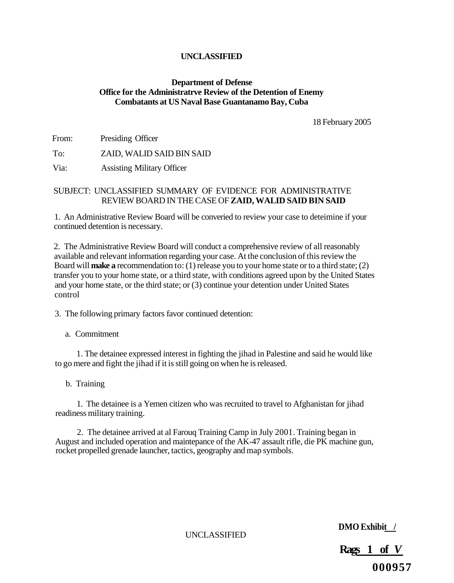### **Department of Defense Office for the Administratrve Review of the Detention of Enemy Combatants at US Naval Base Guantanamo Bay, Cuba**

18 February 2005

From: Presiding Officer

To: ZAID, WALID SAID BIN SAID

Via: Assisting Military Officer

### SUBJECT: UNCLASSIFIED SUMMARY OF EVIDENCE FOR ADMINISTRATIVE REVIEW BOARD IN THE CASE OF **ZAID, WALID SAID BIN SAID**

1. An Administrative Review Board will be converied to review your case to deteimine if your continued detention is necessary.

2. The Administrative Review Board will conduct a comprehensive review of all reasonably available and relevant information regarding your case. At the conclusion of this review the Board will **make a** recommendation to: (1) release you to your home state or to a third state; (2) transfer you to your home state, or a third state, with conditions agreed upon by the United States and your home state, or the third state; or (3) continue your detention under United States control

3. The following primary factors favor continued detention:

a. Commitment

1. The detainee expressed interest in fighting the jihad in Palestine and said he would like to go mere and fight the jihad if it is still going on when he is released.

b. Training

1. The detainee is a Yemen citizen who was recruited to travel to Afghanistan for jihad readiness military training.

2. The detainee arrived at al Farouq Training Camp in July 2001. Training began in August and included operation and maintepance of the AK-47 assault rifle, die PK machine gun, rocket propelled grenade launcher, tactics, geography and map symbols.

**DMO Exhibit /** 

UNCLASSIFIED

**Rags 1 of** *V*  **000957**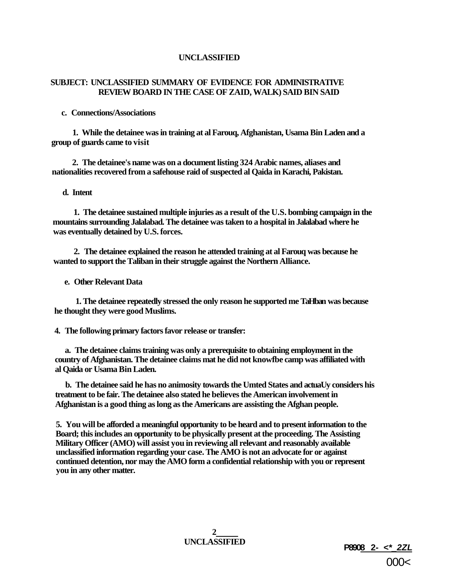### **SUBJECT: UNCLASSIFIED SUMMARY OF EVIDENCE FOR ADMINISTRATIVE REVIEW BOARD IN THE CASE OF ZAID, WALK) SAID BIN SAID**

#### **c. Connections/Associations**

**1. While the detainee was in training at al Farouq, Afghanistan, Usama Bin Laden and a group of guards came to visit** 

**2. The detainee's name was on a document listing 324 Arabic names, aliases and nationalities recovered from a safehouse raid of suspected al Qaida in Karachi, Pakistan.** 

#### **d. Intent**

**1. The detainee sustained multiple injuries as a result of the U.S. bombing campaign in the mountains surrounding Jalalabad. The detainee was taken to a hospital in Jalalabad where he was eventually detained by U.S. forces.** 

**2. The detainee explained the reason he attended training at al Farouq was because he wanted to support the Taliban in their struggle against the Northern Alliance.** 

**e. Other Relevant Data** 

**1. The detainee repeatedly stressed the only reason he supported me TaHban was because he thought they were good Muslims.** 

**4. The following primary factors favor release or transfer:** 

**a. The detainee claims training was only a prerequisite to obtaining employment in the country of Afghanistan. The detainee claims mat he did not knowfbe camp was affiliated with al Qaida or Usama Bin Laden.** 

**b. The detainee said he has no animosity towards the Umted States and actuaUy considers his treatment to be fair. The detainee also stated he believes the American involvement in Afghanistan is a good thing as long as the Americans are assisting the Afghan people.** 

**5. You will be afforded a meaningful opportunity to be heard and to present information to the Board; this includes an opportunity to be physically present at the proceeding. The Assisting Military Officer (AMO) will assist you in reviewing all relevant and reasonably available unclassified information regarding your case. The AMO is not an advocate for or against continued detention, nor may the AMO form a confidential relationship with you or represent you in any other matter.** 

**2** 

**UNCLASSIFIED P8908 2- <\*\_2ZL**  000<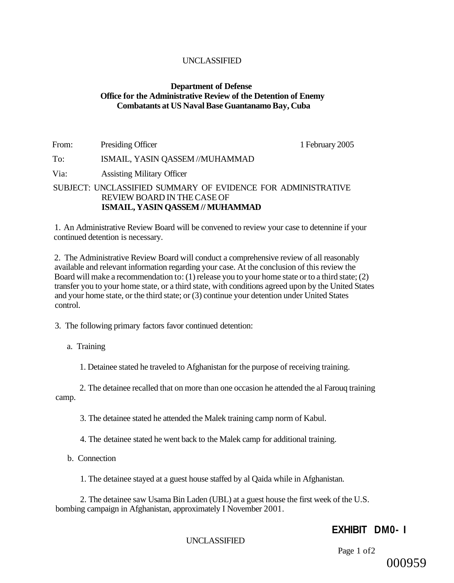### **Department of Defense Office for the Administrative Review of the Detention of Enemy Combatants at US Naval Base Guantanamo Bay, Cuba**

From: Presiding Officer 1 February 2005 To: ISMAIL, YASIN QASSEM //MUHAMMAD Via: Assisting Military Officer SUBJECT: UNCLASSIFIED SUMMARY OF EVIDENCE FOR ADMINISTRATIVE REVIEW BOARD IN THE CASE OF **ISMAIL, YASIN QASSEM // MUHAMMAD** 

1. An Administrative Review Board will be convened to review your case to detennine if your continued detention is necessary.

2. The Administrative Review Board will conduct a comprehensive review of all reasonably available and relevant information regarding your case. At the conclusion of this review the Board will make a recommendation to: (1) release you to your home state or to a third state; (2) transfer you to your home state, or a third state, with conditions agreed upon by the United States and your home state, or the third state; or (3) continue your detention under United States control.

3. The following primary factors favor continued detention:

a. Training

1. Detainee stated he traveled to Afghanistan for the purpose of receiving training.

2. The detainee recalled that on more than one occasion he attended the al Farouq training camp.

3. The detainee stated he attended the Malek training camp norm of Kabul.

4. The detainee stated he went back to the Malek camp for additional training.

b. Connection

1. The detainee stayed at a guest house staffed by al Qaida while in Afghanistan.

2. The detainee saw Usama Bin Laden (UBL) at a guest house the first week of the U.S. bombing campaign in Afghanistan, approximately I November 2001.

### **EXHIBIT DM0- I**

### UNCLASSIFIED

Page 1 of2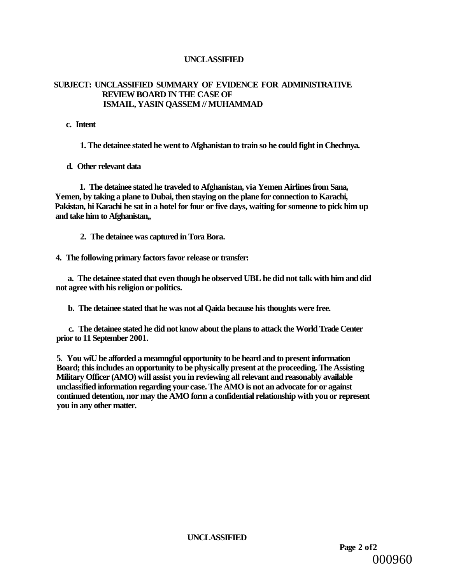### **SUBJECT: UNCLASSIFIED SUMMARY OF EVIDENCE FOR ADMINISTRATIVE REVIEW BOARD IN THE CASE OF ISMAIL, YASIN QASSEM // MUHAMMAD**

**c. Intent** 

**1. The detainee stated he went to Afghanistan to train so he could fight in Chechnya.** 

**d. Other relevant data** 

**1. The detainee stated he traveled to Afghanistan, via Yemen Airlines from Sana, Yemen, by taking a plane to Dubai, then staying on the plane for connection to Karachi, Pakistan, hi Karachi he sat in a hotel for four or five days, waiting for someone to pick him up and take him to Afghanistan,,** 

**2. The detainee was captured in Tora Bora.** 

**4. The following primary factors favor release or transfer:** 

**a. The detainee stated that even though he observed UBL he did not talk with him and did not agree with his religion or politics.** 

**b. The detainee stated that he was not al Qaida because his thoughts were free.** 

**c. The detainee stated he did not know about the plans to attack the World Trade Center prior to 11 September 2001.** 

**5. You wiU be afforded a meamngful opportunity to be heard and to present information Board; this includes an opportunity to be physically present at the proceeding. The Assisting Military Officer (AMO) will assist you in reviewing all relevant and reasonably available unclassified information regarding your case. The AMO is not an advocate for or against continued detention, nor may the AMO form a confidential relationship with you or represent you in any other matter.** 

**UNCLASSIFIED** 

**Page 2 of2**  000960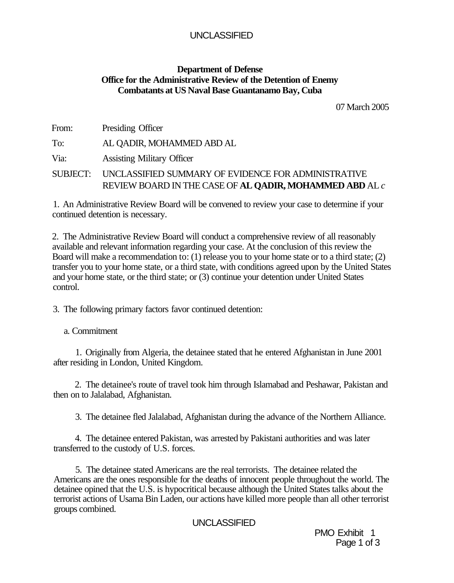### **Department of Defense Office for the Administrative Review of the Detention of Enemy Combatants at US Naval Base Guantanamo Bay, Cuba**

07 March 2005

From: Presiding Officer

To: AL QADIR, MOHAMMED ABD AL

Via: Assisting Military Officer

SUBJECT: UNCLASSIFIED SUMMARY OF EVIDENCE FOR ADMINISTRATIVE REVIEW BOARD IN THE CASE OF **AL QADIR, MOHAMMED ABD** AL *c* 

1. An Administrative Review Board will be convened to review your case to determine if your continued detention is necessary.

2. The Administrative Review Board will conduct a comprehensive review of all reasonably available and relevant information regarding your case. At the conclusion of this review the Board will make a recommendation to: (1) release you to your home state or to a third state; (2) transfer you to your home state, or a third state, with conditions agreed upon by the United States and your home state, or the third state; or (3) continue your detention under United States control.

3. The following primary factors favor continued detention:

a. Commitment

1. Originally from Algeria, the detainee stated that he entered Afghanistan in June 2001 after residing in London, United Kingdom.

2. The detainee's route of travel took him through Islamabad and Peshawar, Pakistan and then on to Jalalabad, Afghanistan.

3. The detainee fled Jalalabad, Afghanistan during the advance of the Northern Alliance.

4. The detainee entered Pakistan, was arrested by Pakistani authorities and was later transferred to the custody of U.S. forces.

5. The detainee stated Americans are the real terrorists. The detainee related the Americans are the ones responsible for the deaths of innocent people throughout the world. The detainee opined that the U.S. is hypocritical because although the United States talks about the terrorist actions of Usama Bin Laden, our actions have killed more people than all other terrorist groups combined.

### UNCLASSIFIED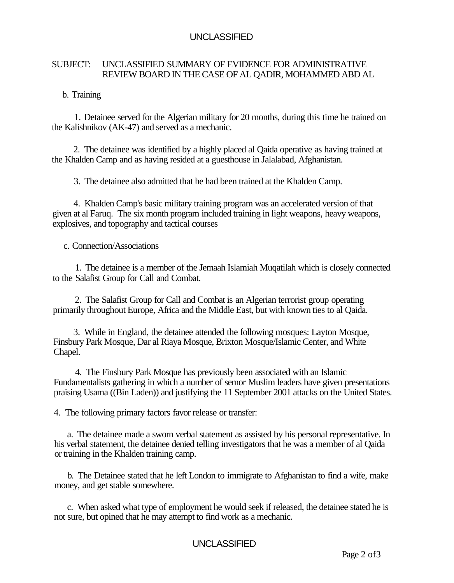### SUBJECT: UNCLASSIFIED SUMMARY OF EVIDENCE FOR ADMINISTRATIVE REVIEW BOARD IN THE CASE OF AL QADIR, MOHAMMED ABD AL

### b. Training

1. Detainee served for the Algerian military for 20 months, during this time he trained on the Kalishnikov (AK-47) and served as a mechanic.

2. The detainee was identified by a highly placed al Qaida operative as having trained at the Khalden Camp and as having resided at a guesthouse in Jalalabad, Afghanistan.

3. The detainee also admitted that he had been trained at the Khalden Camp.

4. Khalden Camp's basic military training program was an accelerated version of that given at al Faruq. The six month program included training in light weapons, heavy weapons, explosives, and topography and tactical courses

### c. Connection/Associations

1. The detainee is a member of the Jemaah Islamiah Muqatilah which is closely connected to the Salafist Group for Call and Combat.

2. The Salafist Group for Call and Combat is an Algerian terrorist group operating primarily throughout Europe, Africa and the Middle East, but with known ties to al Qaida.

3. While in England, the detainee attended the following mosques: Layton Mosque, Finsbury Park Mosque, Dar al Riaya Mosque, Brixton Mosque/Islamic Center, and White Chapel.

4. The Finsbury Park Mosque has previously been associated with an Islamic Fundamentalists gathering in which a number of semor Muslim leaders have given presentations praising Usama ((Bin Laden)) and justifying the 11 September 2001 attacks on the United States.

4. The following primary factors favor release or transfer:

a. The detainee made a sworn verbal statement as assisted by his personal representative. In his verbal statement, the detainee denied telling investigators that he was a member of al Qaida or training in the Khalden training camp.

b. The Detainee stated that he left London to immigrate to Afghanistan to find a wife, make money, and get stable somewhere.

c. When asked what type of employment he would seek if released, the detainee stated he is not sure, but opined that he may attempt to find work as a mechanic.

### UNCLASSIFIED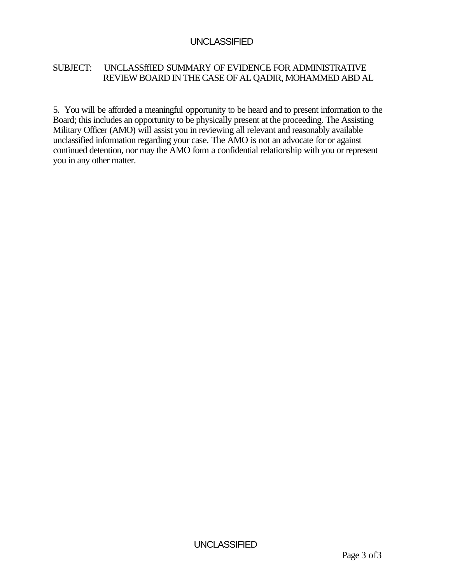### SUBJECT: UNCLASSffIED SUMMARY OF EVIDENCE FOR ADMINISTRATIVE REVIEW BOARD IN THE CASE OF AL QADIR, MOHAMMED ABD AL

5. You will be afforded a meaningful opportunity to be heard and to present information to the Board; this includes an opportunity to be physically present at the proceeding. The Assisting Military Officer (AMO) will assist you in reviewing all relevant and reasonably available unclassified information regarding your case. The AMO is not an advocate for or against continued detention, nor may the AMO form a confidential relationship with you or represent you in any other matter.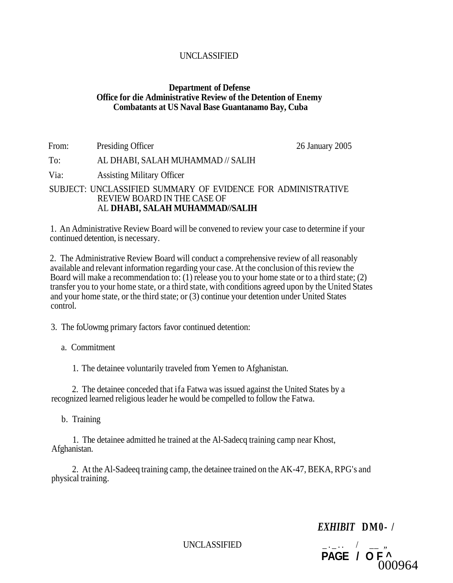### **Department of Defense Office for die Administrative Review of the Detention of Enemy Combatants at US Naval Base Guantanamo Bay, Cuba**

From: Presiding Officer 26 January 2005 To: AL DHABI, SALAH MUHAMMAD // SALIH Via: Assisting Military Officer

### SUBJECT: UNCLASSIFIED SUMMARY OF EVIDENCE FOR ADMINISTRATIVE REVIEW BOARD IN THE CASE OF AL **DHABI, SALAH MUHAMMAD//SALIH**

1. An Administrative Review Board will be convened to review your case to determine if your continued detention, is necessary.

2. The Administrative Review Board will conduct a comprehensive review of all reasonably available and relevant information regarding your case. At the conclusion of this review the Board will make a recommendation to: (1) release you to your home state or to a third state; (2) transfer you to your home state, or a third state, with conditions agreed upon by the United States and your home state, or the third state; or (3) continue your detention under United States control.

3. The foUowmg primary factors favor continued detention:

a. Commitment

1. The detainee voluntarily traveled from Yemen to Afghanistan.

2. The detainee conceded that ifa Fatwa was issued against the United States by a recognized learned religious leader he would be compelled to follow the Fatwa.

b. Training

1. The detainee admitted he trained at the Al-Sadecq training camp near Khost, Afghanistan.

2. At the Al-Sadeeq training camp, the detainee trained on the AK-47, BEKA, RPG's and physical training.

*EXHIBIT* **DM0- /** 

UNCLASSIFIED \_.\_. . / \_\_ *"*  **PAGE / OF ^**  000964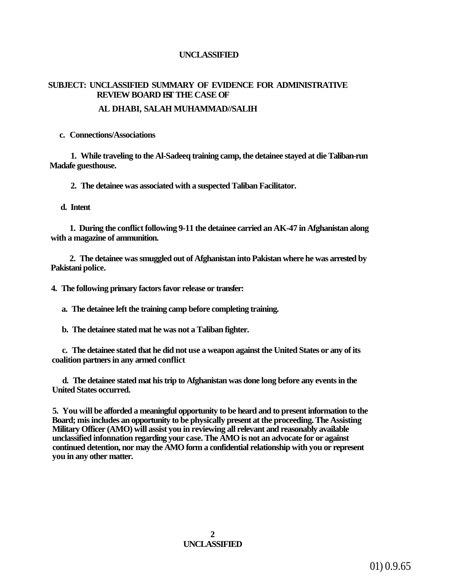### **SUBJECT: UNCLASSIFIED SUMMARY OF EVIDENCE FOR ADMINISTRATIVE REVIEW BOARD EST THE CASE OF**

### **AL DHABI, SALAH MUHAMMAD//SALIH**

**c. Connections/Associations** 

**1. While traveling to the Al-Sadeeq training camp, the detainee stayed at die Taliban-run Madafe guesthouse.** 

**2. The detainee was associated with a suspected Taliban Facilitator.** 

**d. Intent** 

**1. During the conflict following 9-11 the detainee carried an AK-47 in Afghanistan along with a magazine of ammunition.** 

**2. The detainee was smuggled out of Afghanistan into Pakistan where he was arrested by Pakistani police.** 

**4. The following primary factors favor release or transfer:** 

**a. The detainee left the training camp before completing training.** 

**b. The detainee stated mat he was not a Taliban fighter.** 

**c. The detainee stated that he did not use a weapon against the United States or any of its coalition partners in any armed conflict** 

**d. The detainee stated mat his trip to Afghanistan was done long before any events in the United States occurred.** 

**5. You will be afforded a meaningful opportunity to be heard and to present information to the Board; mis includes an opportunity to be physically present at the proceeding. The Assisting Military Officer (AMO) will assist you in reviewing all relevant and reasonably available unclassified infonnation regarding your case. The AMO is not an advocate for or against continued detention, nor may the AMO form a confidential relationship with you or represent you in any other matter.** 

> **2 UNCLASSIFIED**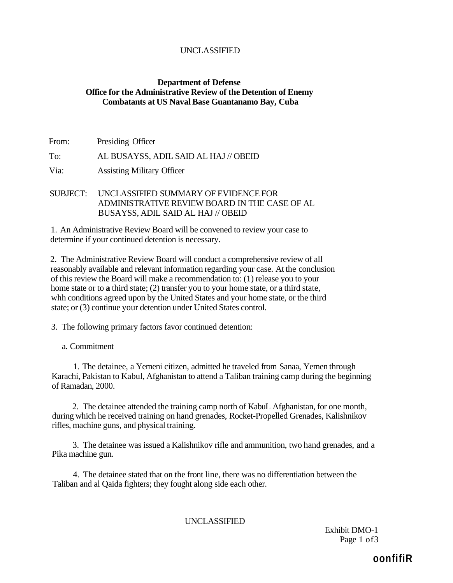### **Department of Defense Office for the Administrative Review of the Detention of Enemy Combatants at US Naval Base Guantanamo Bay, Cuba**

From: Presiding Officer

To: AL BUSAYSS, ADIL SAID AL HAJ // OBEID

Via: Assisting Military Officer

SUBJECT: UNCLASSIFIED SUMMARY OF EVIDENCE FOR ADMINISTRATIVE REVIEW BOARD IN THE CASE OF AL BUSAYSS, ADIL SAID AL HAJ // OBEID

1. An Administrative Review Board will be convened to review your case to determine if your continued detention is necessary.

2. The Administrative Review Board will conduct a comprehensive review of all reasonably available and relevant information regarding your case. At the conclusion of this review the Board will make a recommendation to: (1) release you to your home state or to **a** third state; (2) transfer you to your home state, or a third state, whh conditions agreed upon by the United States and your home state, or the third state; or (3) continue your detention under United States control.

3. The following primary factors favor continued detention:

a. Commitment

1. The detainee, a Yemeni citizen, admitted he traveled from Sanaa, Yemen through Karachi, Pakistan to Kabul, Afghanistan to attend a Taliban training camp during the beginning of Ramadan, 2000.

2. The detainee attended the training camp north of KabuL Afghanistan, for one month, during which he received training on hand grenades, Rocket-Propelled Grenades, Kalishnikov rifles, machine guns, and physical training.

3. The detainee was issued a Kalishnikov rifle and ammunition, two hand grenades, and a Pika machine gun.

4. The detainee stated that on the front line, there was no differentiation between the Taliban and al Qaida fighters; they fought along side each other.

### UNCLASSIFIED

Exhibit DMO-1 Page 1 of 3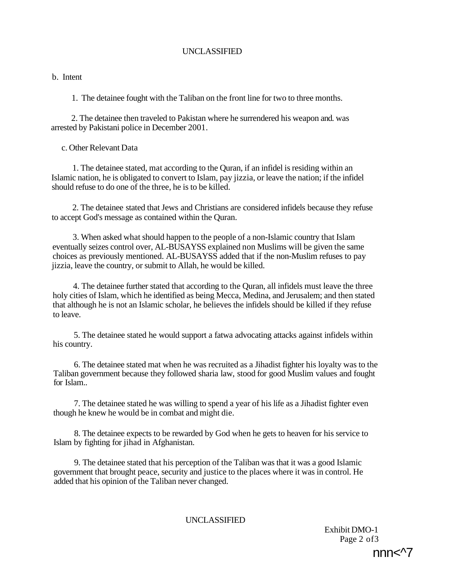### b. Intent

1. The detainee fought with the Taliban on the front line for two to three months.

2. The detainee then traveled to Pakistan where he surrendered his weapon and. was arrested by Pakistani police in December 2001.

### c. Other Relevant Data

1. The detainee stated, mat according to the Quran, if an infidel is residing within an Islamic nation, he is obligated to convert to Islam, pay jizzia, or leave the nation; if the infidel should refuse to do one of the three, he is to be killed.

2. The detainee stated that Jews and Christians are considered infidels because they refuse to accept God's message as contained within the Quran.

3. When asked what should happen to the people of a non-Islamic country that Islam eventually seizes control over, AL-BUSAYSS explained non Muslims will be given the same choices as previously mentioned. AL-BUSAYSS added that if the non-Muslim refuses to pay jizzia, leave the country, or submit to Allah, he would be killed.

4. The detainee further stated that according to the Quran, all infidels must leave the three holy cities of Islam, which he identified as being Mecca, Medina, and Jerusalem; and then stated that although he is not an Islamic scholar, he believes the infidels should be killed if they refuse to leave.

5. The detainee stated he would support a fatwa advocating attacks against infidels within his country.

6. The detainee stated mat when he was recruited as a Jihadist fighter his loyalty was to the Taliban government because they followed sharia law, stood for good Muslim values and fought for Islam..

7. The detainee stated he was willing to spend a year of his life as a Jihadist fighter even though he knew he would be in combat and might die.

8. The detainee expects to be rewarded by God when he gets to heaven for his service to Islam by fighting for jihad in Afghanistan.

9. The detainee stated that his perception of the Taliban was that it was a good Islamic government that brought peace, security and justice to the places where it was in control. He added that his opinion of the Taliban never changed.

### UNCLASSIFIED

Exhibit DMO-1 Page 2 of 3

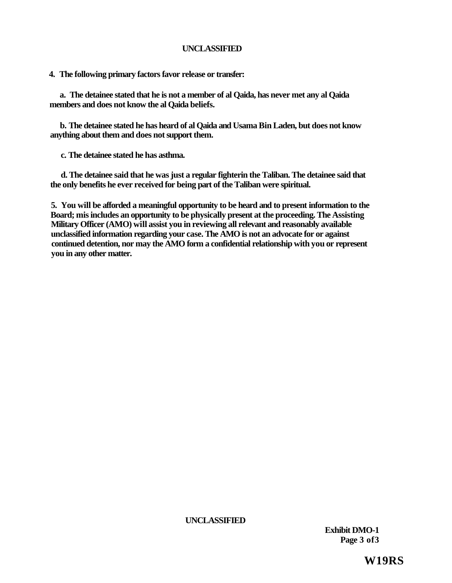**4. The following primary factors favor release or transfer:** 

**a. The detainee stated that he is not a member of al Qaida, has never met any al Qaida members and does not know the al Qaida beliefs.** 

**b. The detainee stated he has heard of al Qaida and Usama Bin Laden, but does not know anything about them and does not support them.** 

**c. The detainee stated he has asthma.** 

**d. The detainee said that he was just a regular fighterin the Taliban. The detainee said that the only benefits he ever received for being part of the Taliban were spiritual.** 

**5. You will be afforded a meaningful opportunity to be heard and to present information to the Board; mis includes an opportunity to be physically present at the proceeding. The Assisting Military Officer (AMO) will assist you in reviewing all relevant and reasonably available unclassified information regarding your case. The AMO is not an advocate for or against continued detention, nor may the AMO form a confidential relationship with you or represent you in any other matter.** 

**UNCLASSIFIED** 

**Exhibit DMO-1 Page 3 of3** 

**W19RS**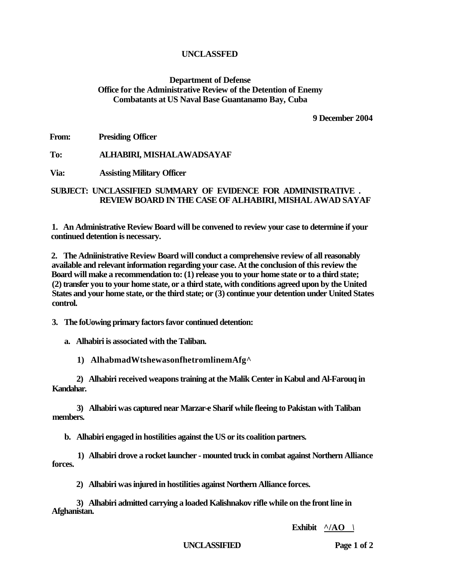### **Department of Defense Office for the Administrative Review of the Detention of Enemy Combatants at US Naval Base Guantanamo Bay, Cuba**

**9 December 2004** 

**From: Presiding Officer** 

**To: ALHABIRI, MISHALAWADSAYAF** 

**Via: Assisting Military Officer** 

### **SUBJECT: UNCLASSIFIED SUMMARY OF EVIDENCE FOR ADMINISTRATIVE . REVIEW BOARD IN THE CASE OF ALHABIRI, MISHAL AWAD SAYAF**

**1. An Administrative Review Board will be convened to review your case to determine if your continued detention is necessary.** 

**2. The Adniinistrative Review Board will conduct a comprehensive review of all reasonably available and relevant information regarding your case. At the conclusion of this review the Board will make a recommendation to: (1) release you to your home state or to a third state; (2) transfer you to your home state, or a third state, with conditions agreed upon by the United States and your home state, or the third state; or (3) continue your detention under United States control.** 

**3. The foUowing primary factors favor continued detention:** 

**a. Alhabiri is associated with the Taliban.** 

**1) AlhabmadWtshewasonfhetromlinemAfg^** 

**2) Alhabiri received weapons training at the Malik Center in Kabul and Al-Farouq in Kandahar.** 

**3) Alhabiri was captured near Marzar-e Sharif while fleeing to Pakistan with Taliban members.** 

**b. Alhabiri engaged in hostilities against the US or its coalition partners.** 

**1) Alhabiri drove a rocket launcher - mounted truck in combat against Northern Alliance forces.** 

**2) Alhabiri was injured in hostilities against Northern Alliance forces.** 

**3) Alhabiri admitted carrying a loaded Kalishnakov rifle while on the front line in Afghanistan.** 

**Exhibit ^/AO** *\* 

**UNCLASSIFIED Page 1 of 2**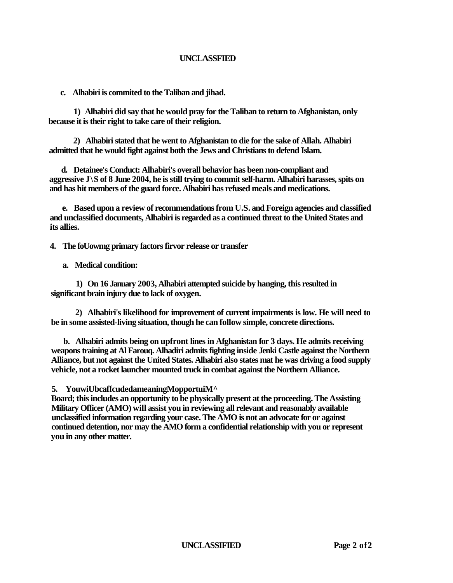**c. Alhabiri is commited to the Taliban and jihad.** 

**1) Alhabiri did say that he would pray for the Taliban to return to Afghanistan, only because it is their right to take care of their religion.** 

**2) Alhabiri stated that he went to Afghanistan to die for the sake of Allah. Alhabiri admitted that he would fight against both the Jews and Christians to defend Islam.** 

**d. Detainee's Conduct: Alhabiri's overall behavior has been non-compliant and aggressive J\S of 8 June 2004, he is still trying to commit self-harm. Alhabiri harasses, spits on and has hit members of the guard force. Alhabiri has refused meals and medications.** 

**e. Based upon a review of recommendations from U.S. and Foreign agencies and classified and unclassified documents, Alhabiri is regarded as a continued threat to the United States and its allies.** 

**4. The foUowmg primary factors firvor release or transfer** 

**a. Medical condition:** 

**1) On 16 January 2003, Alhabiri attempted suicide by hanging, this resulted in significant brain injury due to lack of oxygen.** 

**2) Alhabiri's likelihood for improvement of current impairments is low. He will need to be in some assisted-living situation, though he can follow simple, concrete directions.** 

**b. Alhabiri admits being on upfront lines in Afghanistan for 3 days. He admits receiving weapons training at Al Farouq. Alhadiri admits fighting inside Jenki Castle against the Northern Alliance, but not against the United States. Alhabiri also states mat he was driving a food supply vehicle, not a rocket launcher mounted truck in combat against the Northern Alliance.** 

### **5. YouwiUbcaffcudedameaningMopportuiM^**

**Board; this includes an opportunity to be physically present at the proceeding. The Assisting Military Officer (AMO) will assist you in reviewing all relevant and reasonably available unclassified information regarding your case. The AMO is not an advocate for or against continued detention, nor may the AMO form a confidential relationship with you or represent you in any other matter.** 

**UNCLASSIFIED Page 2 of2**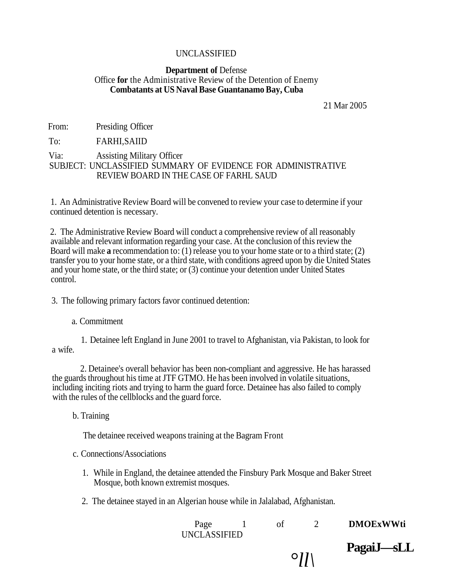### **Department of** Defense Office **for** the Administrative Review of the Detention of Enemy **Combatants at US Naval Base Guantanamo Bay, Cuba**

21 Mar 2005

From: Presiding Officer

To: FARHI,SAIID

### Via: Assisting Military Officer SUBJECT: UNCLASSIFIED SUMMARY OF EVIDENCE FOR ADMINISTRATIVE REVIEW BOARD IN THE CASE OF FARHL SAUD

1. An Administrative Review Board will be convened to review your case to determine if your continued detention is necessary.

2. The Administrative Review Board will conduct a comprehensive review of all reasonably available and relevant information regarding your case. At the conclusion of this review the Board will make **a** recommendation to: (1) release you to your home state or to a third state; (2) transfer you to your home state, or a third state, with conditions agreed upon by die United States and your home state, or the third state; or (3) continue your detention under United States control.

3. The following primary factors favor continued detention:

a. Commitment

1. Detainee left England in June 2001 to travel to Afghanistan, via Pakistan, to look for a wife.

2. Detainee's overall behavior has been non-compliant and aggressive. He has harassed the guards throughout his time at JTF GTMO. He has been involved in volatile situations, including inciting riots and trying to harm the guard force. Detainee has also failed to comply with the rules of the cellblocks and the guard force.

b. Training

The detainee received weapons training at the Bagram Front

### c. Connections/Associations

- 1. While in England, the detainee attended the Finsbury Park Mosque and Baker Street Mosque, both known extremist mosques.
- 2. The detainee stayed in an Algerian house while in Jalalabad, Afghanistan.

| Page         |  |                      | <b>DMOExWWti</b> |
|--------------|--|----------------------|------------------|
| UNCLASSIFIED |  |                      |                  |
|              |  | $\sim$ $\sim$ $\sim$ | PagaiJ—sLI       |

 $^\circ$ l $l$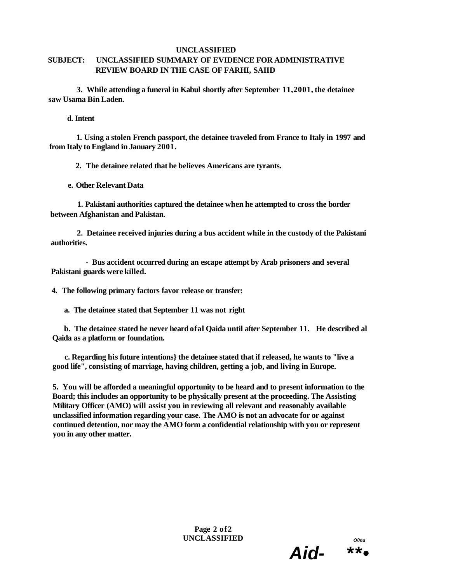### **SUBJECT: UNCLASSIFIED SUMMARY OF EVIDENCE FOR ADMINISTRATIVE REVIEW BOARD IN THE CASE OF FARHI, SAIID**

**3. While attending a funeral in Kabul shortly after September 11,2001, the detainee saw Usama Bin Laden.** 

**d. Intent** 

**1. Using a stolen French passport, the detainee traveled from France to Italy in 1997 and from Italy to England in January 2001.** 

**2. The detainee related that he believes Americans are tyrants.** 

**e. Other Relevant Data** 

**1. Pakistani authorities captured the detainee when he attempted to cross the border between Afghanistan and Pakistan.** 

**2. Detainee received injuries during a bus accident while in the custody of the Pakistani authorities.** 

**- Bus accident occurred during an escape attempt by Arab prisoners and several Pakistani guards were killed.** 

**4. The following primary factors favor release or transfer:** 

**a. The detainee stated that September 11 was not right** 

**b. The detainee stated he never heard ofal Qaida until after September 11. He described al Qaida as a platform or foundation.** 

**c. Regarding his future intentions} the detainee stated that if released, he wants to "live a good life", consisting of marriage, having children, getting a job, and living in Europe.** 

**5. You will be afforded a meaningful opportunity to be heard and to present information to the Board; this includes an opportunity to be physically present at the proceeding. The Assisting Military Officer (AMO) will assist you in reviewing all relevant and reasonably available unclassified information regarding your case. The AMO is not an advocate for or against continued detention, nor may the AMO form a confidential relationship with you or represent you in any other matter.** 

> **Page 2 of2 UNCLASSIFIED** *O0na*



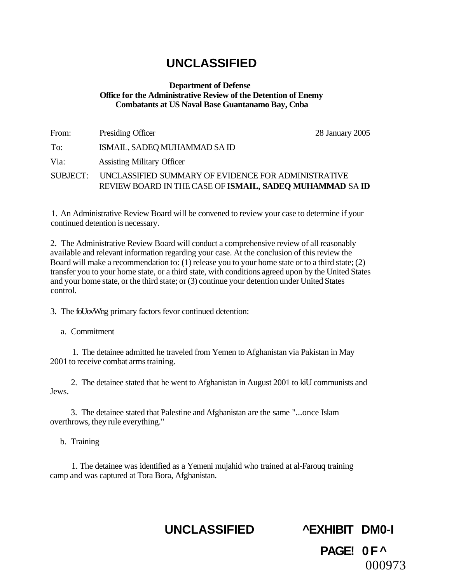### **Department of Defense Office for the Administrative Review of the Detention of Enemy Combatants at US Naval Base Guantanamo Bay, Cnba**

| From:    | Presiding Officer                                                                                               | 28 January 2005 |
|----------|-----------------------------------------------------------------------------------------------------------------|-----------------|
| To:      | ISMAIL, SADEQ MUHAMMAD SA ID                                                                                    |                 |
| Via:     | <b>Assisting Military Officer</b>                                                                               |                 |
| SUBJECT: | UNCLASSIFIED SUMMARY OF EVIDENCE FOR ADMINISTRATIVE<br>REVIEW BOARD IN THE CASE OF ISMAIL, SADEO MUHAMMAD SA ID |                 |

1. An Administrative Review Board will be convened to review your case to determine if your continued detention is necessary.

2. The Administrative Review Board will conduct a comprehensive review of all reasonably available and relevant information regarding your case. At the conclusion of this review the Board will make a recommendation to: (1) release you to your home state or to a third state; (2) transfer you to your home state, or a third state, with conditions agreed upon by the United States and your home state, or the third state; or (3) continue your detention under United States control.

3. The foUovWng primary factors fevor continued detention:

a. Commitment

1. The detainee admitted he traveled from Yemen to Afghanistan via Pakistan in May 2001 to receive combat arms training.

2. The detainee stated that he went to Afghanistan in August 2001 to kiU communists and Jews.

3. The detainee stated that Palestine and Afghanistan are the same "...once Islam overthrows, they rule everything."

b. Training

1. The detainee was identified as a Yemeni mujahid who trained at al-Farouq training camp and was captured at Tora Bora, Afghanistan.

## **UNCLASSIFIED ^EXHIBIT DM0-I**

**PAGE! 0F^**  000973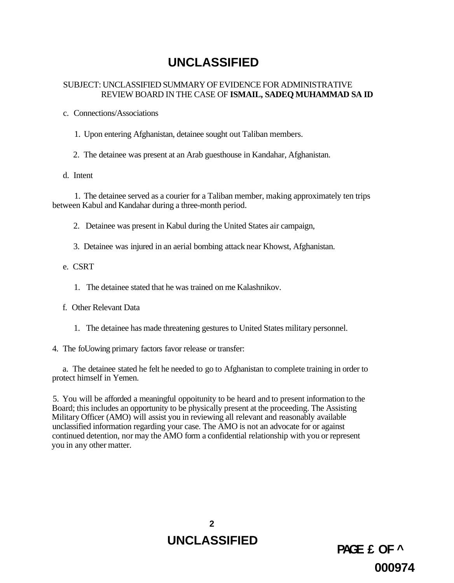### SUBJECT: UNCLASSIFIED SUMMARY OF EVIDENCE FOR ADMINISTRATIVE REVIEW BOARD IN THE CASE OF **ISMAIL, SADEQ MUHAMMAD SA ID**

c. Connections/Associations

1. Upon entering Afghanistan, detainee sought out Taliban members.

2. The detainee was present at an Arab guesthouse in Kandahar, Afghanistan.

d. Intent

1. The detainee served as a courier for a Taliban member, making approximately ten trips between Kabul and Kandahar during a three-month period.

2. Detainee was present in Kabul during the United States air campaign,

3. Detainee was injured in an aerial bombing attack near Khowst, Afghanistan.

e. CSRT

1. The detainee stated that he was trained on me Kalashnikov.

f. Other Relevant Data

1. The detainee has made threatening gestures to United States military personnel.

4. The foUowing primary factors favor release or transfer:

a. The detainee stated he felt he needed to go to Afghanistan to complete training in order to protect himself in Yemen.

5. You will be afforded a meaningful oppoitunity to be heard and to present information to the Board; this includes an opportunity to be physically present at the proceeding. The Assisting Military Officer (AMO) will assist you in reviewing all relevant and reasonably available unclassified information regarding your case. The AMO is not an advocate for or against continued detention, nor may the AMO form a confidential relationship with you or represent you in any other matter.

> **2 UNCLASSIFIED**

**PAGE £ OF ^ 000974**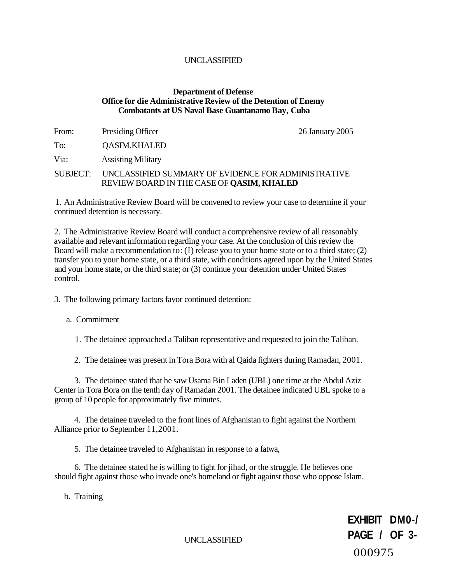### **Department of Defense Office for die Administrative Review of the Detention of Enemy Combatants at US Naval Base Guantanamo Bay, Cuba**

| From:    | Presiding Officer                                                                                       | 26 January 2005 |
|----------|---------------------------------------------------------------------------------------------------------|-----------------|
| To:      | <b>QASIM.KHALED</b>                                                                                     |                 |
| Via:     | <b>Assisting Military</b>                                                                               |                 |
| SUBJECT: | UNCLASSIFIED SUMMARY OF EVIDENCE FOR ADMINISTRATIVE<br>REVIEW BOARD IN THE CASE OF <b>QASIM, KHALED</b> |                 |

1. An Administrative Review Board will be convened to review your case to determine if your continued detention is necessary.

2. The Administrative Review Board will conduct a comprehensive review of all reasonably available and relevant information regarding your case. At the conclusion of this review the Board will make a recommendation to: (I) release you to your home state or to a third state; (2) transfer you to your home state, or a third state, with conditions agreed upon by the United States and your home state, or the third state; or (3) continue your detention under United States control.

3. The following primary factors favor continued detention:

a. Commitment

1. The detainee approached a Taliban representative and requested to join the Taliban.

2. The detainee was present in Tora Bora with al Qaida fighters during Ramadan, 2001.

3. The detainee stated that he saw Usama Bin Laden (UBL) one time at the Abdul Aziz Center in Tora Bora on the tenth day of Ramadan 2001. The detainee indicated UBL spoke to a group of 10 people for approximately five minutes.

4. The detainee traveled to the front lines of Afghanistan to fight against the Northern Alliance prior to September 11,2001.

5. The detainee traveled to Afghanistan in response to a fatwa,

6. The detainee stated he is willing to fight for jihad, or the struggle. He believes one should fight against those who invade one's homeland or fight against those who oppose Islam.

b. Training

**EXHIBIT DM0-/ PAGE / OF 3-** UNCLASSIFIED 000975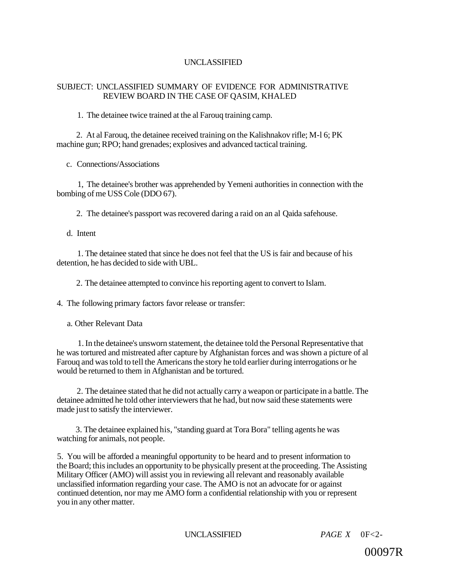### SUBJECT: UNCLASSIFIED SUMMARY OF EVIDENCE FOR ADMINISTRATIVE REVIEW BOARD IN THE CASE OF QASIM, KHALED

1. The detainee twice trained at the al Farouq training camp.

2. At al Farouq, the detainee received training on the Kalishnakov rifle; M-l 6; PK machine gun; RPO; hand grenades; explosives and advanced tactical training.

c. Connections/Associations

1, The detainee's brother was apprehended by Yemeni authorities in connection with the bombing of me USS Cole (DDO 67).

2. The detainee's passport was recovered daring a raid on an al Qaida safehouse.

d. Intent

1. The detainee stated that since he does not feel that the US is fair and because of his detention, he has decided to side with UBL.

2. The detainee attempted to convince his reporting agent to convert to Islam.

4. The following primary factors favor release or transfer:

a. Other Relevant Data

1. In the detainee's unsworn statement, the detainee told the Personal Representative that he was tortured and mistreated after capture by Afghanistan forces and was shown a picture of al Farouq and was told to tell the Americans the story he told earlier during interrogations or he would be returned to them in Afghanistan and be tortured.

2. The detainee stated that he did not actually carry a weapon or participate in a battle. The detainee admitted he told other interviewers that he had, but now said these statements were made just to satisfy the interviewer.

3. The detainee explained his, "standing guard at Tora Bora" telling agents he was watching for animals, not people.

5. You will be afforded a meaningful opportunity to be heard and to present information to the Board; this includes an opportunity to be physically present at the proceeding. The Assisting Military Officer (AMO) will assist you in reviewing all relevant and reasonably available unclassified information regarding your case. The AMO is not an advocate for or against continued detention, nor may me AMO form a confidential relationship with you or represent you in any other matter.

UNCLASSIFIED *PAGE X* 0F<2-

00097R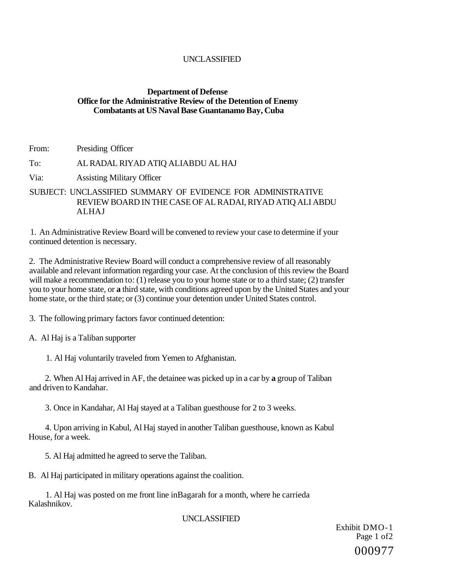### **Department of Defense Office for the Administrative Review of the Detention of Enemy Combatants at US Naval Base Guantanamo Bay, Cuba**

From: Presiding Officer

### To: AL RADAL RIYAD ATIQ ALIABDU AL HAJ

- Via: Assisting Military Officer
- SUBJECT: UNCLASSIFIED SUMMARY OF EVIDENCE FOR ADMINISTRATIVE REVIEW BOARD IN THE CASE OF AL RADAI, RIYAD ATIQ ALI ABDU ALHAJ

1. An Administrative Review Board will be convened to review your case to determine if your continued detention is necessary.

2. The Administrative Review Board will conduct a comprehensive review of all reasonably available and relevant information regarding your case. At the conclusion of this review the Board will make a recommendation to: (1) release you to your home state or to a third state; (2) transfer you to your home state, or **a** third state, with conditions agreed upon by the United States and your home state, or the third state; or (3) continue your detention under United States control.

3. The following primary factors favor continued detention:

A. Al Haj is a Taliban supporter

1. Al Haj voluntarily traveled from Yemen to Afghanistan.

2. When Al Haj arrived in AF, the detainee was picked up in a car by **a** group of Taliban and driven to Kandahar.

3. Once in Kandahar, Al Haj stayed at a Taliban guesthouse for 2 to 3 weeks.

4. Upon arriving in Kabul, Al Haj stayed in another Taliban guesthouse, known as Kabul House, for a week.

5. Al Haj admitted he agreed to serve the Taliban.

B. Al Haj participated in military operations against the coalition.

1. Al Haj was posted on me front line inBagarah for a month, where he carrieda Kalashnikov.

UNCLASSIFIED

Exhibit DMO-1 Page 1 of2 000977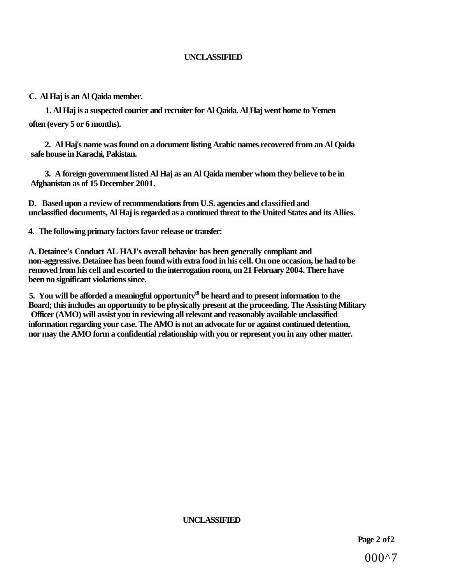### **C. Al Haj is an Al Qaida member.**

**1. Al Haj is a suspected courier and recruiter for Al Qaida. Al Haj went home to Yemen often (every 5 or 6 months).** 

**2. Al Haj's name was found on a document listing Arabic names recovered from an Al Qaida safe house in Karachi, Pakistan.** 

**3. A foreign government listed Al Haj as an Al Qaida member whom they believe to be in Afghanistan as of 15 December 2001.** 

**D. Based upon a review of recommendations from U.S. agencies and classified and unclassified documents, Al Haj is regarded as a continued threat to the United States and its Allies.** 

**4. The following primary factors favor release or transfer:** 

**A. Detainee's Conduct AL HAJ's overall behavior has been generally compliant and non-aggressive. Detainee has been found with extra food in his cell. On one occasion, he had to be removed from his cell and escorted to the interrogation room, on 21 February 2004. There have been no significant violations since.** 

**5. You will be afforded a meaningful opportunityt0 be heard and to present information to the Board; this includes an opportunity to be physically present at the proceeding. The Assisting Military Officer (AMO) will assist you in reviewing all relevant and reasonably available unclassified information regarding your case. The AMO is not an advocate for or against continued detention, nor may the AMO form a confidential relationship with you or represent you in any other matter.** 

**UNCLASSIFIED**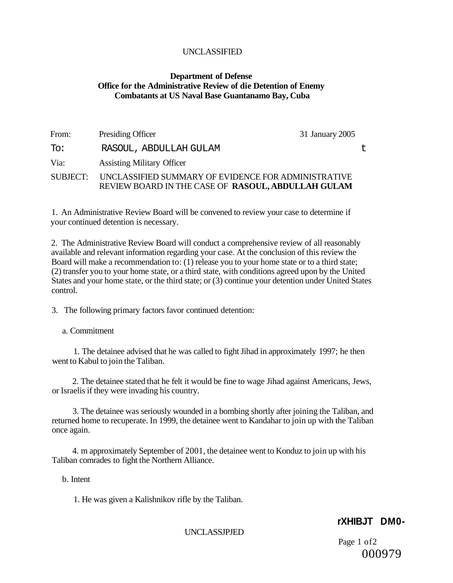### **Department of Defense Office for the Administrative Review of die Detention of Enemy Combatants at US Naval Base Guantanamo Bay, Cuba**

| From:    | 31 January 2005<br>Presiding Officer                                                                      |  |
|----------|-----------------------------------------------------------------------------------------------------------|--|
| Th:      | RASOUL, ABDULLAH GULAM                                                                                    |  |
| Via:     | <b>Assisting Military Officer</b>                                                                         |  |
| SUBJECT: | UNCLASSIFIED SUMMARY OF EVIDENCE FOR ADMINISTRATIVE<br>REVIEW BOARD IN THE CASE OF RASOUL, ABDULLAH GULAM |  |

1. An Administrative Review Board will be convened to review your case to determine if your continued detention is necessary.

2. The Administrative Review Board will conduct a comprehensive review of all reasonably available and relevant information regarding your case. At the conclusion of this review the Board will make a recommendation to: (1) release you to your home state or to a third state; (2) transfer you to your home state, or a third state, with conditions agreed upon by the United States and your home state, or the third state; or (3) continue your detention under United States control.

3. The following primary factors favor continued detention:

a. Commitment

1. The detainee advised that he was called to fight Jihad in approximately 1997; he then went to Kabul to join the Taliban.

2. The detainee stated that he felt it would be fine to wage Jihad against Americans, Jews, or Israelis if they were invading his country.

3. The detainee was seriously wounded in a bombing shortly after joining the Taliban, and returned home to recuperate. In 1999, the detainee went to Kandahar to join up with the Taliban once again.

4. m approximately September of 2001, the detainee went to Konduz to join up with his Taliban comrades to fight the Northern Alliance.

b. Intent

1. He was given a Kalishnikov rifle by the Taliban.

### **rXHIBJT DM0-**

UNCLASSJPJED

Page 1 of2 000979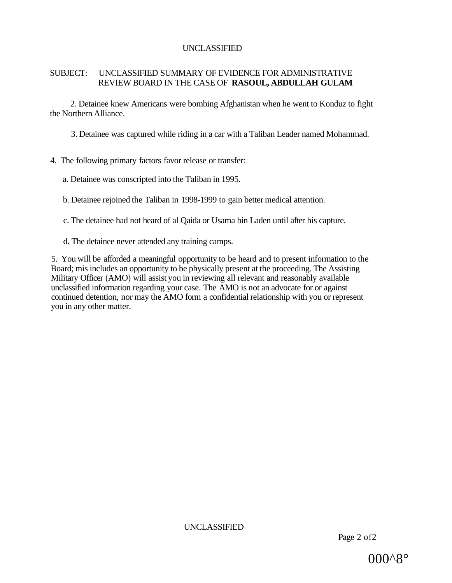#### SUBJECT: UNCLASSIFIED SUMMARY OF EVIDENCE FOR ADMINISTRATIVE REVIEW BOARD IN THE CASE OF **RASOUL, ABDULLAH GULAM**

2. Detainee knew Americans were bombing Afghanistan when he went to Konduz to fight the Northern Alliance.

3. Detainee was captured while riding in a car with a Taliban Leader named Mohammad.

## 4. The following primary factors favor release or transfer:

a. Detainee was conscripted into the Taliban in 1995.

b. Detainee rejoined the Taliban in 1998-1999 to gain better medical attention.

c. The detainee had not heard of al Qaida or Usama bin Laden until after his capture.

d. The detainee never attended any training camps.

5. You will be afforded a meaningful opportunity to be heard and to present information to the Board; mis includes an opportunity to be physically present at the proceeding. The Assisting Military Officer (AMO) will assist you in reviewing all relevant and reasonably available unclassified information regarding your case. The AMO is not an advocate for or against continued detention, nor may the AMO form a confidential relationship with you or represent you in any other matter.

UNCLASSIFIED

Page 2 of2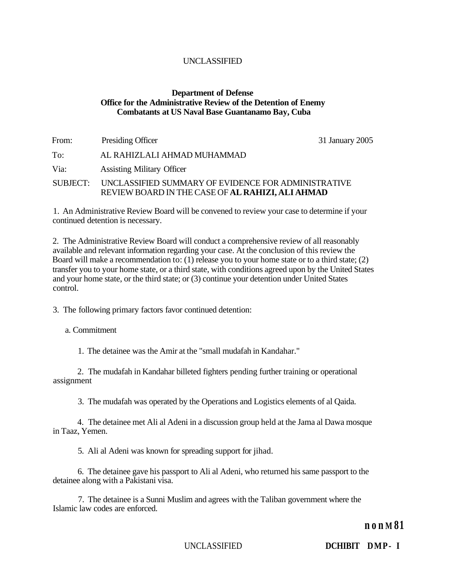#### **Department of Defense Office for the Administrative Review of the Detention of Enemy Combatants at US Naval Base Guantanamo Bay, Cuba**

| From:    | Presiding Officer                                                                                       | 31 January 2005 |
|----------|---------------------------------------------------------------------------------------------------------|-----------------|
| To:      | AL RAHIZLALI AHMAD MUHAMMAD                                                                             |                 |
| Via:     | <b>Assisting Military Officer</b>                                                                       |                 |
| SUBJECT: | UNCLASSIFIED SUMMARY OF EVIDENCE FOR ADMINISTRATIVE<br>REVIEW BOARD IN THE CASE OF AL RAHIZI, ALI AHMAD |                 |

1. An Administrative Review Board will be convened to review your case to determine if your continued detention is necessary.

2. The Administrative Review Board will conduct a comprehensive review of all reasonably available and relevant information regarding your case. At the conclusion of this review the Board will make a recommendation to: (1) release you to your home state or to a third state; (2) transfer you to your home state, or a third state, with conditions agreed upon by the United States and your home state, or the third state; or (3) continue your detention under United States control.

3. The following primary factors favor continued detention:

a. Commitment

1. The detainee was the Amir at the "small mudafah in Kandahar."

2. The mudafah in Kandahar billeted fighters pending further training or operational assignment

3. The mudafah was operated by the Operations and Logistics elements of al Qaida.

4. The detainee met Ali al Adeni in a discussion group held at the Jama al Dawa mosque in Taaz, Yemen.

5. Ali al Adeni was known for spreading support for jihad.

6. The detainee gave his passport to Ali al Adeni, who returned his same passport to the detainee along with a Pakistani visa.

7. The detainee is a Sunni Muslim and agrees with the Taliban government where the Islamic law codes are enforced.

**n o n M 81** 

UNCLASSIFIED **DCHIBIT DMP- I**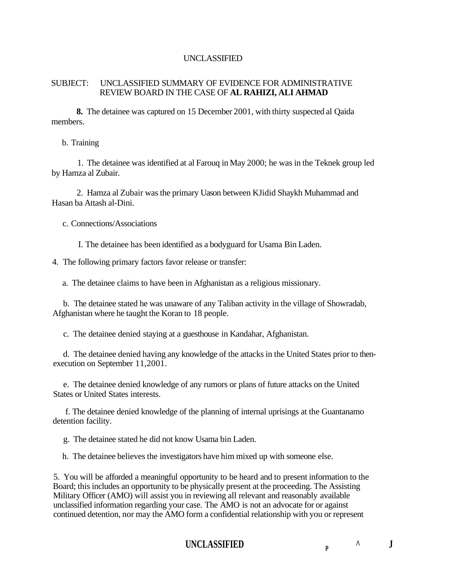#### SUBJECT: UNCLASSIFIED SUMMARY OF EVIDENCE FOR ADMINISTRATIVE REVIEW BOARD IN THE CASE OF **AL RAHIZI, ALI AHMAD**

**8.** The detainee was captured on 15 December 2001, with thirty suspected al Qaida members.

b. Training

1. The detainee was identified at al Farouq in May 2000; he was in the Teknek group led by Hamza al Zubair.

2. Hamza al Zubair was the primary Uason between KJidid Shaykh Muhammad and Hasan ba Attash al-Dini.

c. Connections/Associations

I. The detainee has been identified as a bodyguard for Usama Bin Laden.

4. The following primary factors favor release or transfer:

a. The detainee claims to have been in Afghanistan as a religious missionary.

b. The detainee stated he was unaware of any Taliban activity in the village of Showradab, Afghanistan where he taught the Koran to 18 people.

c. The detainee denied staying at a guesthouse in Kandahar, Afghanistan.

d. The detainee denied having any knowledge of the attacks in the United States prior to thenexecution on September 11,2001.

e. The detainee denied knowledge of any rumors or plans of future attacks on the United States or United States interests.

f. The detainee denied knowledge of the planning of internal uprisings at the Guantanamo detention facility.

g. The detainee stated he did not know Usama bin Laden.

h. The detainee believes the investigators have him mixed up with someone else.

5. You will be afforded a meaningful opportunity to be heard and to present information to the Board; this includes an opportunity to be physically present at the proceeding. The Assisting Military Officer (AMO) will assist you in reviewing all relevant and reasonably available unclassified information regarding your case. The AMO is not an advocate for or against continued detention, nor may the AMO form a confidential relationship with you or represent

# UNCLASSIFIED **p**  $\uparrow$  **J**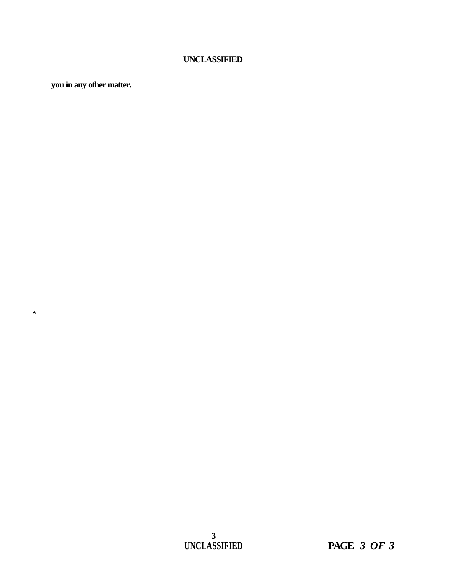**you in any other matter.** 

**A**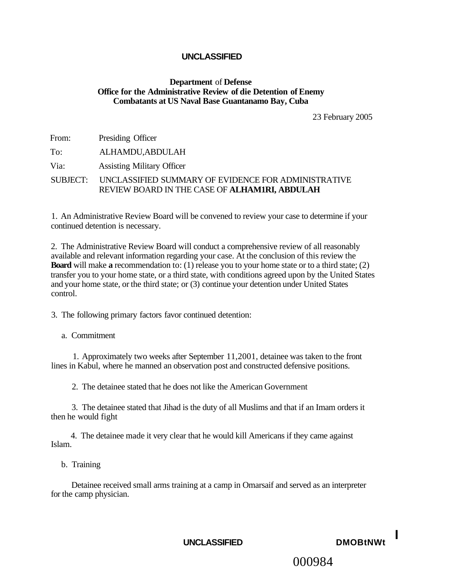#### **Department** of **Defense Office for the Administrative Review of die Detention of Enemy Combatants at US Naval Base Guantanamo Bay, Cuba**

23 February 2005

| From: | Presiding Officer                                                                                             |
|-------|---------------------------------------------------------------------------------------------------------------|
| To:   | ALHAMDU,ABDULAH                                                                                               |
| Via:  | <b>Assisting Military Officer</b>                                                                             |
|       | SUBJECT: UNCLASSIFIED SUMMARY OF EVIDENCE FOR ADMINISTRATIVE<br>REVIEW BOARD IN THE CASE OF ALHAMIRI, ABDULAH |

1. An Administrative Review Board will be convened to review your case to determine if your continued detention is necessary.

2. The Administrative Review Board will conduct a comprehensive review of all reasonably available and relevant information regarding your case. At the conclusion of this review the **Board** will make **a** recommendation to: (1) release you to your home state or to a third state; (2) transfer you to your home state, or a third state, with conditions agreed upon by the United States and your home state, or the third state; or (3) continue your detention under United States control.

3. The following primary factors favor continued detention:

a. Commitment

1. Approximately two weeks after September 11,2001, detainee was taken to the front lines in Kabul, where he manned an observation post and constructed defensive positions.

2. The detainee stated that he does not like the American Government

3. The detainee stated that Jihad is the duty of all Muslims and that if an Imam orders it then he would fight

4. The detainee made it very clear that he would kill Americans if they came against Islam.

b. Training

Detainee received small arms training at a camp in Omarsaif and served as an interpreter for the camp physician.



# 000984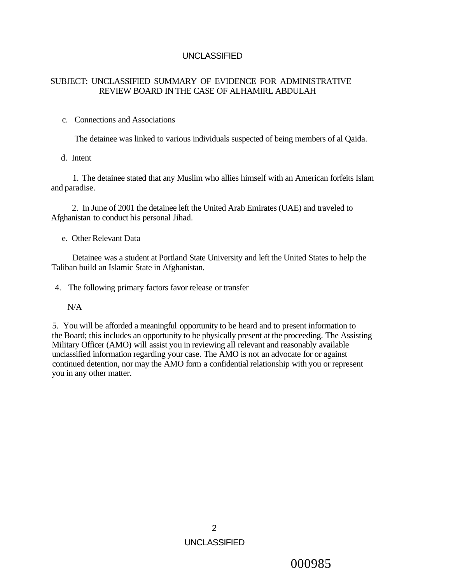## SUBJECT: UNCLASSIFIED SUMMARY OF EVIDENCE FOR ADMINISTRATIVE REVIEW BOARD IN THE CASE OF ALHAMIRL ABDULAH

## c. Connections and Associations

The detainee was linked to various individuals suspected of being members of al Qaida.

#### d. Intent

1. The detainee stated that any Muslim who allies himself with an American forfeits Islam and paradise.

2. In June of 2001 the detainee left the United Arab Emirates (UAE) and traveled to Afghanistan to conduct his personal Jihad.

e. Other Relevant Data

Detainee was a student at Portland State University and left the United States to help the Taliban build an Islamic State in Afghanistan.

4. The following primary factors favor release or transfer

## N/A

5. You will be afforded a meaningful opportunity to be heard and to present information to the Board; this includes an opportunity to be physically present at the proceeding. The Assisting Military Officer (AMO) will assist you in reviewing all relevant and reasonably available unclassified information regarding your case. The AMO is not an advocate for or against continued detention, nor may the AMO form a confidential relationship with you or represent you in any other matter.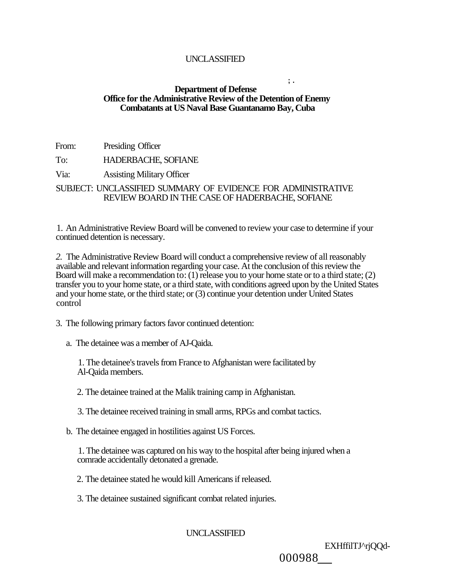#### **; . Department of Defense Office for the Administrative Review of the Detention of Enemy Combatants at US Naval Base Guantanamo Bay, Cuba**

| From: | Presiding Officer                                            |
|-------|--------------------------------------------------------------|
| To:   | <b>HADERBACHE, SOFIANE</b>                                   |
| Via:  | <b>Assisting Military Officer</b>                            |
|       | SUBJECT: UNCLASSIFIED SUMMARY OF EVIDENCE FOR ADMINISTRATIVE |
|       | REVIEW BOARD IN THE CASE OF HADERBACHE, SOFIANE              |

1. An Administrative Review Board will be convened to review your case to determine if your continued detention is necessary.

*2.* The Administrative Review Board will conduct a comprehensive review of all reasonably available and relevant information regarding your case. At the conclusion of this review the Board will make a recommendation to: (1) release you to your home state or to a third state; (2) transfer you to your home state, or a third state, with conditions agreed upon by the United States and your home state, or the third state; or (3) continue your detention under United States control

3. The following primary factors favor continued detention:

a. The detainee was a member of AJ-Qaida.

1. The detainee's travels from France to Afghanistan were facilitated by Al-Qaida members.

2. The detainee trained at the Malik training camp in Afghanistan.

3. The detainee received training in small arms, RPGs and combat tactics.

b. The detainee engaged in hostilities against US Forces.

1. The detainee was captured on his way to the hospital after being injured when a comrade accidentally detonated a grenade.

2. The detainee stated he would kill Americans if released.

3. The detainee sustained significant combat related injuries.

UNCLASSIFIED

EXHffilTJ^rjQQd-

000988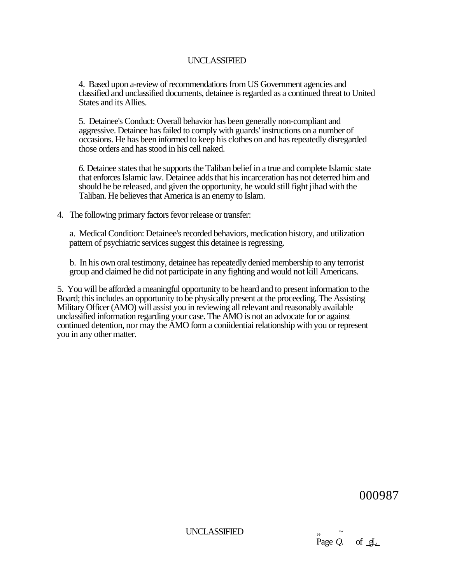4. Based upon a-review of recommendations from US Government agencies and classified and unclassified documents, detainee is regarded as a continued threat to United States and its Allies.

5. Detainee's Conduct: Overall behavior has been generally non-compliant and aggressive. Detainee has failed to comply with guards' instructions on a number of occasions. He has been informed to keep his clothes on and has repeatedly disregarded those orders and has stood in his cell naked.

*6.* Detainee states that he supports the Taliban belief in a true and complete Islamic state that enforces Islamic law. Detainee adds that his incarceration has not deterred him and should he be released, and given the opportunity, he would still fight jihad with the Taliban. He believes that America is an enemy to Islam.

4. The following primary factors fevor release or transfer:

a. Medical Condition: Detainee's recorded behaviors, medication history, and utilization pattern of psychiatric services suggest this detainee is regressing.

b. In his own oral testimony, detainee has repeatedly denied membership to any terrorist group and claimed he did not participate in any fighting and would not kill Americans.

5. You will be afforded a meaningful opportunity to be heard and to present information to the Board; this includes an opportunity to be physically present at the proceeding. The Assisting Military Officer (AMO) will assist you in reviewing all relevant and reasonably available unclassified information regarding your case. The AMO is not an advocate for or against continued detention, nor may the AMO form a coniidentiai relationship with you or represent you in any other matter.

000987

UNCLASSIFIED " *~* 

Page  $Q$ . of  $qL$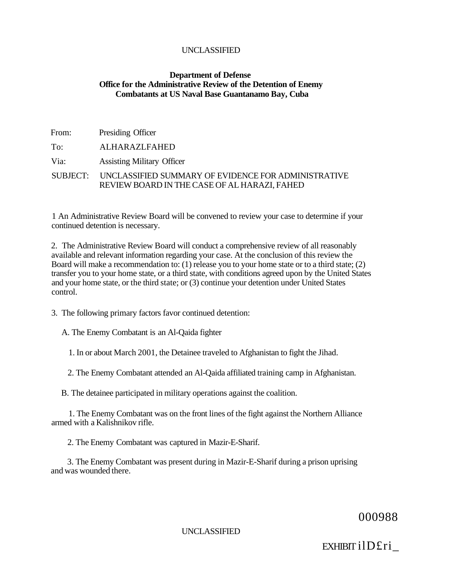#### **Department of Defense Office for the Administrative Review of the Detention of Enemy Combatants at US Naval Base Guantanamo Bay, Cuba**

| From: | Presiding Officer                                                                                            |
|-------|--------------------------------------------------------------------------------------------------------------|
| To:   | ALHARAZLFAHED                                                                                                |
| Via:  | <b>Assisting Military Officer</b>                                                                            |
|       | SUBJECT: UNCLASSIFIED SUMMARY OF EVIDENCE FOR ADMINISTRATIVE<br>REVIEW BOARD IN THE CASE OF AL HARAZI, FAHED |

1 An Administrative Review Board will be convened to review your case to determine if your continued detention is necessary.

2. The Administrative Review Board will conduct a comprehensive review of all reasonably available and relevant information regarding your case. At the conclusion of this review the Board will make a recommendation to: (1) release you to your home state or to a third state; (2) transfer you to your home state, or a third state, with conditions agreed upon by the United States and your home state, or the third state; or (3) continue your detention under United States control.

3. The following primary factors favor continued detention:

A. The Enemy Combatant is an Al-Qaida fighter

1. In or about March 2001, the Detainee traveled to Afghanistan to fight the Jihad.

2. The Enemy Combatant attended an Al-Qaida affiliated training camp in Afghanistan.

B. The detainee participated in military operations against the coalition.

1. The Enemy Combatant was on the front lines of the fight against the Northern Alliance armed with a Kalishnikov rifle.

2. The Enemy Combatant was captured in Mazir-E-Sharif.

3. The Enemy Combatant was present during in Mazir-E-Sharif during a prison uprising and was wounded there.

000988

UNCLASSIFIED

EXHIBIT ilD£ri\_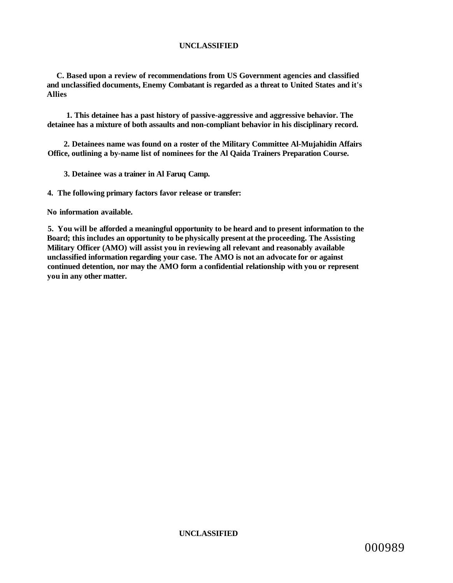**C. Based upon a review of recommendations from US Government agencies and classified and unclassified documents, Enemy Combatant is regarded as a threat to United States and it's Allies** 

**1. This detainee has a past history of passive-aggressive and aggressive behavior. The detainee has a mixture of both assaults and non-compliant behavior in his disciplinary record.** 

**2. Detainees name was found on a roster of the Military Committee Al-Mujahidin Affairs Office, outlining a by-name list of nominees for the Al Qaida Trainers Preparation Course.** 

**3. Detainee was a trainer in Al Faruq Camp.** 

**4. The following primary factors favor release or transfer:** 

**No information available.** 

**5. You will be afforded a meaningful opportunity to be heard and to present information to the Board; this includes an opportunity to be physically present at the proceeding. The Assisting Military Officer (AMO) will assist you in reviewing all relevant and reasonably available unclassified information regarding your case. The AMO is not an advocate for or against continued detention, nor may the AMO form a confidential relationship with you or represent you in any other matter.**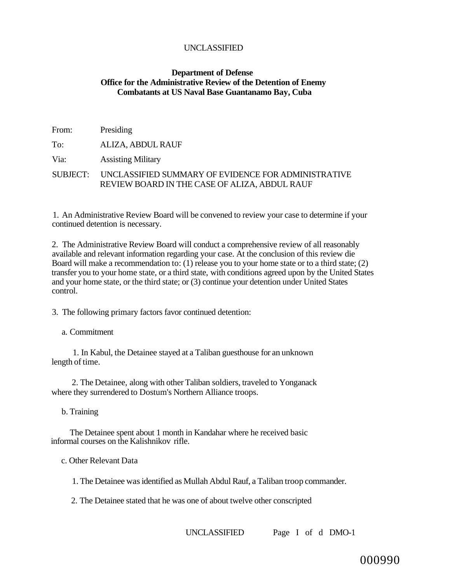#### **Department of Defense Office for the Administrative Review of the Detention of Enemy Combatants at US Naval Base Guantanamo Bay, Cuba**

| From: | Presiding                                                                                                     |
|-------|---------------------------------------------------------------------------------------------------------------|
| To:   | ALIZA, ABDUL RAUF                                                                                             |
| Via:  | <b>Assisting Military</b>                                                                                     |
|       | SUBJECT: UNCLASSIFIED SUMMARY OF EVIDENCE FOR ADMINISTRATIVE<br>REVIEW BOARD IN THE CASE OF ALIZA, ABDUL RAUF |

1. An Administrative Review Board will be convened to review your case to determine if your continued detention is necessary.

2. The Administrative Review Board will conduct a comprehensive review of all reasonably available and relevant information regarding your case. At the conclusion of this review die Board will make a recommendation to: (1) release you to your home state or to a third state; (2) transfer you to your home state, or a third state, with conditions agreed upon by the United States and your home state, or the third state; or (3) continue your detention under United States control.

3. The following primary factors favor continued detention:

a. Commitment

1. In Kabul, the Detainee stayed at a Taliban guesthouse for an unknown length of time.

2. The Detainee, along with other Taliban soldiers, traveled to Yonganack where they surrendered to Dostum's Northern Alliance troops.

b. Training

The Detainee spent about 1 month in Kandahar where he received basic informal courses on the Kalishnikov rifle.

c. Other Relevant Data

1. The Detainee was identified as Mullah Abdul Rauf, a Taliban troop commander.

2. The Detainee stated that he was one of about twelve other conscripted

UNCLASSIFIED Page I of d DMO-1

000990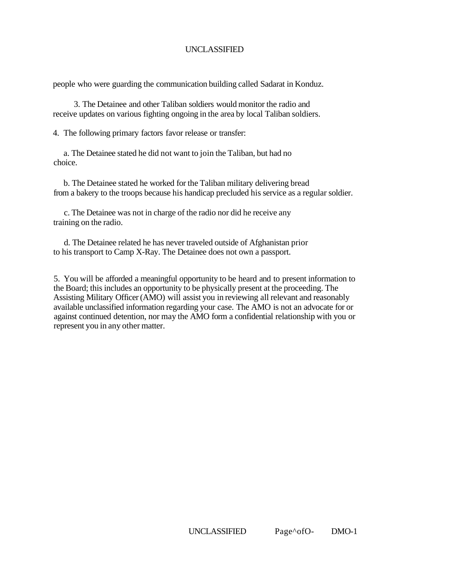people who were guarding the communication building called Sadarat in Konduz.

3. The Detainee and other Taliban soldiers would monitor the radio and receive updates on various fighting ongoing in the area by local Taliban soldiers.

4. The following primary factors favor release or transfer:

a. The Detainee stated he did not want to join the Taliban, but had no choice.

b. The Detainee stated he worked for the Taliban military delivering bread from a bakery to the troops because his handicap precluded his service as a regular soldier.

c. The Detainee was not in charge of the radio nor did he receive any training on the radio.

d. The Detainee related he has never traveled outside of Afghanistan prior to his transport to Camp X-Ray. The Detainee does not own a passport.

5. You will be afforded a meaningful opportunity to be heard and to present information to the Board; this includes an opportunity to be physically present at the proceeding. The Assisting Military Officer (AMO) will assist you in reviewing all relevant and reasonably available unclassified information regarding your case. The AMO is not an advocate for or against continued detention, nor may the AMO form a confidential relationship with you or represent you in any other matter.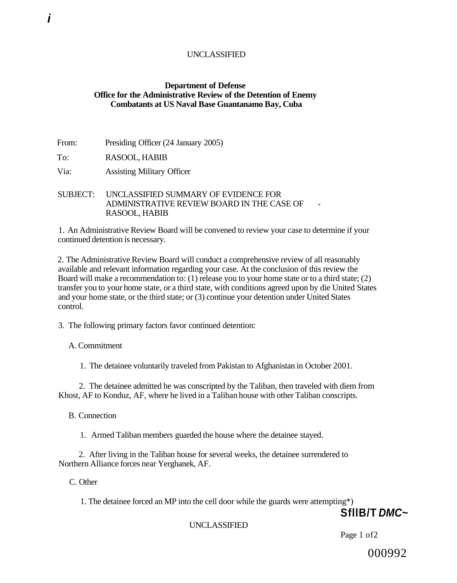#### **Department of Defense Office for the Administrative Review of the Detention of Enemy Combatants at US Naval Base Guantanamo Bay, Cuba**

From: Presiding Officer (24 January 2005)

To: RASOOL, HABIB

Via: Assisting Military Officer

SUBJECT: UNCLASSIFIED SUMMARY OF EVIDENCE FOR ADMINISTRATIVE REVIEW BOARD IN THE CASE OF RASOOL, HABIB

1. An Administrative Review Board will be convened to review your case to determine if your continued detention is necessary.

2. The Administrative Review Board will conduct a comprehensive review of all reasonably available and relevant information regarding your case. At the conclusion of this review the Board will make a recommendation to: (1) release you to your home state or to a third state; (2) transfer you to your home state, or a third state, with conditions agreed upon by die United States and your home state, or the third state; or (3) continue your detention under United States control.

3. The following primary factors favor continued detention:

A. Commitment

1. The detainee voluntarily traveled from Pakistan to Afghanistan in October 2001.

2. The detainee admitted he was conscripted by the Taliban, then traveled with diem from Khost, AF to Konduz, AF, where he lived in a Taliban house with other Taliban conscripts.

B. Connection

1. Armed Taliban members guarded the house where the detainee stayed.

2. After living in the Taliban house for several weeks, the detainee surrendered to Northern Alliance forces near Yerghanek, AF.

C. Other

1. The detainee forced an MP into the cell door while the guards were attempting\*)

**SfllB/T DMC~** 

#### UNCLASSIFIED

Page 1 of2

000992

**i**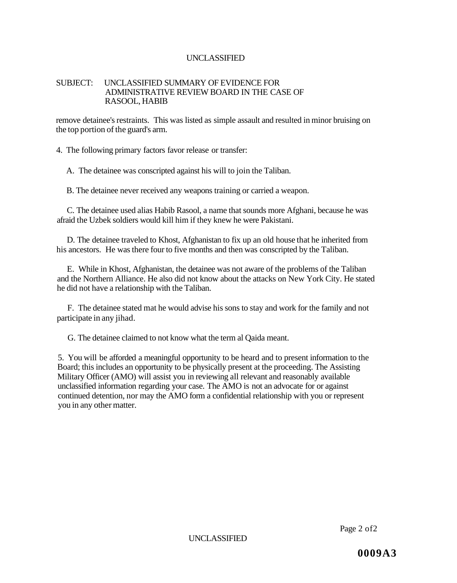#### SUBJECT: UNCLASSIFIED SUMMARY OF EVIDENCE FOR ADMINISTRATIVE REVIEW BOARD IN THE CASE OF RASOOL, HABIB

remove detainee's restraints. This was listed as simple assault and resulted in minor bruising on the top portion of the guard's arm.

4. The following primary factors favor release or transfer:

A. The detainee was conscripted against his will to join the Taliban.

B. The detainee never received any weapons training or carried a weapon.

C. The detainee used alias Habib Rasool, a name that sounds more Afghani, because he was afraid the Uzbek soldiers would kill him if they knew he were Pakistani.

D. The detainee traveled to Khost, Afghanistan to fix up an old house that he inherited from his ancestors. He was there four to five months and then was conscripted by the Taliban.

E. While in Khost, Afghanistan, the detainee was not aware of the problems of the Taliban and the Northern Alliance. He also did not know about the attacks on New York City. He stated he did not have a relationship with the Taliban.

F. The detainee stated mat he would advise his sons to stay and work for the family and not participate in any jihad.

G. The detainee claimed to not know what the term al Qaida meant.

5. You will be afforded a meaningful opportunity to be heard and to present information to the Board; this includes an opportunity to be physically present at the proceeding. The Assisting Military Officer (AMO) will assist you in reviewing all relevant and reasonably available unclassified information regarding your case. The AMO is not an advocate for or against continued detention, nor may the AMO form a confidential relationship with you or represent you in any other matter.

Page 2 of2

UNCLASSIFIED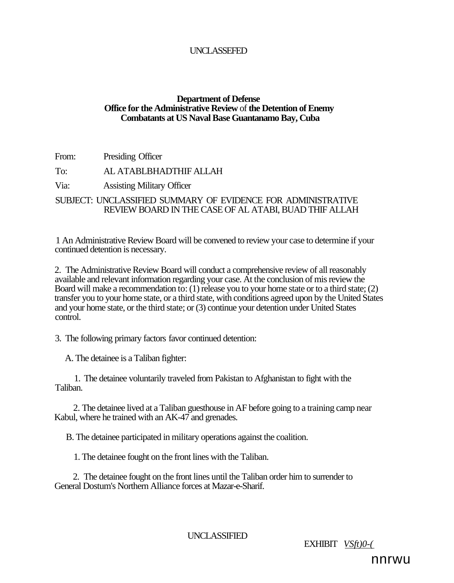## UNCLASSEFED

## **Department of Defense Office for the Administrative Review** of **the Detention of Enemy Combatants at US Naval Base Guantanamo Bay, Cuba**

From: Presiding Officer

To: AL ATABLBHADTHIF ALLAH

Via: Assisting Military Officer

SUBJECT: UNCLASSIFIED SUMMARY OF EVIDENCE FOR ADMINISTRATIVE REVIEW BOARD IN THE CASE OF AL ATABI, BUAD THIF ALLAH

1 An Administrative Review Board will be convened to review your case to determine if your continued detention is necessary.

2. The Administrative Review Board will conduct a comprehensive review of all reasonably available and relevant information regarding your case. At the conclusion of mis review the Board will make a recommendation to: (1) release you to your home state or to a third state; (2) transfer you to your home state, or a third state, with conditions agreed upon by the United States and your home state, or the third state; or (3) continue your detention under United States control.

3. The following primary factors favor continued detention:

A. The detainee is a Taliban fighter:

1. The detainee voluntarily traveled from Pakistan to Afghanistan to fight with the Taliban.

2. The detainee lived at a Taliban guesthouse in AF before going to a training camp near Kabul, where he trained with an AK-47 and grenades.

B. The detainee participated in military operations against the coalition.

1. The detainee fought on the front lines with the Taliban.

2. The detainee fought on the front lines until the Taliban order him to surrender to General Dostum's Northern Alliance forces at Mazar-e-Sharif.

UNCLASSIFIED

EXHIBIT *VSft)0-(* 

nnrwu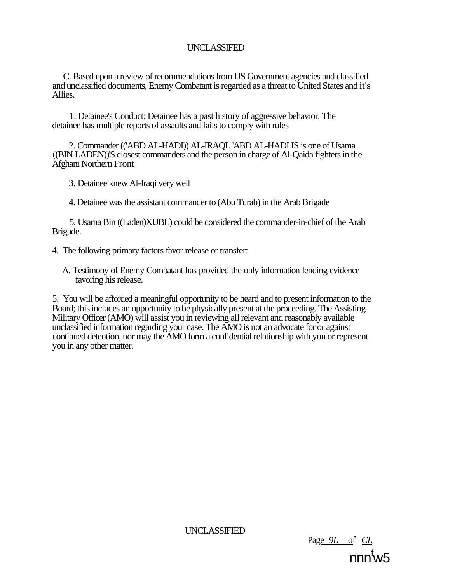C. Based upon a review of recommendations from US Government agencies and classified and unclassified documents, Enemy Combatant is regarded as a threat to United States and it's Allies.

1. Detainee's Conduct: Detainee has a past history of aggressive behavior. The detainee has multiple reports of assaults and fails to comply with rules

2. Commander (('ABD AL-HADI)) AL-IRAQL 'ABD AL-HADI IS is one of Usama ((BIN LADEN))'S closest commanders and the person in charge of Al-Qaida fighters in the Afghani Northern Front

3. Detainee knew Al-Iraqi very well

4. Detainee was the assistant commander to (Abu Turab) in the Arab Brigade

5. Usama Bin ((Laden)XUBL) could be considered the commander-in-chief of the Arab Brigade.

- 4. The following primary factors favor release or transfer:
	- A. Testimony of Enemy Combatant has provided the only information lending evidence favoring his release.

5. You will be afforded a meaningful opportunity to be heard and to present information to the Board; this includes an opportunity to be physically present at the proceeding. The Assisting Military Officer (AMO) will assist you in reviewing all relevant and reasonably available unclassified information regarding your case. The AMO is not an advocate for or against continued detention, nor may the AMO form a confidential relationship with you or represent you in any other matter.

UNCLASSIFIED

Page *9L* of *CL*  nnn<sup>f</sup>w5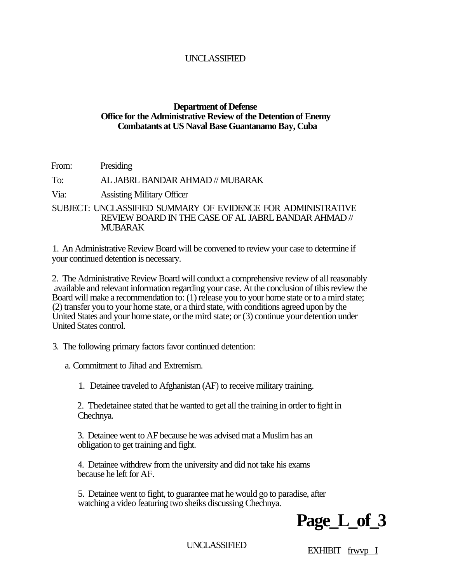## **Department of Defense Office for the Administrative Review of the Detention of Enemy Combatants at US Naval Base Guantanamo Bay, Cuba**

From: Presiding

## To: AL JABRL BANDAR AHMAD // MUBARAK

Via: Assisting Military Officer

SUBJECT: UNCLASSIFIED SUMMARY OF EVIDENCE FOR ADMINISTRATIVE REVIEW BOARD IN THE CASE OF AL JABRL BANDAR AHMAD // MUBARAK

1. An Administrative Review Board will be convened to review your case to determine if your continued detention is necessary.

2. The Administrative Review Board will conduct a comprehensive review of all reasonably available and relevant information regarding your case. At the conclusion of tibis review the Board will make a recommendation to: (1) release you to your home state or to a mird state; (2) transfer you to your home state, or a third state, with conditions agreed upon by the United States and your home state, or the mird state; or (3) continue your detention under United States control.

3. The following primary factors favor continued detention:

a. Commitment to Jihad and Extremism.

1. Detainee traveled to Afghanistan (AF) to receive military training.

2. Thedetainee stated that he wanted to get all the training in order to fight in Chechnya.

3. Detainee went to AF because he was advised mat a Muslim has an obligation to get training and fight.

4. Detainee withdrew from the university and did not take his exams because he left for AF.

5. Detainee went to fight, to guarantee mat he would go to paradise, after watching a video featuring two sheiks discussing Chechnya.



UNCLASSIFIED EXHIBIT frwvp I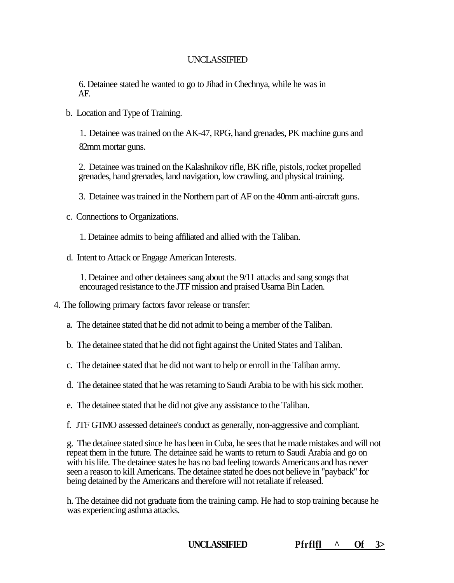6. Detainee stated he wanted to go to Jihad in Chechnya, while he was in AF.

b. Location and Type of Training.

1. Detainee was trained on the AK-47, RPG, hand grenades, PK machine guns and 82mm mortar guns.

2. Detainee was trained on the Kalashnikov rifle, BK rifle, pistols, rocket propelled grenades, hand grenades, land navigation, low crawling, and physical training.

3. Detainee was trained in the Northern part of AF on the 40mm anti-aircraft guns.

c. Connections to Organizations.

1. Detainee admits to being affiliated and allied with the Taliban.

d. Intent to Attack or Engage American Interests.

1. Detainee and other detainees sang about the 9/11 attacks and sang songs that encouraged resistance to the JTF mission and praised Usama Bin Laden.

4. The following primary factors favor release or transfer:

a. The detainee stated that he did not admit to being a member of the Taliban.

b. The detainee stated that he did not fight against the United States and Taliban.

c. The detainee stated that he did not want to help or enroll in the Taliban army.

d. The detainee stated that he was retaming to Saudi Arabia to be with his sick mother.

e. The detainee stated that he did not give any assistance to the Taliban.

f. JTF GTMO assessed detainee's conduct as generally, non-aggressive and compliant.

g. The detainee stated since he has been in Cuba, he sees that he made mistakes and will not repeat them in the future. The detainee said he wants to return to Saudi Arabia and go on with his life. The detainee states he has no bad feeling towards Americans and has never seen a reason to kill Americans. The detainee stated he does not believe in "payback" for being detained by the Americans and therefore will not retaliate if released.

h. The detainee did not graduate from the training camp. He had to stop training because he was experiencing asthma attacks.

**UNCLASSIFIED Pfrflfl ^ Of 3>**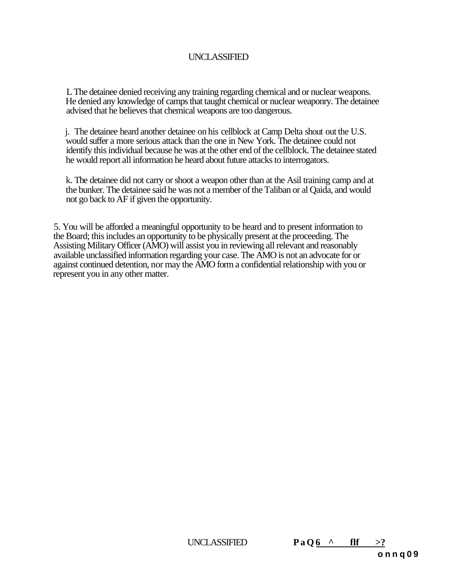L The detainee denied receiving any training regarding chemical and or nuclear weapons. He denied any knowledge of camps that taught chemical or nuclear weaponry. The detainee advised that he believes that chemical weapons are too dangerous.

j. The detainee heard another detainee on his cellblock at Camp Delta shout out the U.S. would suffer a more serious attack than the one in New York. The detainee could not identify this individual because he was at the other end of the cellblock. The detainee stated he would report all information he heard about future attacks to interrogators.

k. The detainee did not carry or shoot a weapon other than at the Asil training camp and at the bunker. The detainee said he was not a member of the Taliban or al Qaida, and would not go back to AF if given the opportunity.

5. You will be afforded a meaningful opportunity to be heard and to present information to the Board; this includes an opportunity to be physically present at the proceeding. The Assisting Military Officer (AMO) will assist you in reviewing all relevant and reasonably available unclassified information regarding your case. The AMO is not an advocate for or against continued detention, nor may the AMO form a confidential relationship with you or represent you in any other matter.

UNCLASSIFIED **PaO6**  $\land$  flf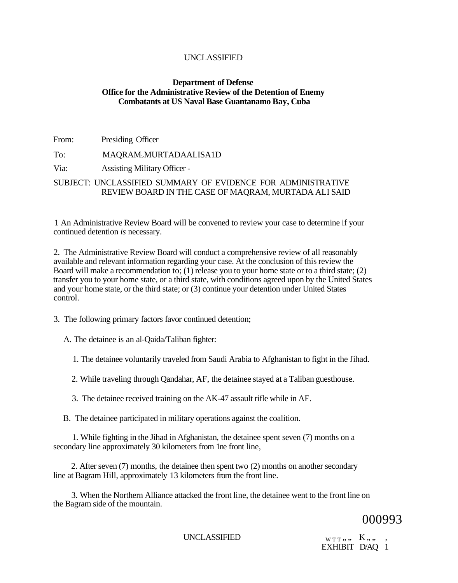## **Department of Defense Office for the Administrative Review of the Detention of Enemy Combatants at US Naval Base Guantanamo Bay, Cuba**

From: Presiding Officer

To: MAQRAM>MURTADAALISA1D

Via: Assisting Military Officer -

SUBJECT: UNCLASSIFIED SUMMARY OF EVIDENCE FOR ADMINISTRATIVE REVIEW BOARD IN THE CASE OF MAQRAM, MURTADA ALI SAID

1 An Administrative Review Board will be convened to review your case to determine if your continued detention *is* necessary.

2. The Administrative Review Board will conduct a comprehensive review of all reasonably available and relevant information regarding your case. At the conclusion of this review the Board will make a recommendation to; (1) release you to your home state or to a third state; (2) transfer you to your home state, or a third state, with conditions agreed upon by the United States and your home state, or the third state; or (3) continue your detention under United States control.

3. The following primary factors favor continued detention;

A. The detainee is an al-Qaida/Taliban fighter:

1. The detainee voluntarily traveled from Saudi Arabia to Afghanistan to fight in the Jihad.

2. While traveling through Qandahar, AF, the detainee stayed at a Taliban guesthouse.

3. The detainee received training on the AK-47 assault rifle while in AF.

B. The detainee participated in military operations against the coalition.

1. While fighting in the Jihad in Afghanistan, the detainee spent seven (7) months on a secondary line approximately 30 kilometers from 1ne front line,

2. After seven (7) months, the detainee then spent two (2) months on another secondary line at Bagram Hill, approximately 13 kilometers from the front line.

3. When the Northern Alliance attacked the front line, the detainee went to the front line on the Bagram side of the mountain.

000993

UNCLASSIFIED  $_{\text{WTT}}$ , , , K, , ,

EXHIBIT D/AQ 1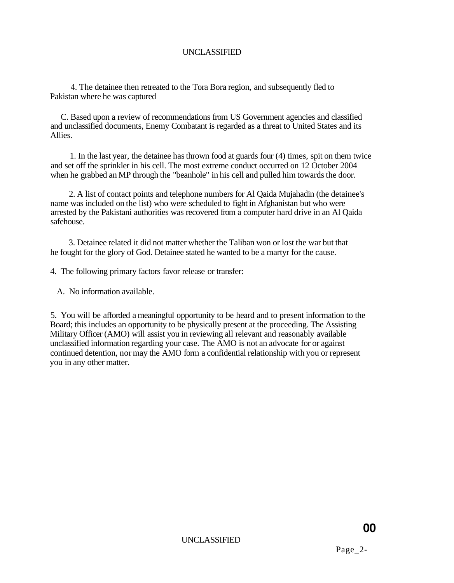4. The detainee then retreated to the Tora Bora region, and subsequently fled to Pakistan where he was captured

C. Based upon a review of recommendations from US Government agencies and classified and unclassified documents, Enemy Combatant is regarded as a threat to United States and its Allies.

1. In the last year, the detainee has thrown food at guards four (4) times, spit on them twice and set off the sprinkler in his cell. The most extreme conduct occurred on 12 October 2004 when he grabbed an MP through the "beanhole" in his cell and pulled him towards the door.

2. A list of contact points and telephone numbers for Al Qaida Mujahadin (the detainee's name was included on the list) who were scheduled to fight in Afghanistan but who were arrested by the Pakistani authorities was recovered from a computer hard drive in an Al Qaida safehouse.

3. Detainee related it did not matter whether the Taliban won or lost the war but that he fought for the glory of God. Detainee stated he wanted to be a martyr for the cause.

4. The following primary factors favor release or transfer:

A. No information available.

5. You will be afforded a meaningful opportunity to be heard and to present information to the Board; this includes an opportunity to be physically present at the proceeding. The Assisting Military Officer (AMO) will assist you in reviewing all relevant and reasonably available unclassified information regarding your case. The AMO is not an advocate for or against continued detention, nor may the AMO form a confidential relationship with you or represent you in any other matter.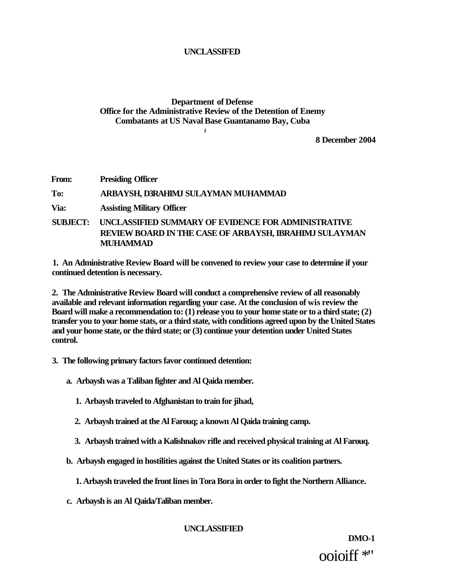# **Department of Defense Office for the Administrative Review of the Detention of Enemy Combatants at US Naval Base Guantanamo Bay, Cuba**

**#** 

**8 December 2004** 

**From: Presiding Officer To: ARBAYSH, D3RAHIMJ SULAYMAN MUHAMMAD Via: Assisting Military Officer SUBJECT: UNCLASSIFIED SUMMARY OF EVIDENCE FOR ADMINISTRATIVE REVIEW BOARD IN THE CASE OF ARBAYSH, IBRAHIMJ SULAYMAN MUHAMMAD** 

**1. An Administrative Review Board will be convened to review your case to determine if your continued detention is necessary.** 

**2. The Administrative Review Board will conduct a comprehensive review of all reasonably available and relevant information regarding your case. At the conclusion of wis review the Board will make a recommendation to: (1) release you to your home state or to a third state; (2) transfer you to your home stats, or a third state, with conditions agreed upon by the United States and your home state, or the third state; or (3) continue your detention under United States control.** 

- **3. The following primary factors favor continued detention:** 
	- **a. Arbaysh was a Taliban fighter and Al Qaida member.** 
		- **1. Arbaysh traveled to Afghanistan to train for jihad,**
		- **2. Arbaysh trained at the Al Farouq; a known Al Qaida training camp.**
		- **3. Arbaysh trained with a Kalishnakov rifle and received physical training at Al Farouq.**

**b. Arbaysh engaged in hostilities against the United States or its coalition partners.** 

- **1. Arbaysh traveled the front lines in Tora Bora in order to fight the Northern Alliance.**
- **c. Arbaysh is an Al Qaida/Taliban member.**

#### **UNCLASSIFIED**

**DMO-1**  ooioiff \*"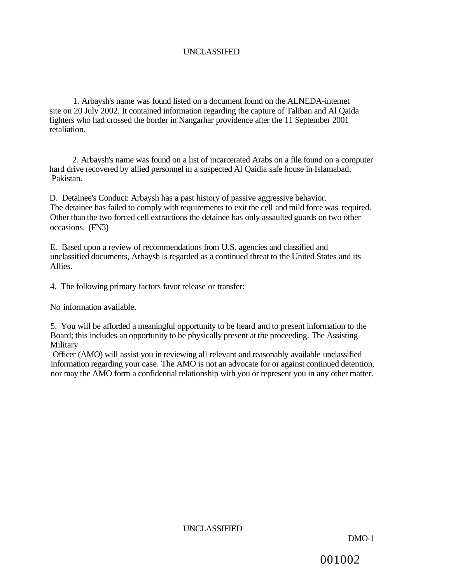1. Arbaysh's name was found listed on a document found on the ALNEDA-intemet site on 20 July 2002. It contained information regarding the capture of Taliban and Al Qaida fighters who had crossed the border in Nangarhar providence after the 11 September 2001 retaliation.

2. Arbaysh's name was found on a list of incarcerated Arabs on a file found on a computer hard drive recovered by allied personnel in a suspected Al Qaidia safe house in Islamabad, Pakistan.

D. Detainee's Conduct: Arbaysh has a past history of passive aggressive behavior. The detainee has failed to comply with requirements to exit the cell and mild force was required. Other than the two forced cell extractions the detainee has only assaulted guards on two other occasions. (FN3)

E. Based upon a review of recommendations from U.S. agencies and classified and unclassified documents, Arbaysh is regarded as a continued threat to the United States and its Allies.

4. The following primary factors favor release or transfer:

No information available.

5. You will be afforded a meaningful opportunity to be heard and to present information to the Board; this includes an opportunity to be physically present at the proceeding. The Assisting **Military** 

Officer (AMO) will assist you in reviewing all relevant and reasonably available unclassified information regarding your case. The AMO is not an advocate for or against continued detention, nor may the AMO form a confidential relationship with you or represent you in any other matter.

UNCLASSIFIED

DMO-1

001002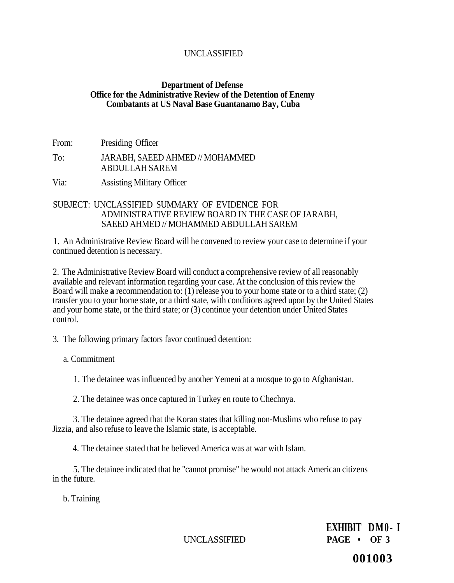## **Department of Defense Office for the Administrative Review of the Detention of Enemy Combatants at US Naval Base Guantanamo Bay, Cuba**

From: Presiding Officer

## To: JARABH, SAEED AHMED // MOHAMMED ABDULLAH SAREM

Via: Assisting Military Officer

### SUBJECT: UNCLASSIFIED SUMMARY OF EVIDENCE FOR ADMINISTRATIVE REVIEW BOARD IN THE CASE OF JARABH, SAEED AHMED // MOHAMMED ABDULLAH SAREM

1. An Administrative Review Board will he convened to review your case to determine if your continued detention is necessary.

2. The Administrative Review Board will conduct a comprehensive review of all reasonably available and relevant information regarding your case. At the conclusion of this review the Board will make **a** recommendation to: (1) release you to your home state or to a third state; (2) transfer you to your home state, or a third state, with conditions agreed upon by the United States and your home state, or the third state; or (3) continue your detention under United States control.

3. The following primary factors favor continued detention:

a. Commitment

1. The detainee was influenced by another Yemeni at a mosque to go to Afghanistan.

2. The detainee was once captured in Turkey en route to Chechnya.

3. The detainee agreed that the Koran states that killing non-Muslims who refuse to pay Jizzia, and also refuse to leave the Islamic state, is acceptable.

4. The detainee stated that he believed America was at war with Islam.

5. The detainee indicated that he "cannot promise" he would not attack American citizens in the future.

b. Training

**EXHIBIT DM0- I**  UNCLASSIFIED **PAGE • OF 3** 

**001003**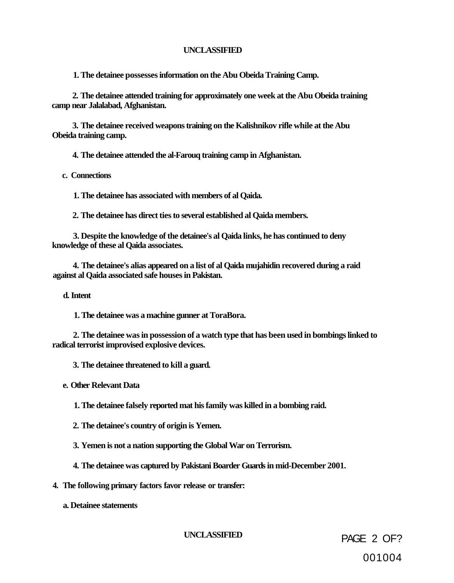**1. The detainee possesses information on the Abu Obeida Training Camp.** 

**2. The detainee attended training for approximately one week at the Abu Obeida training camp near Jalalabad, Afghanistan.** 

**3. The detainee received weapons training on the Kalishnikov rifle while at the Abu Obeida training camp.** 

**4. The detainee attended the al-Farouq training camp in Afghanistan.** 

**c. Connections** 

**1. The detainee has associated with members of al Qaida.** 

**2. The detainee has direct ties to several established al Qaida members.** 

**3. Despite the knowledge of the detainee's al Qaida links, he has continued to deny knowledge of these al Qaida associates.** 

**4. The detainee's alias appeared on a list of al Qaida mujahidin recovered during a raid against al Qaida associated safe houses in Pakistan.** 

**d. Intent** 

**1. The detainee was a machine gunner at ToraBora.** 

**2. The detainee was in possession of a watch type that has been used in bombings linked to radical terrorist improvised explosive devices.** 

**3. The detainee threatened to kill a guard.** 

**e. Other Relevant Data** 

**1. The detainee falsely reported mat his family was killed in a bombing raid.** 

**2. The detainee's country of origin is Yemen.** 

**3. Yemen is not a nation supporting the Global War on Terrorism.** 

**4. The detainee was captured by Pakistani Boarder Guards in mid-December 2001.** 

**4. The following primary factors favor release or transfer:** 

**a. Detainee statements** 

**UNCLASSIFIED** PAGE 2 OF? 001004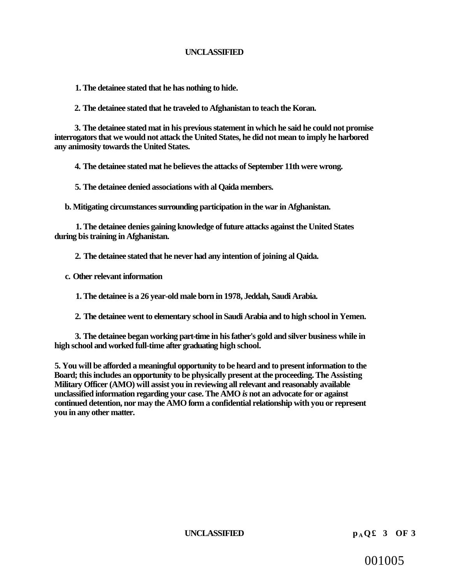**1. The detainee stated that he has nothing to hide.** 

**2. The detainee stated that he traveled to Afghanistan to teach the Koran.** 

**3. The detainee stated mat in his previous statement in which he said he could not promise interrogators that we would not attack the United States, he did not mean to imply he harbored any animosity towards the United States.** 

**4. The detainee stated mat he believes the attacks of September 11th were wrong.** 

**5. The detainee denied associations with al Qaida members.** 

**b. Mitigating circumstances surrounding participation in the war in Afghanistan.** 

**1. The detainee denies gaining knowledge of future attacks against the United States during bis training in Afghanistan.** 

**2. The detainee stated that he never had any intention of joining al Qaida.** 

**c. Other relevant information** 

**1. The detainee is a 26 year-old male born in 1978, Jeddah, Saudi Arabia.** 

**2. The detainee went to elementary school in Saudi Arabia and to high school in Yemen.** 

**3. The detainee began working part-time in his father's gold and silver business while in high school and worked full-time after graduating high school.** 

**5. You will be afforded a meaningful opportunity to be heard and to present information to the Board; this includes an opportunity to be physically present at the proceeding. The Assisting Military Officer (AMO) will assist you in reviewing all relevant and reasonably available unclassified information regarding your case. The AMO** *is* **not an advocate for or against continued detention, nor may the AMO form a confidential relationship with you or represent you in any other matter.** 

**UNCLASSIFIED**  $p_A Q £ 3 OF 3$ 

001005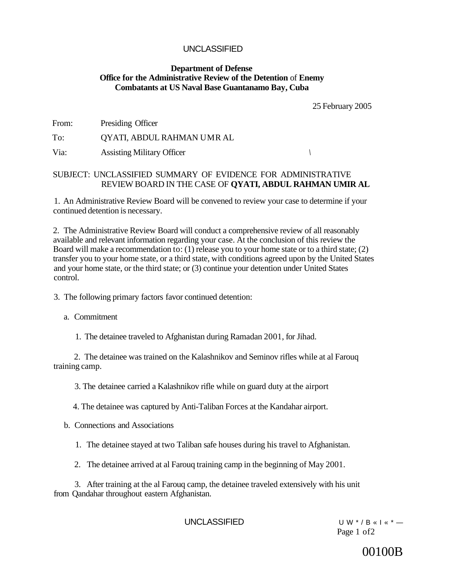#### **Department of Defense Office for the Administrative Review of the Detention** of **Enemy Combatants at US Naval Base Guantanamo Bay, Cuba**

25 February 2005

| From: | Presiding Officer |  |
|-------|-------------------|--|
|       |                   |  |

To: QYATI, ABDUL RAHMAN UMR AL

Via: Assisting Military Officer *\* 

## SUBJECT: UNCLASSIFIED SUMMARY OF EVIDENCE FOR ADMINISTRATIVE REVIEW BOARD IN THE CASE OF **QYATI, ABDUL RAHMAN UMIR AL**

1. An Administrative Review Board will be convened to review your case to determine if your continued detention is necessary.

2. The Administrative Review Board will conduct a comprehensive review of all reasonably available and relevant information regarding your case. At the conclusion of this review the Board will make a recommendation to: (1) release you to your home state or to a third state; (2) transfer you to your home state, or a third state, with conditions agreed upon by the United States and your home state, or the third state; or (3) continue your detention under United States control.

3. The following primary factors favor continued detention:

a. Commitment

1. The detainee traveled to Afghanistan during Ramadan 2001, for Jihad.

2. The detainee was trained on the Kalashnikov and Seminov rifles while at al Farouq training camp.

3. The detainee carried a Kalashnikov rifle while on guard duty at the airport

4. The detainee was captured by Anti-Taliban Forces at the Kandahar airport.

b. Connections and Associations

1. The detainee stayed at two Taliban safe houses during his travel to Afghanistan.

2. The detainee arrived at al Farouq training camp in the beginning of May 2001.

3. After training at the al Farouq camp, the detainee traveled extensively with his unit from Qandahar throughout eastern Afghanistan.

UNCLASSIFIED UW\*/B « I « \* — Page 1 of2

# 00100B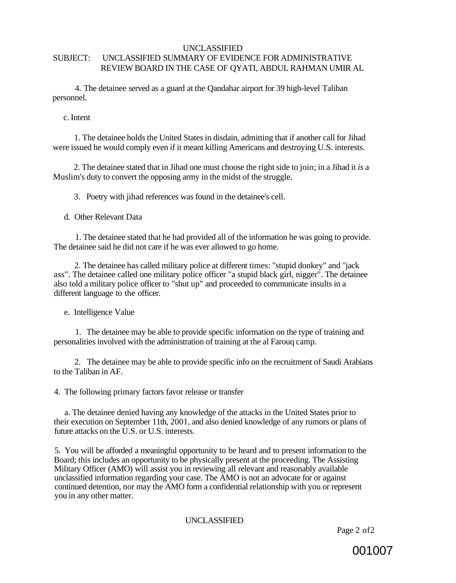#### UNCLASSIFIED SUBJECT: UNCLASSIFIED SUMMARY OF EVIDENCE FOR ADMINISTRATIVE REVIEW BOARD IN THE CASE OF QYATI, ABDUL RAHMAN UMIR AL

4. The detainee served as a guard at the Qandahar airport for 39 high-level Taliban personnel.

c. Intent

1. The detainee holds the United States in disdain, admitting that if another call for Jihad were issued he would comply even if it meant killing Americans and destroying U.S. interests.

2. The detainee stated that in Jihad one must choose the right side to join; in a Jihad it *is* a Muslim's duty to convert the opposing army in the midst of the struggle.

3. Poetry with jihad references was found in the detainee's cell.

d. Other Relevant Data

1. The detainee stated that he had provided all of the information he was going to provide. The detainee said he did not care if he was ever allowed to go home.

2. The detainee has called military police at different times: "stupid donkey" and "jack ass". The detainee called one military police officer "a stupid black girl, nigger". The detainee also told a military police officer to "shut up" and proceeded to communicate insults in a different language to the officer.

e. Intelligence Value

1. The detainee may be able to provide specific information on the type of training and personalities involved with the administration of training at the al Farouq camp.

2. The detainee may be able to provide specific info on the recruitment of Saudi Arabians to the Taliban in AF.

4. The following primary factors favor release or transfer

a. The detainee denied having any knowledge of the attacks in the United States prior to their execution on September 11th, 2001, and also denied knowledge of any rumors or plans of future attacks on the U.S. or U.S. interests.

5. You will be afforded a meaningful opportunity to be heard and to present information to the Board; this includes an opportunity to be physically present at the proceeding. The Assisting Military Officer (AMO) will assist you in reviewing all relevant and reasonably available unclassified information regarding your case. The AMO is not an advocate for or against continued detention, nor may the AMO form a confidential relationship with you or represent you in any other matter.

## UNCLASSIFIED

Page 2 of2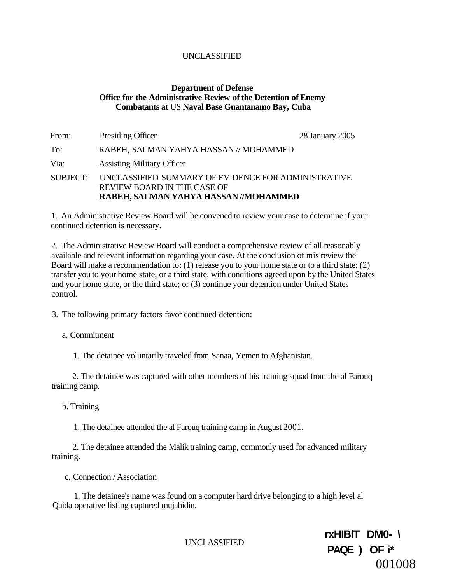#### **Department of Defense Office for the Administrative Review of the Detention of Enemy Combatants at** US **Naval Base Guantanamo Bay, Cuba**

| Presiding Officer                                                                         | 28 January 2005                       |
|-------------------------------------------------------------------------------------------|---------------------------------------|
| RABEH, SALMAN YAHYA HASSAN // MOHAMMED                                                    |                                       |
| <b>Assisting Military Officer</b>                                                         |                                       |
| UNCLASSIFIED SUMMARY OF EVIDENCE FOR ADMINISTRATIVE<br><b>REVIEW BOARD IN THE CASE OF</b> |                                       |
|                                                                                           | RABEH, SALMAN YAHYA HASSAN //MOHAMMED |

1. An Administrative Review Board will be convened to review your case to determine if your continued detention is necessary.

2. The Administrative Review Board will conduct a comprehensive review of all reasonably available and relevant information regarding your case. At the conclusion of mis review the Board will make a recommendation to: (1) release you to your home state or to a third state; (2) transfer you to your home state, or a third state, with conditions agreed upon by the United States and your home state, or the third state; or (3) continue your detention under United States control.

3. The following primary factors favor continued detention:

a. Commitment

1. The detainee voluntarily traveled from Sanaa, Yemen to Afghanistan.

2. The detainee was captured with other members of his training squad from the al Farouq training camp.

b. Training

1. The detainee attended the al Farouq training camp in August 2001.

2. The detainee attended the Malik training camp, commonly used for advanced military training.

c. Connection / Association

1. The detainee's name was found on a computer hard drive belonging to a high level al Qaida operative listing captured mujahidin.

UNCLASSIFIED

**rxHIBlT DM0- \ PAQE ) OF i\***  001008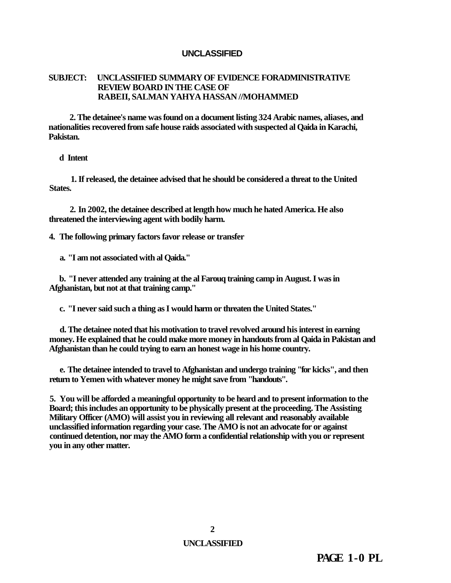#### **SUBJECT: UNCLASSIFIED SUMMARY OF EVIDENCE FORADMINISTRATIVE REVIEW BOARD IN THE CASE OF RABEII, SALMAN YAHYA HASSAN //MOHAMMED**

**2. The detainee's name was found on a document listing 324 Arabic names, aliases, and nationalities recovered from safe house raids associated with suspected al Qaida in Karachi, Pakistan.** 

#### **d Intent**

**1. If released, the detainee advised that he should be considered a threat to the United States.** 

**2. In 2002, the detainee described at length how much he hated America. He also threatened the interviewing agent with bodily harm.** 

**4. The following primary factors favor release or transfer** 

**a. "I am not associated with al Qaida."** 

**b. "I never attended any training at the al Farouq training camp in August. I was in Afghanistan, but not at that training camp."** 

**c. "I never said such a thing as I would harm or threaten the United States."** 

**d. The detainee noted that his motivation to travel revolved around his interest in earning money. He explained that he could make more money in handouts from al Qaida in Pakistan and Afghanistan than he could trying to earn an honest wage in his home country.** 

**e. The detainee intended to travel to Afghanistan and undergo training "for kicks", and then return to Yemen with whatever money he might save from "handouts".** 

**5. You will be afforded a meaningful opportunity to be heard and to present information to the Board; this includes an opportunity to be physically present at the proceeding. The Assisting Military Officer (AMO) will assist you in reviewing all relevant and reasonably available unclassified information regarding your case. The AMO is not an advocate for or against continued detention, nor may the AMO form a confidential relationship with you or represent you in any other matter.** 

**PAGE 1-0 PL**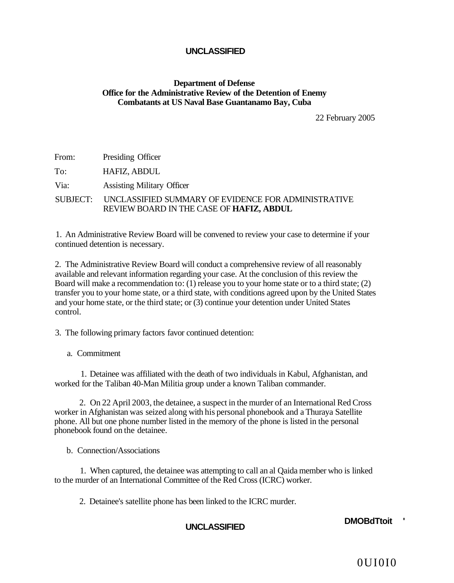#### **Department of Defense Office for the Administrative Review of the Detention of Enemy Combatants at US Naval Base Guantanamo Bay, Cuba**

22 February 2005

| From: | Presiding Officer                                                                                        |
|-------|----------------------------------------------------------------------------------------------------------|
| To:   | HAFIZ, ABDUL                                                                                             |
| Via:  | <b>Assisting Military Officer</b>                                                                        |
|       | SUBJECT: UNCLASSIFIED SUMMARY OF EVIDENCE FOR ADMINISTRATIVE<br>REVIEW BOARD IN THE CASE OF HAFIZ, ABDUL |

1. An Administrative Review Board will be convened to review your case to determine if your continued detention is necessary.

2. The Administrative Review Board will conduct a comprehensive review of all reasonably available and relevant information regarding your case. At the conclusion of this review the Board will make a recommendation to: (1) release you to your home state or to a third state; (2) transfer you to your home state, or a third state, with conditions agreed upon by the United States and your home state, or the third state; or (3) continue your detention under United States control.

3. The following primary factors favor continued detention:

a. Commitment

1. Detainee was affiliated with the death of two individuals in Kabul, Afghanistan, and worked for the Taliban 40-Man Militia group under a known Taliban commander.

2. On 22 April 2003, the detainee, a suspect in the murder of an International Red Cross worker in Afghanistan was seized along with his personal phonebook and a Thuraya Satellite phone. All but one phone number listed in the memory of the phone is listed in the personal phonebook found on the detainee.

b. Connection/Associations

1. When captured, the detainee was attempting to call an al Qaida member who is linked to the murder of an International Committee of the Red Cross (ICRC) worker.

2. Detainee's satellite phone has been linked to the ICRC murder.

**UNCLASSIFIED DMOBdTtoit '** 

0UI0I0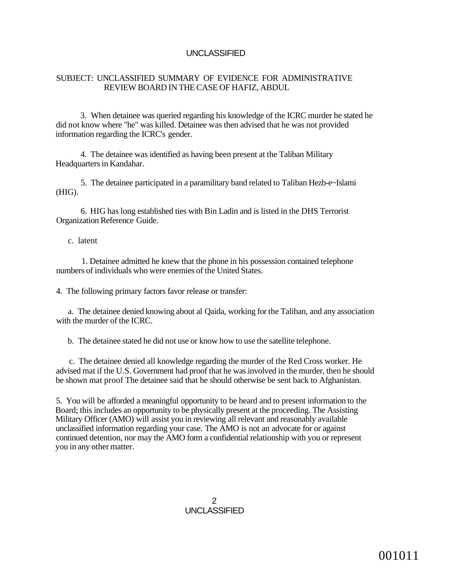#### SUBJECT: UNCLASSIFIED SUMMARY OF EVIDENCE FOR ADMINISTRATIVE REVIEW BOARD IN THE CASE OF HAFIZ, ABDUL

3. When detainee was queried regarding his knowledge of the ICRC murder he stated he did not know where "he" was killed. Detainee was then advised that he was not provided information regarding the ICRC's gender.

4. The detainee was identified as having been present at the Taliban Military Headquarters in Kandahar.

5. The detainee participated in a paramilitary band related to Taliban Hezb-e~Islami (HIG).

6. HIG has long established ties with Bin Ladin and is listed in the DHS Terrorist Organization Reference Guide.

c. latent

1. Detainee admitted he knew that the phone in his possession contained telephone numbers of individuals who were enemies of the United States.

4. The following primary factors favor release or transfer:

a. The detainee denied knowing about al Qaida, working for the Taliban, and any association with the murder of the ICRC.

b. The detainee stated he did not use or know how to use the satellite telephone.

c. The detainee denied all knowledge regarding the murder of the Red Cross worker. He advised mat if the U.S. Government had proof that he was involved in the murder, then he should be shown mat proof The detainee said that he should otherwise be sent back to Afghanistan.

5. You will be afforded a meaningful opportunity to be heard and to present information to the Board; this includes an opportunity to be physically present at the proceeding. The Assisting Military Officer (AMO) will assist you in reviewing all relevant and reasonably available unclassified information regarding your case. The AMO is not an advocate for or against continued detention, nor may the AMO form a confidential relationship with you or represent you in any other matter.

> 2 UNCLASSIFIED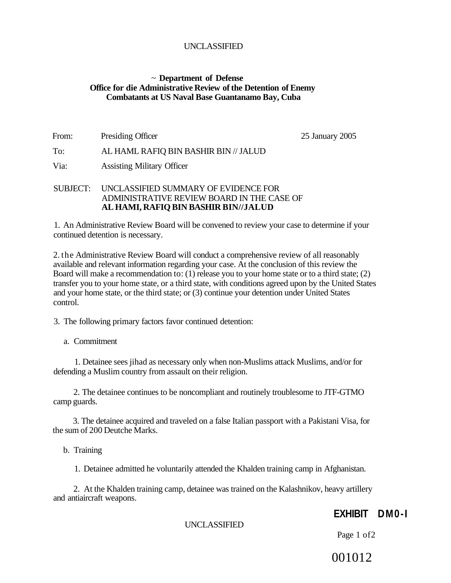#### ~ **Department of Defense Office for die Administrative Review of the Detention of Enemy Combatants at US Naval Base Guantanamo Bay, Cuba**

| From: | Presiding Officer                     | 25 January 2005 |
|-------|---------------------------------------|-----------------|
| To:   | AL HAML RAFIQ BIN BASHIR BIN // JALUD |                 |
| Via:  | <b>Assisting Military Officer</b>     |                 |

#### SUBJECT: UNCLASSIFIED SUMMARY OF EVIDENCE FOR ADMINISTRATIVE REVIEW BOARD IN THE CASE OF **AL HAMI, RAFIQ BIN BASHIR BIN//JALUD**

1. An Administrative Review Board will be convened to review your case to determine if your continued detention is necessary.

2. the Administrative Review Board will conduct a comprehensive review of all reasonably available and relevant information regarding your case. At the conclusion of this review the Board will make a recommendation to: (1) release you to your home state or to a third state; (2) transfer you to your home state, or a third state, with conditions agreed upon by the United States and your home state, or the third state; or (3) continue your detention under United States control.

3. The following primary factors favor continued detention:

a. Commitment

1. Detainee sees jihad as necessary only when non-Muslims attack Muslims, and/or for defending a Muslim country from assault on their religion.

2. The detainee continues to be noncompliant and routinely troublesome to JTF-GTMO camp guards.

3. The detainee acquired and traveled on a false Italian passport with a Pakistani Visa, for the sum of 200 Deutche Marks.

b. Training

1. Detainee admitted he voluntarily attended the Khalden training camp in Afghanistan.

2. At the Khalden training camp, detainee was trained on the Kalashnikov, heavy artillery and antiaircraft weapons.

# **EXHIBIT DM0-I**

UNCLASSIFIED

Page 1 of2

001012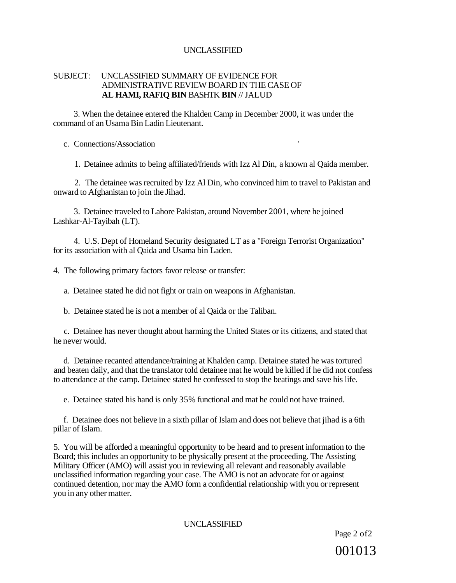#### SUBJECT: UNCLASSIFIED SUMMARY OF EVIDENCE FOR ADMINISTRATIVE REVIEW BOARD IN THE CASE OF **AL HAMI, RAFIQ BIN** BASHTK **BIN** // JALUD

3. When the detainee entered the Khalden Camp in December 2000, it was under the command of an Usama Bin Ladin Lieutenant.

c. Connections/Association '

1. Detainee admits to being affiliated/friends with Izz Al Din, a known al Qaida member.

2. The detainee was recruited by Izz Al Din, who convinced him to travel to Pakistan and onward to Afghanistan to join the Jihad.

3. Detainee traveled to Lahore Pakistan, around November 2001, where he joined Lashkar-Al-Tayibah (LT).

4. U.S. Dept of Homeland Security designated LT as a "Foreign Terrorist Organization" for its association with al Qaida and Usama bin Laden.

4. The following primary factors favor release or transfer:

a. Detainee stated he did not fight or train on weapons in Afghanistan.

b. Detainee stated he is not a member of al Qaida or the Taliban.

c. Detainee has never thought about harming the United States or its citizens, and stated that he never would.

d. Detainee recanted attendance/training at Khalden camp. Detainee stated he was tortured and beaten daily, and that the translator told detainee mat he would be killed if he did not confess to attendance at the camp. Detainee stated he confessed to stop the beatings and save his life.

e. Detainee stated his hand is only 35% functional and mat he could not have trained.

f. Detainee does not believe in a sixth pillar of Islam and does not believe that jihad is a 6th pillar of Islam.

5. You will be afforded a meaningful opportunity to be heard and to present information to the Board; this includes an opportunity to be physically present at the proceeding. The Assisting Military Officer (AMO) will assist you in reviewing all relevant and reasonably available unclassified information regarding your case. The AMO is not an advocate for or against continued detention, nor may the AMO form a confidential relationship with you or represent you in any other matter.

## UNCLASSIFIED

Page 2 of2 001013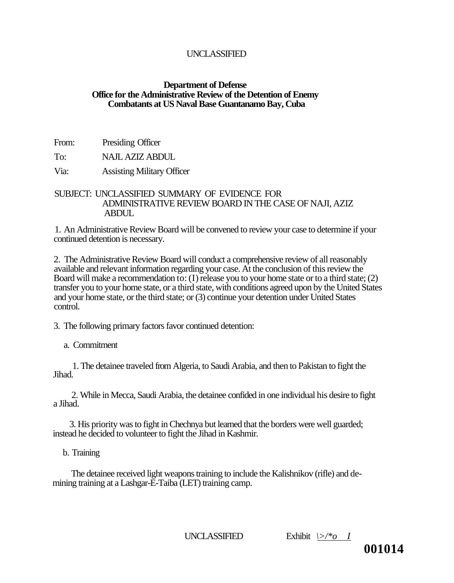#### **Department of Defense Office for the Administrative Review of the Detention of Enemy Combatants at US Naval Base Guantanamo Bay, Cuba**

From: Presiding Officer

To: NAJL AZIZ ABDUL

Via: Assisting Military Officer

## SUBJECT: UNCLASSIFIED SUMMARY OF EVIDENCE FOR ADMINISTRATIVE REVIEW BOARD IN THE CASE OF NAJI, AZIZ **ABDUL**

1. An Administrative Review Board will be convened to review your case to determine if your continued detention is necessary.

2. The Administrative Review Board will conduct a comprehensive review of all reasonably available and relevant information regarding your case. At the conclusion of this review the Board will make a recommendation to: (I) release you to your home state or to a third state; (2) transfer you to your home state, or a third state, with conditions agreed upon by the United States and your home state, or the third state; or (3) continue your detention under United States control.

3. The following primary factors favor continued detention:

a. Commitment

1. The detainee traveled from Algeria, to Saudi Arabia, and then to Pakistan to fight the Jihad.

2. While in Mecca, Saudi Arabia, the detainee confided in one individual his desire to fight a Jihad.

3. His priority was to fight in Chechnya but learned that the borders were well guarded; instead he decided to volunteer to fight the Jihad in Kashmir.

b. Training

The detainee received light weapons training to include the Kalishnikov (rifle) and demining training at a Lashgar-E-Taiba (LET) training camp.

UNCLASSIFIED Exhibit *\>/\*o I* 

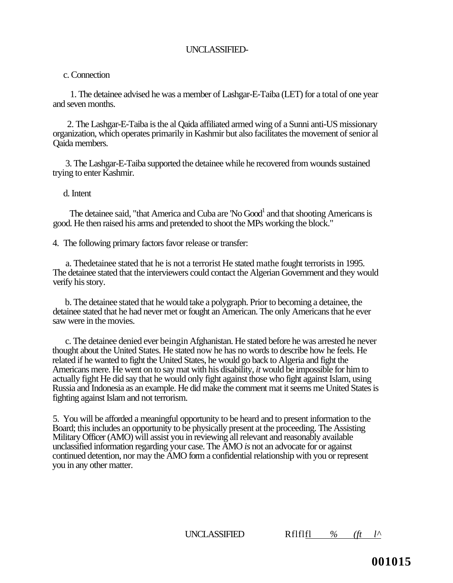#### c. Connection

1. The detainee advised he was a member of Lashgar-E-Taiba (LET) for a total of one year and seven months.

2. The Lashgar-E-Taiba is the al Qaida affiliated armed wing of a Sunni anti-US missionary organization, which operates primarily in Kashmir but also facilitates the movement of senior al Qaida members.

3. The Lashgar-E-Taiba supported the detainee while he recovered from wounds sustained trying to enter Kashmir.

## d. Intent

The detainee said, "that America and Cuba are  $\text{No Good}^1$  and that shooting Americans is good. He then raised his arms and pretended to shoot the MPs working the block."

4. The following primary factors favor release or transfer:

a. Thedetainee stated that he is not a terrorist He stated mathe fought terrorists in 1995. The detainee stated that the interviewers could contact the Algerian Government and they would verify his story.

b. The detainee stated that he would take a polygraph. Prior to becoming a detainee, the detainee stated that he had never met or fought an American. The only Americans that he ever saw were in the movies.

c. The detainee denied ever beingin Afghanistan. He stated before he was arrested he never thought about the United States. He stated now he has no words to describe how he feels. He related if he wanted to fight the United States, he would go back to Algeria and fight the Americans mere. He went on to say mat with his disability, *it* would be impossible for him to actually fight He did say that he would only fight against those who fight against Islam, using Russia and Indonesia as an example. He did make the comment mat it seems me United States is fighting against Islam and not terrorism.

5. You will be afforded a meaningful opportunity to be heard and to present information to the Board; this includes an opportunity to be physically present at the proceeding. The Assisting Military Officer (AMO) will assist you in reviewing all relevant and reasonably available unclassified information regarding your case. The AMO *is* not an advocate for or against continued detention, nor may the AMO form a confidential relationship with you or represent you in any other matter.

UNCLASSIFIED Rflflfl *% (ft l^*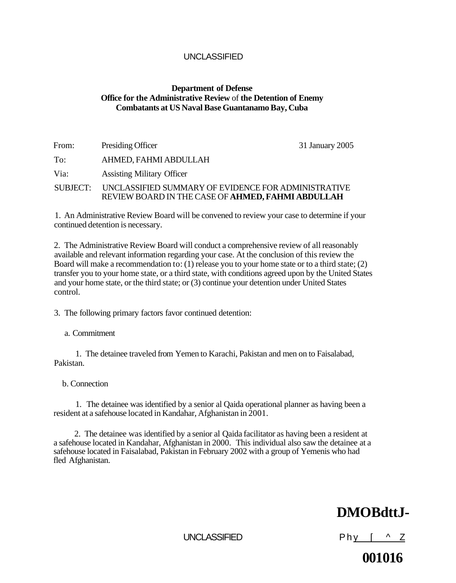# **Department of Defense Office for the Administrative Review** of **the Detention of Enemy Combatants at US Naval Base Guantanamo Bay, Cuba**

| From:    | Presiding Officer                                                                                        | 31 January 2005 |
|----------|----------------------------------------------------------------------------------------------------------|-----------------|
| To:      | AHMED, FAHMI ABDULLAH                                                                                    |                 |
| Via:     | <b>Assisting Military Officer</b>                                                                        |                 |
| SUBJECT: | UNCLASSIFIED SUMMARY OF EVIDENCE FOR ADMINISTRATIVE<br>REVIEW BOARD IN THE CASE OF AHMED, FAHMI ABDULLAH |                 |

1. An Administrative Review Board will be convened to review your case to determine if your continued detention is necessary.

2. The Administrative Review Board will conduct a comprehensive review of all reasonably available and relevant information regarding your case. At the conclusion of this review the Board will make a recommendation to: (1) release you to your home state or to a third state; (2) transfer you to your home state, or a third state, with conditions agreed upon by the United States and your home state, or the third state; or (3) continue your detention under United States control.

3. The following primary factors favor continued detention:

a. Commitment

1. The detainee traveled from Yemen to Karachi, Pakistan and men on to Faisalabad, Pakistan.

b. Connection

1. The detainee was identified by a senior al Qaida operational planner as having been a resident at a safehouse located in Kandahar, Afghanistan in 2001.

2. The detainee was identified by a senior al Qaida facilitator as having been a resident at a safehouse located in Kandahar, Afghanistan in 2000. This individual also saw the detainee at a safehouse located in Faisalabad, Pakistan in February 2002 with a group of Yemenis who had fled Afghanistan.

# **DMOBdttJ-**

UNCLASSIFIED Phy  $\left[\begin{array}{cc} \wedge & \mathsf{Z} \end{array}\right]$ 

**001016**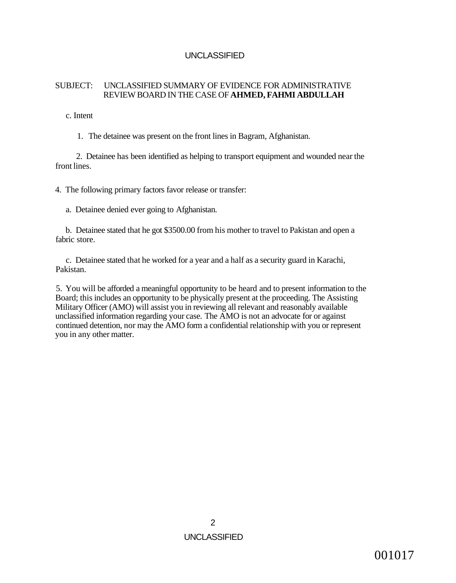# SUBJECT: UNCLASSIFIED SUMMARY OF EVIDENCE FOR ADMINISTRATIVE REVIEW BOARD IN THE CASE OF **AHMED, FAHMI ABDULLAH**

c. Intent

1. The detainee was present on the front lines in Bagram, Afghanistan.

2. Detainee has been identified as helping to transport equipment and wounded near the front lines.

4. The following primary factors favor release or transfer:

a. Detainee denied ever going to Afghanistan.

b. Detainee stated that he got \$3500.00 from his mother to travel to Pakistan and open a fabric store.

c. Detainee stated that he worked for a year and a half as a security guard in Karachi, Pakistan.

5. You will be afforded a meaningful opportunity to be heard and to present information to the Board; this includes an opportunity to be physically present at the proceeding. The Assisting Military Officer (AMO) will assist you in reviewing all relevant and reasonably available unclassified information regarding your case. The AMO is not an advocate for or against continued detention, nor may the AMO form a confidential relationship with you or represent you in any other matter.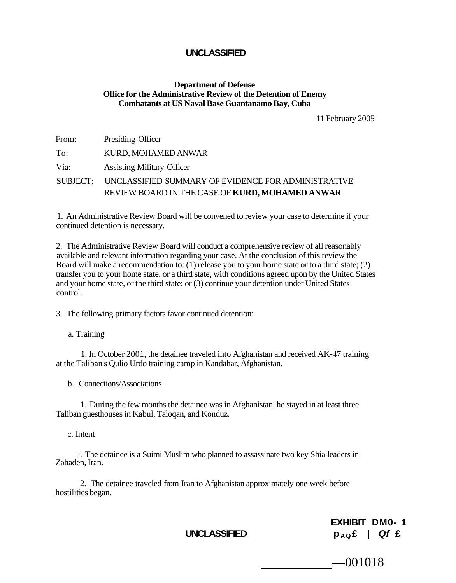# **Department of Defense Office for the Administrative Review of the Detention of Enemy Combatants at US Naval Base Guantanamo Bay, Cuba**

11 February 2005

| From: | Presiding Officer                                            |
|-------|--------------------------------------------------------------|
| To:   | KURD, MOHAMED ANWAR                                          |
| Via:  | <b>Assisting Military Officer</b>                            |
|       | SUBJECT: UNCLASSIFIED SUMMARY OF EVIDENCE FOR ADMINISTRATIVE |
|       | REVIEW BOARD IN THE CASE OF KURD, MOHAMED ANWAR              |

1. An Administrative Review Board will be convened to review your case to determine if your continued detention is necessary.

2. The Administrative Review Board will conduct a comprehensive review of all reasonably available and relevant information regarding your case. At the conclusion of this review the Board will make a recommendation to: (1) release you to your home state or to a third state; (2) transfer you to your home state, or a third state, with conditions agreed upon by the United States and your home state, or the third state; or (3) continue your detention under United States control.

3. The following primary factors favor continued detention:

a. Training

1. In October 2001, the detainee traveled into Afghanistan and received AK-47 training at the Taliban's Qulio Urdo training camp in Kandahar, Afghanistan.

b. Connections/Associations

1. During the few months the detainee was in Afghanistan, he stayed in at least three Taliban guesthouses in Kabul, Taloqan, and Konduz.

c. Intent

1. The detainee is a Suimi Muslim who planned to assassinate two key Shia leaders in Zahaden, Iran.

2. The detainee traveled from Iran to Afghanistan approximately one week before hostilities began.

**EXHIBIT DM0- 1**   $P_{AQ}E$  | Qf £

—001018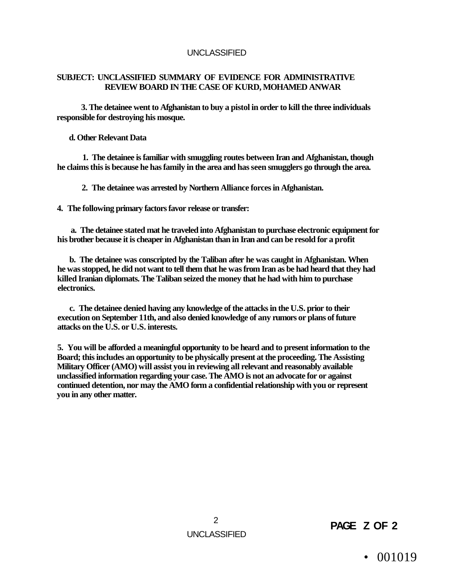# **SUBJECT: UNCLASSIFIED SUMMARY OF EVIDENCE FOR ADMINISTRATIVE REVIEW BOARD IN THE CASE OF KURD, MOHAMED ANWAR**

**3. The detainee went to Afghanistan to buy a pistol in order to kill the three individuals responsible for destroying his mosque.** 

**d. Other Relevant Data** 

**1. The detainee is familiar with smuggling routes between Iran and Afghanistan, though he claims this is because he has family in the area and has seen smugglers go through the area.** 

**2. The detainee was arrested by Northern Alliance forces in Afghanistan.** 

**4. The following primary factors favor release or transfer:** 

**a. The detainee stated mat he traveled into Afghanistan to purchase electronic equipment for his brother because it is cheaper in Afghanistan than in Iran and can be resold for a profit** 

**b. The detainee was conscripted by the Taliban after he was caught in Afghanistan. When he was stopped, he did not want to tell them that he was from Iran as be had heard that they had killed Iranian diplomats. The Taliban seized the money that he had with him to purchase electronics.** 

**c. The detainee denied having any knowledge of the attacks in the U.S. prior to their execution on September 11th, and also denied knowledge of any rumors or plans of future attacks on the U.S. or U.S. interests.** 

**5. You will be afforded a meaningful opportunity to be heard and to present information to the Board; this includes an opportunity to be physically present at the proceeding. The Assisting Military Officer (AMO) will assist you in reviewing all relevant and reasonably available unclassified information regarding your case. The AMO is not an advocate for or against continued detention, nor may the AMO form a confidential relationship with you or represent you in any other matter.** 

> 2 UNCLASSIFIED

**PAGE Z OF 2** 

• 001019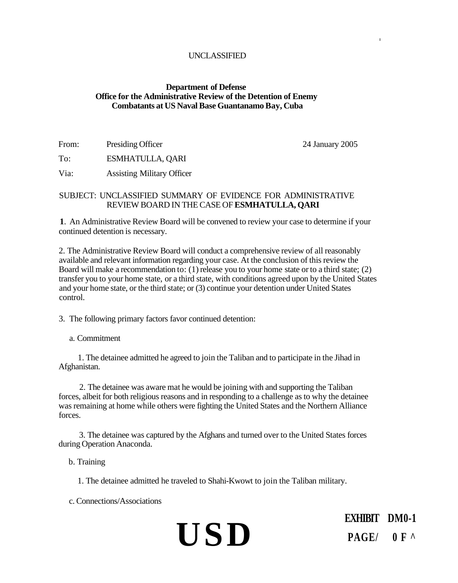# **Department of Defense Office for the Administrative Review of the Detention of Enemy Combatants at US Naval Base Guantanamo Bay, Cuba**

From: Presiding Officer 24 January 2005

**I** 

To: ESMHATULLA, QARI

Via: Assisting Military Officer

# SUBJECT: UNCLASSIFIED SUMMARY OF EVIDENCE FOR ADMINISTRATIVE REVIEW BOARD IN THE CASE OF **ESMHATULLA, QARI**

**1**. An Administrative Review Board will be convened to review your case to determine if your continued detention is necessary.

2. The Administrative Review Board will conduct a comprehensive review of all reasonably available and relevant information regarding your case. At the conclusion of this review the Board will make a recommendation to: (1) release you to your home state or to a third state; (2) transfer you to your home state, or a third state, with conditions agreed upon by the United States and your home state, or the third state; or (3) continue your detention under United States control.

3. The following primary factors favor continued detention:

a. Commitment

1. The detainee admitted he agreed to join the Taliban and to participate in the Jihad in Afghanistan.

2. The detainee was aware mat he would be joining with and supporting the Taliban forces, albeit for both religious reasons and in responding to a challenge as to why the detainee was remaining at home while others were fighting the United States and the Northern Alliance forces.

3. The detainee was captured by the Afghans and turned over to the United States forces during Operation Anaconda.

b. Training

1. The detainee admitted he traveled to Shahi-Kwowt to join the Taliban military.

c. Connections/Associations

# **USD**

**EXHIBIT DM0-1 PAGE/ 0F ^**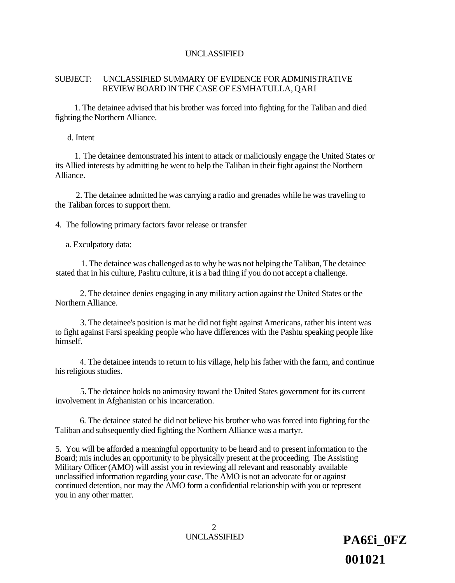# SUBJECT: UNCLASSIFIED SUMMARY OF EVIDENCE FOR ADMINISTRATIVE REVIEW BOARD IN THE CASE OF ESMHATULLA, QARI

1. The detainee advised that his brother was forced into fighting for the Taliban and died fighting the Northern Alliance.

d. Intent

1. The detainee demonstrated his intent to attack or maliciously engage the United States or its Allied interests by admitting he went to help the Taliban in their fight against the Northern Alliance.

2. The detainee admitted he was carrying a radio and grenades while he was traveling to the Taliban forces to support them.

4. The following primary factors favor release or transfer

a. Exculpatory data:

1. The detainee was challenged as to why he was not helping the Taliban, The detainee stated that in his culture, Pashtu culture, it is a bad thing if you do not accept a challenge.

2. The detainee denies engaging in any military action against the United States or the Northern Alliance.

3. The detainee's position is mat he did not fight against Americans, rather his intent was to fight against Farsi speaking people who have differences with the Pashtu speaking people like himself.

4. The detainee intends to return to his village, help his father with the farm, and continue his religious studies.

5. The detainee holds no animosity toward the United States government for its current involvement in Afghanistan or his incarceration.

6. The detainee stated he did not believe his brother who was forced into fighting for the Taliban and subsequently died fighting the Northern Alliance was a martyr.

5. You will be afforded a meaningful opportunity to be heard and to present information to the Board; mis includes an opportunity to be physically present at the proceeding. The Assisting Military Officer (AMO) will assist you in reviewing all relevant and reasonably available unclassified information regarding your case. The AMO is not an advocate for or against continued detention, nor may the AMO form a confidential relationship with you or represent you in any other matter.

2

UNCLASSIFIED **PA6£i 0FZ 001021**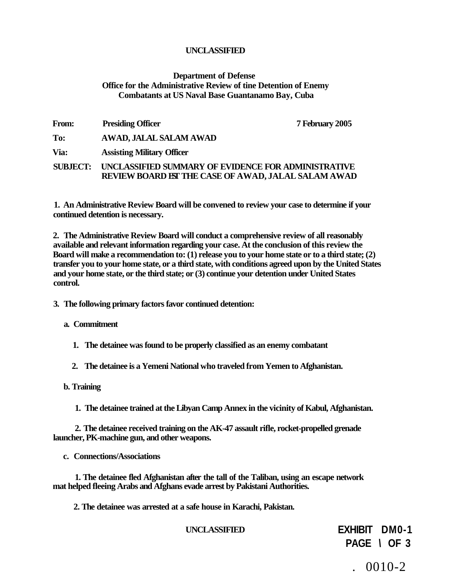# **Department of Defense Office for the Administrative Review of tine Detention of Enemy Combatants at US Naval Base Guantanamo Bay, Cuba**

| <b>From:</b>    | <b>Presiding Officer</b>                                                                                          | 7 February 2005 |
|-----------------|-------------------------------------------------------------------------------------------------------------------|-----------------|
| To:             | AWAD, JALAL SALAM AWAD                                                                                            |                 |
| Via:            | <b>Assisting Military Officer</b>                                                                                 |                 |
| <b>SUBJECT:</b> | UNCLASSIFIED SUMMARY OF EVIDENCE FOR ADMINISTRATIVE<br><b>REVIEW BOARD IST THE CASE OF AWAD, JALAL SALAM AWAD</b> |                 |

**1. An Administrative Review Board will be convened to review your case to determine if your continued detention is necessary.** 

**2. The Administrative Review Board will conduct a comprehensive review of all reasonably available and relevant information regarding your case. At the conclusion of this review the Board will make a recommendation to: (1) release you to your home state or to a third state; (2) transfer you to your home state, or a third state, with conditions agreed upon by the United States and your home state, or the third state; or (3) continue your detention under United States control.** 

**3. The following primary factors favor continued detention:** 

**a. Commitment** 

- **1. The detainee was found to be properly classified as an enemy combatant**
- **2. The detainee is a Yemeni National who traveled from Yemen to Afghanistan.**
- **b. Training** 
	- **1. The detainee trained at the Libyan Camp Annex in the vicinity of Kabul, Afghanistan.**

**2. The detainee received training on the AK-47 assault rifle, rocket-propelled grenade launcher, PK-machine gun, and other weapons.** 

**c. Connections/Associations** 

**1. The detainee fled Afghanistan after the tall of the Taliban, using an escape network mat helped fleeing Arabs and Afghans evade arrest by Pakistani Authorities.** 

**2. The detainee was arrested at a safe house in Karachi, Pakistan.** 

 $. 0010 - 2$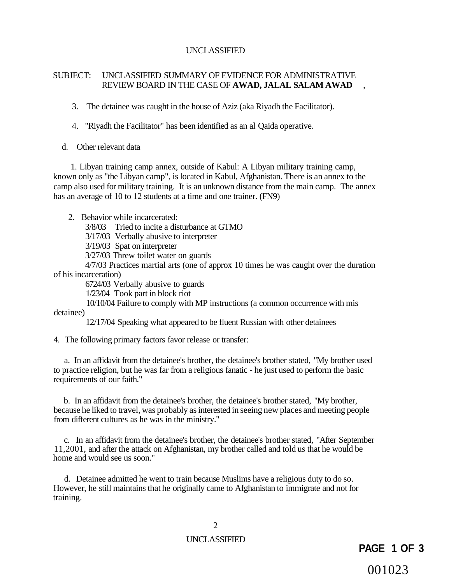# SUBJECT: UNCLASSIFIED SUMMARY OF EVIDENCE FOR ADMINISTRATIVE REVIEW BOARD IN THE CASE OF **AWAD, JALAL SALAM AWAD** ,

3. The detainee was caught in the house of Aziz (aka Riyadh the Facilitator).

4. "Riyadh the Facilitator" has been identified as an al Qaida operative.

d. Other relevant data

1. Libyan training camp annex, outside of Kabul: A Libyan military training camp, known only as "the Libyan camp", is located in Kabul, Afghanistan. There is an annex to the camp also used for military training. It is an unknown distance from the main camp. The annex has an average of 10 to 12 students at a time and one trainer. (FN9)

2. Behavior while incarcerated:

3/8/03 Tried to incite a disturbance at GTMO

3/17/03 Verbally abusive to interpreter

3/19/03 Spat on interpreter

3/27/03 Threw toilet water on guards

4/7/03 Practices martial arts (one of approx 10 times he was caught over the duration of his incarceration)

6724/03 Verbally abusive to guards

1/23/04 Took part in block riot

10/10/04 Failure to comply with MP instructions (a common occurrence with mis detainee)

12/17/04 Speaking what appeared to be fluent Russian with other detainees

4. The following primary factors favor release or transfer:

a. In an affidavit from the detainee's brother, the detainee's brother stated, "My brother used to practice religion, but he was far from a religious fanatic - he just used to perform the basic requirements of our faith."

b. In an affidavit from the detainee's brother, the detainee's brother stated, "My brother, because he liked to travel, was probably as interested in seeing new places and meeting people from different cultures as he was in the ministry."

c. In an affidavit from the detainee's brother, the detainee's brother stated, "After September 11,2001, and after the attack on Afghanistan, my brother called and told us that he would be home and would see us soon."

d. Detainee admitted he went to train because Muslims have a religious duty to do so. However, he still maintains that he originally came to Afghanistan to immigrate and not for training.

2

# UNCLASSIFIED

# **PAGE 1 OF 3**

001023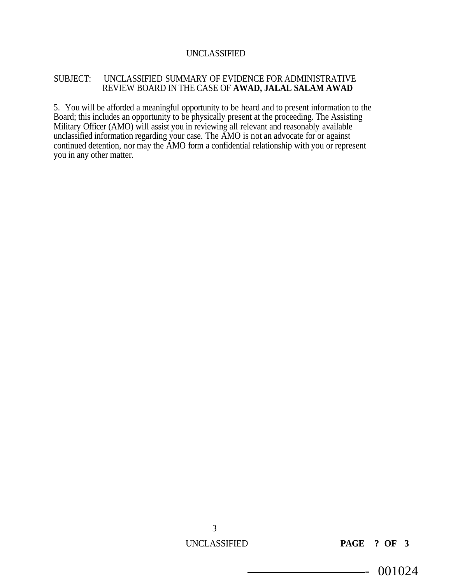# SUBJECT: UNCLASSIFIED SUMMARY OF EVIDENCE FOR ADMINISTRATIVE REVIEW BOARD IN THE CASE OF **AWAD, JALAL SALAM AWAD**

5. You will be afforded a meaningful opportunity to be heard and to present information to the Board; this includes an opportunity to be physically present at the proceeding. The Assisting Military Officer (AMO) will assist you in reviewing all relevant and reasonably available unclassified information regarding your case. The AMO is not an advocate for or against continued detention, nor may the AMO form a confidential relationship with you or represent you in any other matter.

UNCLASSIFIED **PAGE ? OF 3** 

- 001024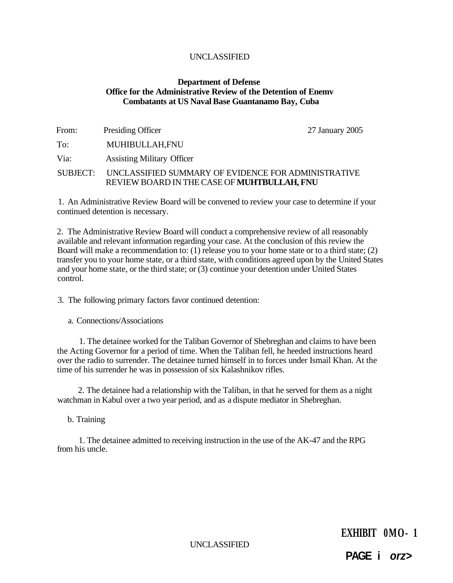# **Department of Defense Office for the Administrative Review of the Detention of Enemv Combatants at US Naval Base Guantanamo Bay, Cuba**

| From:    | Presiding Officer                                                                                  | 27 January 2005 |
|----------|----------------------------------------------------------------------------------------------------|-----------------|
| To:      | MUHIBULLAH,FNU                                                                                     |                 |
| Via:     | <b>Assisting Military Officer</b>                                                                  |                 |
| SUBJECT: | UNCLASSIFIED SUMMARY OF EVIDENCE FOR ADMINISTRATIVE<br>REVIEW BOARD IN THE CASE OF MUHTBULLAH, FNU |                 |

1. An Administrative Review Board will be convened to review your case to determine if your continued detention is necessary.

2. The Administrative Review Board will conduct a comprehensive review of all reasonably available and relevant information regarding your case. At the conclusion of this review the Board will make a recommendation to: (1) release you to your home state or to a third state; (2) transfer you to your home state, or a third state, with conditions agreed upon by the United States and your home state, or the third state; or (3) continue your detention under United States control.

3. The following primary factors favor continued detention:

a. Connections/Associations

1. The detainee worked for the Taliban Governor of Shebreghan and claims to have been the Acting Governor for a period of time. When the Taliban fell, he heeded instructions heard over the radio to surrender. The detainee turned himself in to forces under Ismail Khan. At the time of his surrender he was in possession of six Kalashnikov rifles.

2. The detainee had a relationship with the Taliban, in that he served for them as a night watchman in Kabul over a two year period, and as a dispute mediator in Shebreghan.

b. Training

1. The detainee admitted to receiving instruction in the use of the AK-47 and the RPG from his uncle.

UNCLASSIFIED

**EXHIBIT 0MO- 1** 

**PAGE i orz>**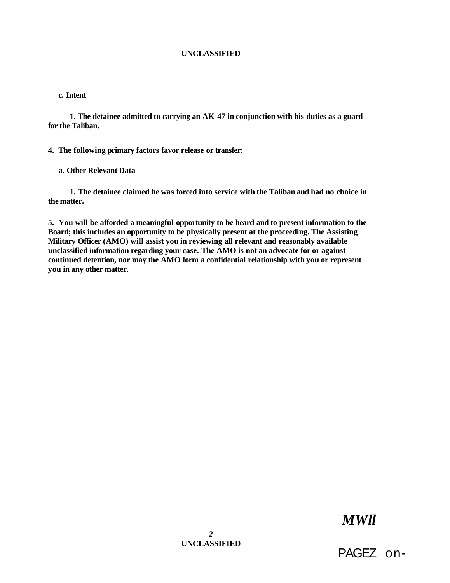#### **c. Intent**

**1. The detainee admitted to carrying an AK-47 in conjunction with his duties as a guard for the Taliban.** 

**4. The following primary factors favor release or transfer:** 

## **a. Other Relevant Data**

**1. The detainee claimed he was forced into service with the Taliban and had no choice in the matter.** 

**5. You will be afforded a meaningful opportunity to be heard and to present information to the Board; this includes an opportunity to be physically present at the proceeding. The Assisting Military Officer (AMO) will assist you in reviewing all relevant and reasonably available unclassified information regarding your case. The AMO is not an advocate for or against continued detention, nor may the AMO form a confidential relationship with you or represent you in any other matter.** 

# *MWll*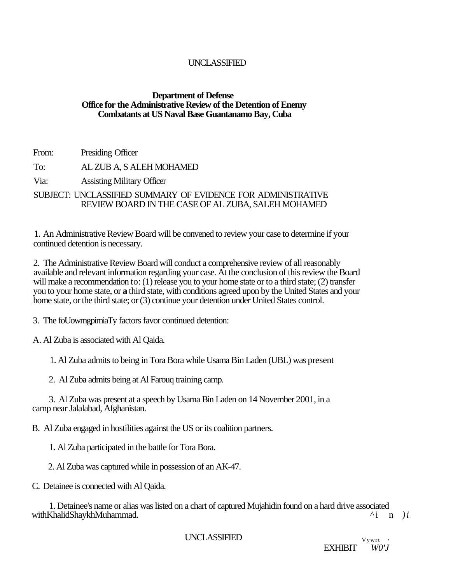# **Department of Defense Office for the Administrative Review of the Detention of Enemy Combatants at US Naval Base Guantanamo Bay, Cuba**

From: Presiding Officer

To: AL ZUB A, S ALEH MOHAMED

Via: Assisting Military Officer

SUBJECT: UNCLASSIFIED SUMMARY OF EVIDENCE FOR ADMINISTRATIVE REVIEW BOARD IN THE CASE OF AL ZUBA, SALEH MOHAMED

1. An Administrative Review Board will be convened to review your case to determine if your continued detention is necessary.

2. The Administrative Review Board will conduct a comprehensive review of all reasonably available and relevant information regarding your case. At the conclusion of this review the Board will make a recommendation to: (1) release you to your home state or to a third state; (2) transfer you to your home state, or **a** third state, with conditions agreed upon by the United States and your home state, or the third state; or (3) continue your detention under United States control.

3. The foUowmgpimiaTy factors favor continued detention:

A. Al Zuba is associated with Al Qaida.

1. Al Zuba admits to being in Tora Bora while Usama Bin Laden (UBL) was present

2. Al Zuba admits being at Al Farouq training camp.

3. Al Zuba was present at a speech by Usama Bin Laden on 14 November 2001, in a camp near Jalalabad, Afghanistan.

B. Al Zuba engaged in hostilities against the US or its coalition partners.

1. Al Zuba participated in the battle for Tora Bora.

2. Al Zuba was captured while in possession of an AK-47.

C. Detainee is connected with Al Qaida.

1. Detainee's name or alias was listed on a chart of captured Mujahidin found on a hard drive associated<br>KhalidShavkhMuhammad. withKhalidShaykhMuhammad. ^ i n *)i* 

UNCLASSIFIED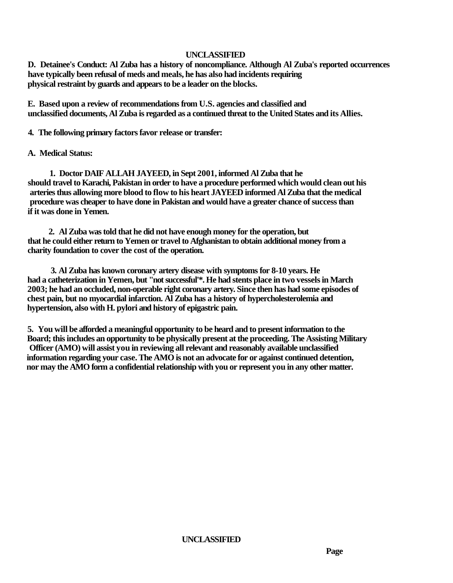**D. Detainee's Conduct: Al Zuba has a history of noncompliance. Although Al Zuba's reported occurrences have typically been refusal of meds and meals, he has also had incidents requiring physical restraint by guards and appears to be a leader on the blocks.** 

**E. Based upon a review of recommendations from U.S. agencies and classified and unclassified documents, Al Zuba is regarded as a continued threat to the United States and its Allies.** 

**4. The following primary factors favor release or transfer:** 

# **A. Medical Status:**

**1. Doctor DAIF ALLAH JAYEED, in Sept 2001, informed Al Zuba that he should travel to Karachi, Pakistan in order to have a procedure performed which would clean out his arteries thus allowing more blood to flow to his heart JAYEED informed Al Zuba that the medical procedure was cheaper to have done in Pakistan and would have a greater chance of success than if it was done in Yemen.** 

**2. Al Zuba was told that he did not have enough money for the operation, but that he could either return to Yemen or travel to Afghanistan to obtain additional money from a charity foundation to cover the cost of the operation.** 

**3. Al Zuba has known coronary artery disease with symptoms for 8-10 years. He had a catheterization in Yemen, but "not successful'\*. He had stents place in two vessels in March 2003; he had an occluded, non-operable right coronary artery. Since then has had some episodes of chest pain, but no myocardial infarction. Al Zuba has a history of hypercholesterolemia and hypertension, also with H. pylori and history of epigastric pain.** 

**5. You will be afforded a meaningful opportunity to be heard and to present information to the Board; this includes an opportunity to be physically present at the proceeding. The Assisting Military Officer (AMO) will assist you in reviewing all relevant and reasonably available unclassified information regarding your case. The AMO is not an advocate for or against continued detention, nor may the AMO form a confidential relationship with you or represent you in any other matter.** 

**UNCLASSIFIED**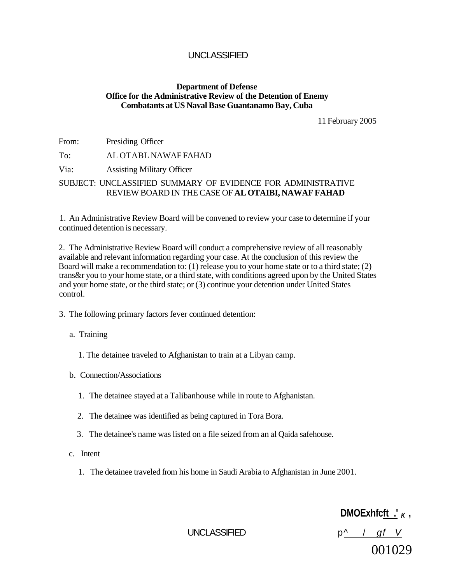# **Department of Defense Office for the Administrative Review of the Detention of Enemy Combatants at US Naval Base Guantanamo Bay, Cuba**

11 February 2005

From: Presiding Officer

To: AL OTABL NAWAF FAHAD

Via: Assisting Military Officer

# SUBJECT: UNCLASSIFIED SUMMARY OF EVIDENCE FOR ADMINISTRATIVE REVIEW BOARD IN THE CASE OF **AL OTAIBI, NAWAF FAHAD**

1. An Administrative Review Board will be convened to review your case to determine if your continued detention is necessary.

2. The Administrative Review Board will conduct a comprehensive review of all reasonably available and relevant information regarding your case. At the conclusion of this review the Board will make a recommendation to: (1) release you to your home state or to a third state; (2) trans&r you to your home state, or a third state, with conditions agreed upon by the United States and your home state, or the third state; or (3) continue your detention under United States control.

3. The following primary factors fever continued detention:

a. Training

- 1. The detainee traveled to Afghanistan to train at a Libyan camp.
- b. Connection/Associations
	- 1. The detainee stayed at a Talibanhouse while in route to Afghanistan.
	- 2. The detainee was identified as being captured in Tora Bora.
	- 3. The detainee's name was listed on a file seized from an al Qaida safehouse.
- c. Intent
	- 1. The detainee traveled from his home in Saudi Arabia to Afghanistan in June 2001.

**DMOExhfcft**  $\mathbf{F}$  **K** 

UNCLASSIFIED  $p^{\wedge}$  / gf V 001029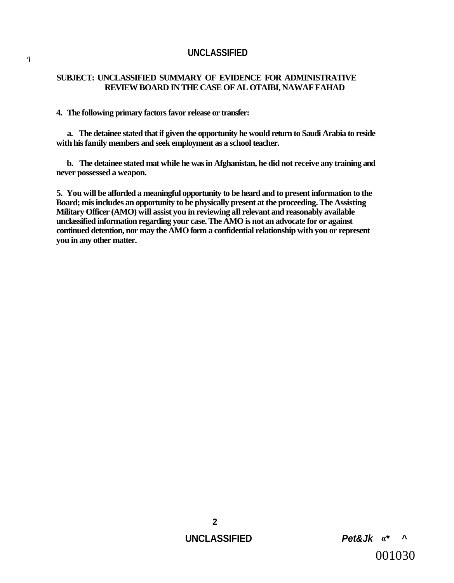# **SUBJECT: UNCLASSIFIED SUMMARY OF EVIDENCE FOR ADMINISTRATIVE REVIEW BOARD IN THE CASE OF AL OTAIBI, NAWAF FAHAD**

#### **4. The following primary factors favor release or transfer:**

**a. The detainee stated that if given the opportunity he would return to Saudi Arabia to reside with his family members and seek employment as a school teacher.** 

**b. The detainee stated mat while he was in Afghanistan, he did not receive any training and never possessed a weapon.** 

**5. You will be afforded a meaningful opportunity to be heard and to present information to the Board; mis includes an opportunity to be physically present at the proceeding. The Assisting Military Officer (AMO) will assist you in reviewing all relevant and reasonably available unclassified information regarding your case. The AMO is not an advocate for or against continued detention, nor may the AMO form a confidential relationship with you or represent you in any other matter.**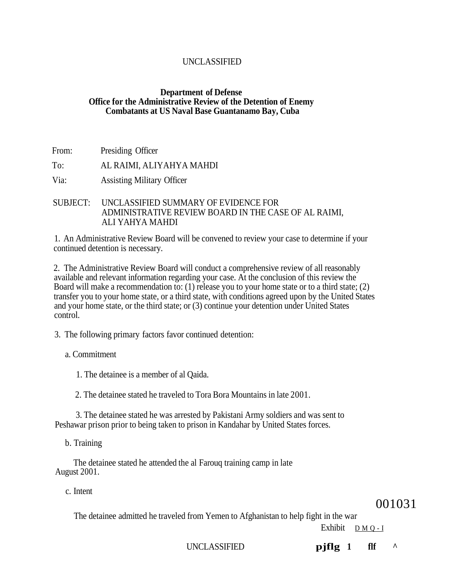# **Department of Defense Office for the Administrative Review of the Detention of Enemy Combatants at US Naval Base Guantanamo Bay, Cuba**

From: Presiding Officer

To: AL RAIMI, ALIYAHYA MAHDI

Via: Assisting Military Officer

SUBJECT: UNCLASSIFIED SUMMARY OF EVIDENCE FOR ADMINISTRATIVE REVIEW BOARD IN THE CASE OF AL RAIMI, ALI YAHYA MAHDI

1. An Administrative Review Board will be convened to review your case to determine if your continued detention is necessary.

2. The Administrative Review Board will conduct a comprehensive review of all reasonably available and relevant information regarding your case. At the conclusion of this review the Board will make a recommendation to: (1) release you to your home state or to a third state; (2) transfer you to your home state, or a third state, with conditions agreed upon by the United States and your home state, or the third state; or (3) continue your detention under United States control.

3. The following primary factors favor continued detention:

# a. Commitment

1. The detainee is a member of al Qaida.

2. The detainee stated he traveled to Tora Bora Mountains in late 2001.

3. The detainee stated he was arrested by Pakistani Army soldiers and was sent to Peshawar prison prior to being taken to prison in Kandahar by United States forces.

b. Training

The detainee stated he attended the al Farouq training camp in late August 2001.

c. Intent

001031

The detainee admitted he traveled from Yemen to Afghanistan to help fight in the war

Exhibit DMQ- I

UNCLASSIFIED **pjflg** 1 flf  $\land$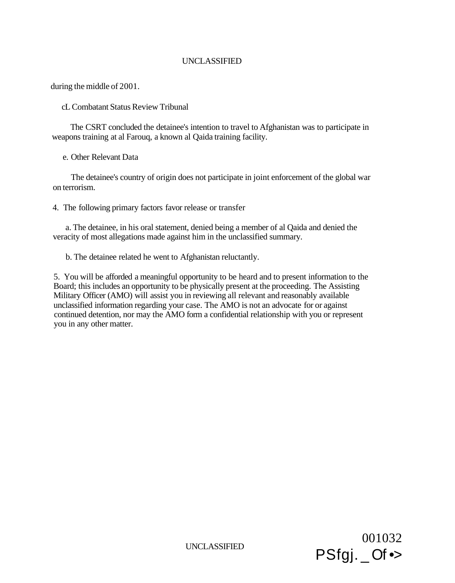during the middle of 2001.

cL Combatant Status Review Tribunal

The CSRT concluded the detainee's intention to travel to Afghanistan was to participate in weapons training at al Farouq, a known al Qaida training facility.

e. Other Relevant Data

The detainee's country of origin does not participate in joint enforcement of the global war on terrorism.

4. The following primary factors favor release or transfer

a. The detainee, in his oral statement, denied being a member of al Qaida and denied the veracity of most allegations made against him in the unclassified summary.

b. The detainee related he went to Afghanistan reluctantly.

5. You will be afforded a meaningful opportunity to be heard and to present information to the Board; this includes an opportunity to be physically present at the proceeding. The Assisting Military Officer (AMO) will assist you in reviewing all relevant and reasonably available unclassified information regarding your case. The AMO is not an advocate for or against continued detention, nor may the AMO form a confidential relationship with you or represent you in any other matter.

UNCLASSIFIED

001032 PSfgj. \_ Of •>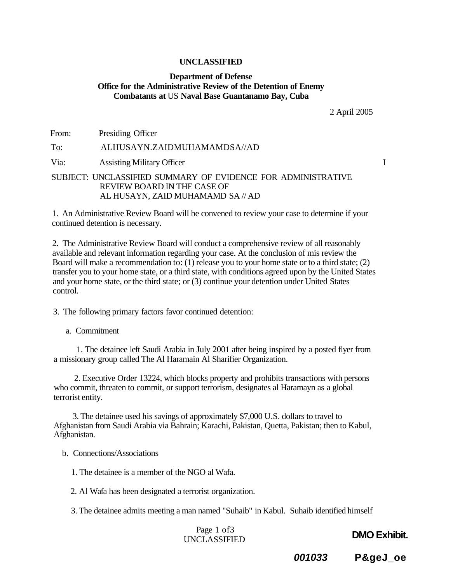# **Department of Defense Office for the Administrative Review of the Detention of Enemy Combatants at** US **Naval Base Guantanamo Bay, Cuba**

2 April 2005

From: Presiding Officer To: ALHUSAYN.ZAIDMUHAMAMDSA//AD Via: Assisting Military Officer **I** SUBJECT: UNCLASSIFIED SUMMARY OF EVIDENCE FOR ADMINISTRATIVE REVIEW BOARD IN THE CASE OF AL HUSAYN, ZAID MUHAMAMD SA // AD

1. An Administrative Review Board will be convened to review your case to determine if your continued detention is necessary.

2. The Administrative Review Board will conduct a comprehensive review of all reasonably available and relevant information regarding your case. At the conclusion of mis review the Board will make a recommendation to: (1) release you to your home state or to a third state; (2) transfer you to your home state, or a third state, with conditions agreed upon by the United States and your home state, or the third state; or (3) continue your detention under United States control.

3. The following primary factors favor continued detention:

a. Commitment

1. The detainee left Saudi Arabia in July 2001 after being inspired by a posted flyer from a missionary group called The Al Haramain Al Sharifier Organization.

2. Executive Order 13224, which blocks property and prohibits transactions with persons who commit, threaten to commit, or support terrorism, designates al Haramayn as a global terrorist entity.

3. The detainee used his savings of approximately \$7,000 U.S. dollars to travel to Afghanistan from Saudi Arabia via Bahrain; Karachi, Pakistan, Quetta, Pakistan; then to Kabul, Afghanistan.

b. Connections/Associations

1. The detainee is a member of the NGO al Wafa.

2. Al Wafa has been designated a terrorist organization.

3. The detainee admits meeting a man named "Suhaib" in Kabul. Suhaib identified himself

Page 1 of3 UNCLASSIFIED

**DMO Exhibit.** 

**001033 P&geJ\_oe**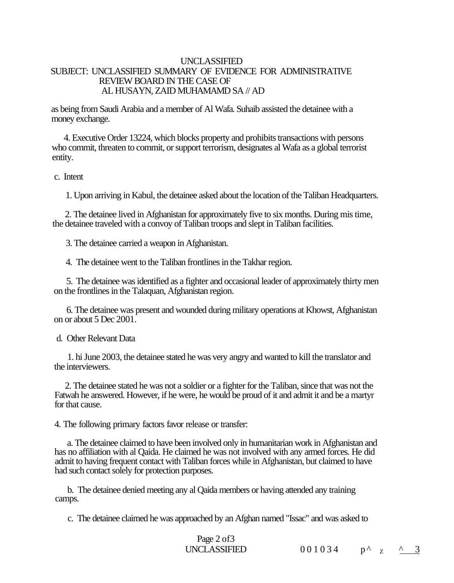# UNCLASSIFIED SUBJECT: UNCLASSIFIED SUMMARY OF EVIDENCE FOR ADMINISTRATIVE REVIEW BOARD IN THE CASE OF AL HUSAYN, ZAID MUHAMAMD SA // AD

as being from Saudi Arabia and a member of Al Wafa. Suhaib assisted the detainee with a money exchange.

4. Executive Order 13224, which blocks property and prohibits transactions with persons who commit, threaten to commit, or support terrorism, designates al Wafa as a global terrorist entity.

c. Intent

1. Upon arriving in Kabul, the detainee asked about the location of the Taliban Headquarters.

2. The detainee lived in Afghanistan for approximately five to six months. During mis time, the detainee traveled with a convoy of Taliban troops and slept in Taliban facilities.

3. The detainee carried a weapon in Afghanistan.

4. The detainee went to the Taliban frontlines in the Takhar region.

5. The detainee was identified as a fighter and occasional leader of approximately thirty men on the frontlines in the Talaquan, Afghanistan region.

6. The detainee was present and wounded during military operations at Khowst, Afghanistan on or about 5 Dec 2001.

d. Other Relevant Data

1. hi June 2003, the detainee stated he was very angry and wanted to kill the translator and the interviewers.

2. The detainee stated he was not a soldier or a fighter for the Taliban, since that was not the Fatwah he answered. However, if he were, he would be proud of it and admit it and be a martyr for that cause.

4. The following primary factors favor release or transfer:

a. The detainee claimed to have been involved only in humanitarian work in Afghanistan and has no affiliation with al Qaida. He claimed he was not involved with any armed forces. He did admit to having frequent contact with Taliban forces while in Afghanistan, but claimed to have had such contact solely for protection purposes.

b. The detainee denied meeting any al Qaida members or having attended any training camps.

c. The detainee claimed he was approached by an Afghan named "Issac" and was asked to

Page 2 of 3 UNCLASSIFIED  $001034$ 

 $p^{\wedge}$   $z$   $\wedge$  3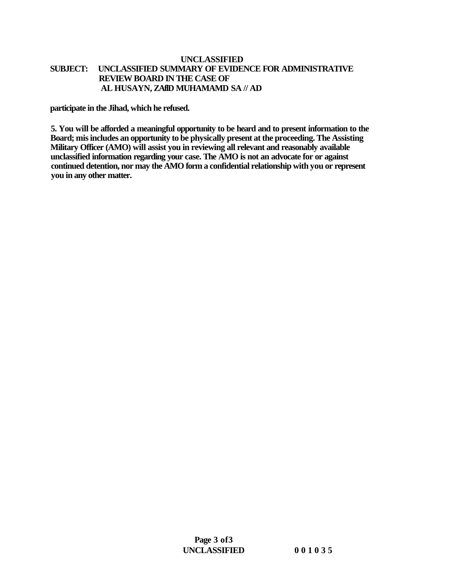# **UNCLASSIFIED SUBJECT: UNCLASSIFIED SUMMARY OF EVIDENCE FOR ADMINISTRATIVE REVIEW BOARD IN THE CASE OF AL HUSAYN, ZAflD MUHAMAMD SA // AD**

**participate in the Jihad, which he refused.** 

**5. You will be afforded a meaningful opportunity to be heard and to present information to the Board; mis includes an opportunity to be physically present at the proceeding. The Assisting Military Officer (AMO) will assist you in reviewing all relevant and reasonably available unclassified information regarding your case. The AMO is not an advocate for or against continued detention, nor may the AMO form a confidential relationship with you or represent you in any other matter.**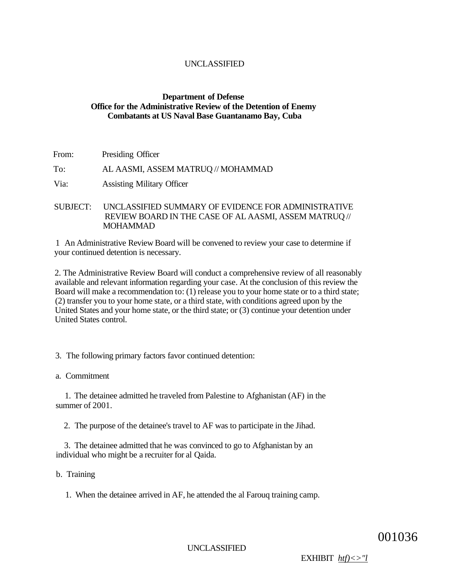# **Department of Defense Office for the Administrative Review of the Detention of Enemy Combatants at US Naval Base Guantanamo Bay, Cuba**

- From: Presiding Officer To: AL AASMI, ASSEM MATRUQ // MOHAMMAD Via: Assisting Military Officer
- SUBJECT: UNCLASSIFIED SUMMARY OF EVIDENCE FOR ADMINISTRATIVE REVIEW BOARD IN THE CASE OF AL AASMI, ASSEM MATRUQ // MOHAMMAD

1 An Administrative Review Board will be convened to review your case to determine if your continued detention is necessary.

2. The Administrative Review Board will conduct a comprehensive review of all reasonably available and relevant information regarding your case. At the conclusion of this review the Board will make a recommendation to: (1) release you to your home state or to a third state; (2) transfer you to your home state, or a third state, with conditions agreed upon by the United States and your home state, or the third state; or (3) continue your detention under United States control.

3. The following primary factors favor continued detention:

a. Commitment

1. The detainee admitted he traveled from Palestine to Afghanistan (AF) in the summer of 2001.

2. The purpose of the detainee's travel to AF was to participate in the Jihad.

3. The detainee admitted that he was convinced to go to Afghanistan by an individual who might be a recruiter for al Qaida.

b. Training

1. When the detainee arrived in AF, he attended the al Farouq training camp.

001036

UNCLASSIFIED

EXHIBIT *htf)<>"l*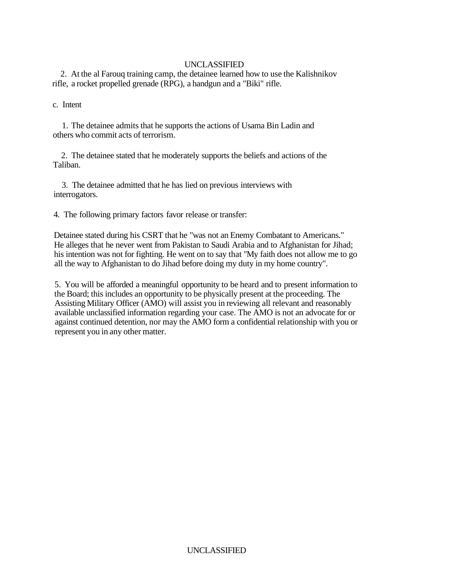2. At the al Farouq training camp, the detainee learned how to use the Kalishnikov rifle, a rocket propelled grenade (RPG), a handgun and a "Biki" rifle.

c. Intent

1. The detainee admits that he supports the actions of Usama Bin Ladin and others who commit acts of terrorism.

2. The detainee stated that he moderately supports the beliefs and actions of the Taliban.

3. The detainee admitted that he has lied on previous interviews with interrogators.

4. The following primary factors favor release or transfer:

Detainee stated during his CSRT that he "was not an Enemy Combatant to Americans." He alleges that he never went from Pakistan to Saudi Arabia and to Afghanistan for Jihad; his intention was not for fighting. He went on to say that "My faith does not allow me to go all the way to Afghanistan to do Jihad before doing my duty in my home country".

5. You will be afforded a meaningful opportunity to be heard and to present information to the Board; this includes an opportunity to be physically present at the proceeding. The Assisting Military Officer (AMO) will assist you in reviewing all relevant and reasonably available unclassified information regarding your case. The AMO is not an advocate for or against continued detention, nor may the AMO form a confidential relationship with you or represent you in any other matter.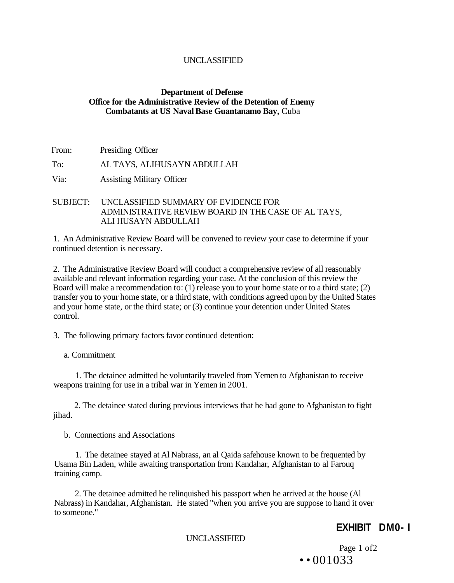# **Department of Defense Office for the Administrative Review of the Detention of Enemy Combatants at US Naval Base Guantanamo Bay,** Cuba

- From: Presiding Officer To: AL TAYS, ALIHUSAYN ABDULLAH Via: Assisting Military Officer
- SUBJECT: UNCLASSIFIED SUMMARY OF EVIDENCE FOR ADMINISTRATIVE REVIEW BOARD IN THE CASE OF AL TAYS, ALI HUSAYN ABDULLAH

1. An Administrative Review Board will be convened to review your case to determine if your continued detention is necessary.

2. The Administrative Review Board will conduct a comprehensive review of all reasonably available and relevant information regarding your case. At the conclusion of this review the Board will make a recommendation to: (1) release you to your home state or to a third state; (2) transfer you to your home state, or a third state, with conditions agreed upon by the United States and your home state, or the third state; or (3) continue your detention under United States control.

3. The following primary factors favor continued detention:

a. Commitment

1. The detainee admitted he voluntarily traveled from Yemen to Afghanistan to receive weapons training for use in a tribal war in Yemen in 2001.

2. The detainee stated during previous interviews that he had gone to Afghanistan to fight jihad.

b. Connections and Associations

1. The detainee stayed at Al Nabrass, an al Qaida safehouse known to be frequented by Usama Bin Laden, while awaiting transportation from Kandahar, Afghanistan to al Farouq training camp.

2. The detainee admitted he relinquished his passport when he arrived at the house (Al Nabrass) in Kandahar, Afghanistan. He stated "when you arrive you are suppose to hand it over to someone."

# **EXHIBIT DM0- I**

UNCLASSIFIED

Page 1 of2  $\cdot$   $\cdot$  001033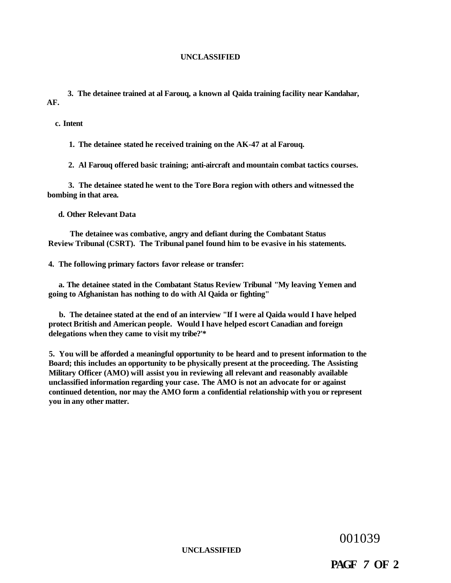**3. The detainee trained at al Farouq, a known al Qaida training facility near Kandahar, AF.** 

**c. Intent** 

**1. The detainee stated he received training on the AK-47 at al Farouq.** 

**2. Al Farouq offered basic training; anti-aircraft and mountain combat tactics courses.** 

**3. The detainee stated he went to the Tore Bora region with others and witnessed the bombing in that area.** 

**d. Other Relevant Data** 

**The detainee was combative, angry and defiant during the Combatant Status Review Tribunal (CSRT). The Tribunal panel found him to be evasive in his statements.** 

**4. The following primary factors favor release or transfer:** 

**a. The detainee stated in the Combatant Status Review Tribunal "My leaving Yemen and going to Afghanistan has nothing to do with Al Qaida or fighting"** 

**b. The detainee stated at the end of an interview "If I were al Qaida would I have helped protect British and American people. Would I have helped escort Canadian and foreign delegations when they came to visit my tribe?'\*** 

**5. You will be afforded a meaningful opportunity to be heard and to present information to the Board; this includes an opportunity to be physically present at the proceeding. The Assisting Military Officer (AMO) will assist you in reviewing all relevant and reasonably available unclassified information regarding your case. The AMO is not an advocate for or against continued detention, nor may the AMO form a confidential relationship with you or represent you in any other matter.** 

001039

**UNCLASSIFIED** 

**PAGF** *7* **OF 2**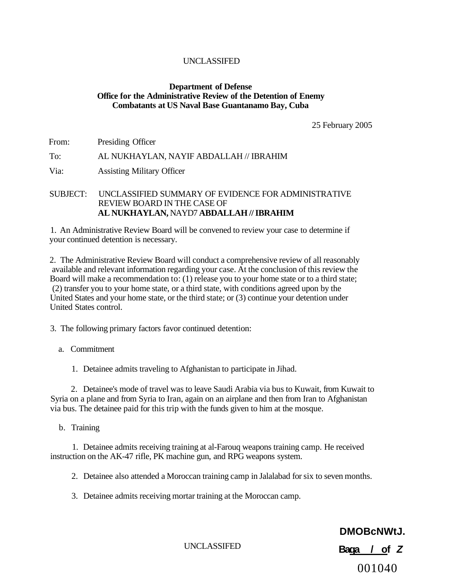# **Department of Defense Office for the Administrative Review of the Detention of Enemy Combatants at US Naval Base Guantanamo Bay, Cuba**

25 February 2005

From: Presiding Officer

# To: AL NUKHAYLAN, NAYIF ABDALLAH // IBRAHIM

Via: Assisting Military Officer

# SUBJECT: UNCLASSIFIED SUMMARY OF EVIDENCE FOR ADMINISTRATIVE REVIEW BOARD IN THE CASE OF **AL NUKHAYLAN,** NAYD7 **ABDALLAH // IBRAHIM**

1. An Administrative Review Board will be convened to review your case to determine if your continued detention is necessary.

2. The Administrative Review Board will conduct a comprehensive review of all reasonably available and relevant information regarding your case. At the conclusion of this review the Board will make a recommendation to: (1) release you to your home state or to a third state; (2) transfer you to your home state, or a third state, with conditions agreed upon by the United States and your home state, or the third state; or (3) continue your detention under United States control.

3. The following primary factors favor continued detention:

a. Commitment

1. Detainee admits traveling to Afghanistan to participate in Jihad.

2. Detainee's mode of travel was to leave Saudi Arabia via bus to Kuwait, from Kuwait to Syria on a plane and from Syria to Iran, again on an airplane and then from Iran to Afghanistan via bus. The detainee paid for this trip with the funds given to him at the mosque.

b. Training

1. Detainee admits receiving training at al-Farouq weapons training camp. He received instruction on the AK-47 rifle, PK machine gun, and RPG weapons system.

2. Detainee also attended a Moroccan training camp in Jalalabad for six to seven months.

3. Detainee admits receiving mortar training at the Moroccan camp.

UNCLASSIFED

**DMOBcNWtJ.** 

**Baqa / of Z** 

001040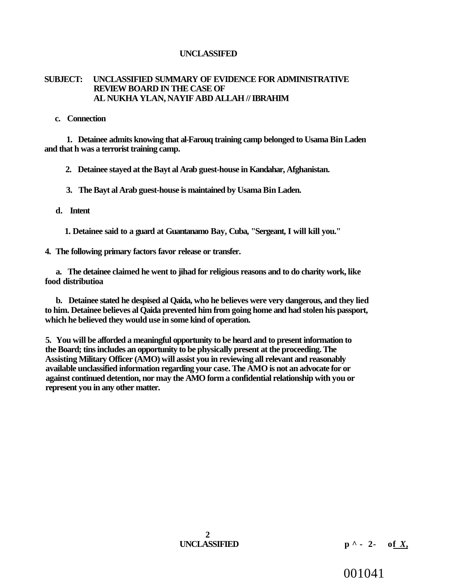# **SUBJECT: UNCLASSIFIED SUMMARY OF EVIDENCE FOR ADMINISTRATIVE REVIEW BOARD IN THE CASE OF AL NUKHA YLAN, NAYIF ABD ALLAH // IBRAHIM**

## **c. Connection**

**1. Detainee admits knowing that al-Farouq training camp belonged to Usama Bin Laden and that h was a terrorist training camp.** 

**2. Detainee stayed at the Bayt al Arab guest-house in Kandahar, Afghanistan.** 

**3. The Bayt al Arab guest-house is maintained by Usama Bin Laden.** 

# **d. Intent**

**1. Detainee said to a guard at Guantanamo Bay, Cuba, "Sergeant, I will kill you."** 

**4. The following primary factors favor release or transfer.** 

**a. The detainee claimed he went to jihad for religious reasons and to do charity work, like food distributioa** 

**b. Detainee stated he despised al Qaida, who he believes were very dangerous, and they lied to him. Detainee believes al Qaida prevented him from going home and had stolen his passport, which he believed they would use in some kind of operation.** 

**5. You will be afforded a meaningful opportunity to be heard and to present information to the Board; tins includes an opportunity to be physically present at the proceeding. The Assisting Military Officer (AMO) will assist you in reviewing all relevant and reasonably available unclassified information regarding your case. The AMO is not an advocate for or against continued detention, nor may the AMO form a confidential relationship with you or represent you in any other matter.** 

001041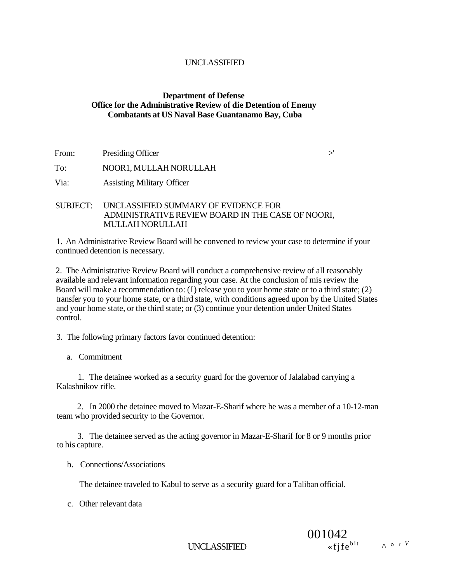# **Department of Defense Office for the Administrative Review of die Detention of Enemy Combatants at US Naval Base Guantanamo Bay, Cuba**

From: Presiding Officer  $\geq$ 

To: NOOR1, MULLAH NORULLAH

Via: Assisting Military Officer

# SUBJECT: UNCLASSIFIED SUMMARY OF EVIDENCE FOR ADMINISTRATIVE REVIEW BOARD IN THE CASE OF NOORI, MULLAH NORULLAH

1. An Administrative Review Board will be convened to review your case to determine if your continued detention is necessary.

2. The Administrative Review Board will conduct a comprehensive review of all reasonably available and relevant information regarding your case. At the conclusion of mis review the Board will make a recommendation to: (I) release you to your home state or to a third state; (2) transfer you to your home state, or a third state, with conditions agreed upon by the United States and your home state, or the third state; or (3) continue your detention under United States control.

3. The following primary factors favor continued detention:

a. Commitment

1. The detainee worked as a security guard for the governor of Jalalabad carrying a Kalashnikov rifle.

2. In 2000 the detainee moved to Mazar-E-Sharif where he was a member of a 10-12-man team who provided security to the Governor.

3. The detainee served as the acting governor in Mazar-E-Sharif for 8 or 9 months prior to his capture.

b. Connections/Associations

The detainee traveled to Kabul to serve as a security guard for a Taliban official.

c. Other relevant data

UNCLASSIFIED

001042  $\ll$  *f* if  $e^{bit}$   $\land$   $\circ$  *v*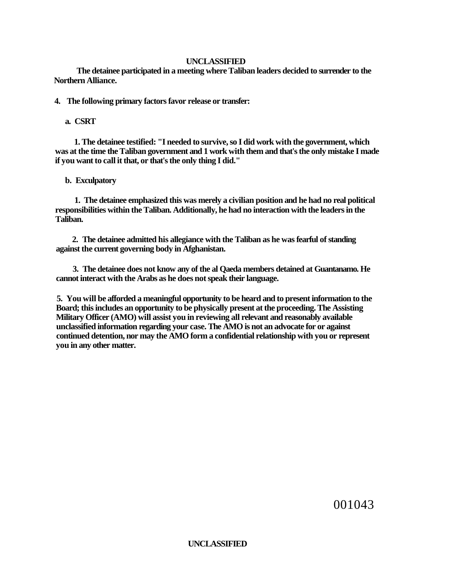**The detainee participated in a meeting where Taliban leaders decided to surrender to the Northern Alliance.** 

**4. The following primary factors favor release or transfer:** 

# **a. CSRT**

**1. The detainee testified: "I needed to survive, so I did work with the government, which was at the time the Taliban government and 1 work with them and that's the only mistake I made if you want to call it that, or that's the only thing I did."** 

# **b. Exculpatory**

**1. The detainee emphasized this was merely a civilian position and he had no real political responsibilities within the Taliban. Additionally, he had no interaction with the leaders in the Taliban.** 

**2. The detainee admitted his allegiance with the Taliban as he was fearful of standing against the current governing body in Afghanistan.** 

**3. The detainee does not know any of the al Qaeda members detained at Guantanamo. He cannot interact with the Arabs as he does not speak their language.** 

**5. You will be afforded a meaningful opportunity to be heard and to present information to the Board; this includes an opportunity to be physically present at the proceeding. The Assisting Military Officer (AMO) will assist you in reviewing all relevant and reasonably available unclassified information regarding your case. The AMO is not an advocate for or against continued detention, nor may the AMO form a confidential relationship with you or represent you in any other matter.** 

001043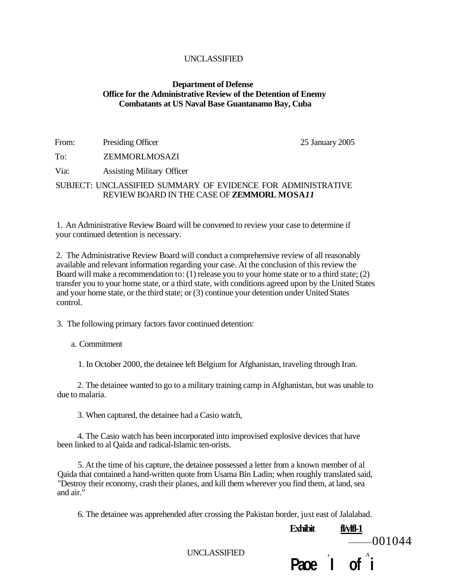# **Department of Defense Office for the Administrative Review of the Detention of Enemy Combatants at US Naval Base Guantanamo Bay, Cuba**

| From: | Presiding Officer                 | 25 January 2005 |
|-------|-----------------------------------|-----------------|
| To:   | ZEMMORLMOSAZI                     |                 |
| Via:  | <b>Assisting Military Officer</b> |                 |
|       |                                   |                 |

SUBJECT: UNCLASSIFIED SUMMARY OF EVIDENCE FOR ADMINISTRATIVE REVIEW BOARD IN THE CASE OF **ZEMMORL MOSA***11* 

1. An Administrative Review Board will be convened to review your case to determine if your continued detention is necessary.

2. The Administrative Review Board will conduct a comprehensive review of all reasonably available and relevant information regarding your case. At the conclusion of this review the Board will make a recommendation to: (1) release you to your home state or to a third state; (2) transfer you to your home state, or a third state, with conditions agreed upon by the United States and your home state, or the third state; or (3) continue your detention under United States control.

3. The following primary factors favor continued detention:

a. Commitment

1. In October 2000, the detainee left Belgium for Afghanistan, traveling through Iran.

2. The detainee wanted to go to a military training camp in Afghanistan, but was unable to due to malaria.

3. When captured, the detainee had a Casio watch,

4. The Casio watch has been incorporated into improvised explosive devices that have been linked to al Qaida and radical-Islamic ten-orists.

5. At the time of his capture, the detainee possessed a letter from a known member of al Qaida that contained a hand-written quote from Usama Bin Ladin; when roughly translated said, "Destroy their economy, crash their planes, and kill them wherever you find them, at land, sea and air."

6. The detainee was apprehended after crossing the Pakistan border, just east of Jalalabad.

**Exhibit fl/ylfl-1** 

**Paoe I of i** 

UNCLASSIFIED ,  $\overline{A}$ 

 $-001044$